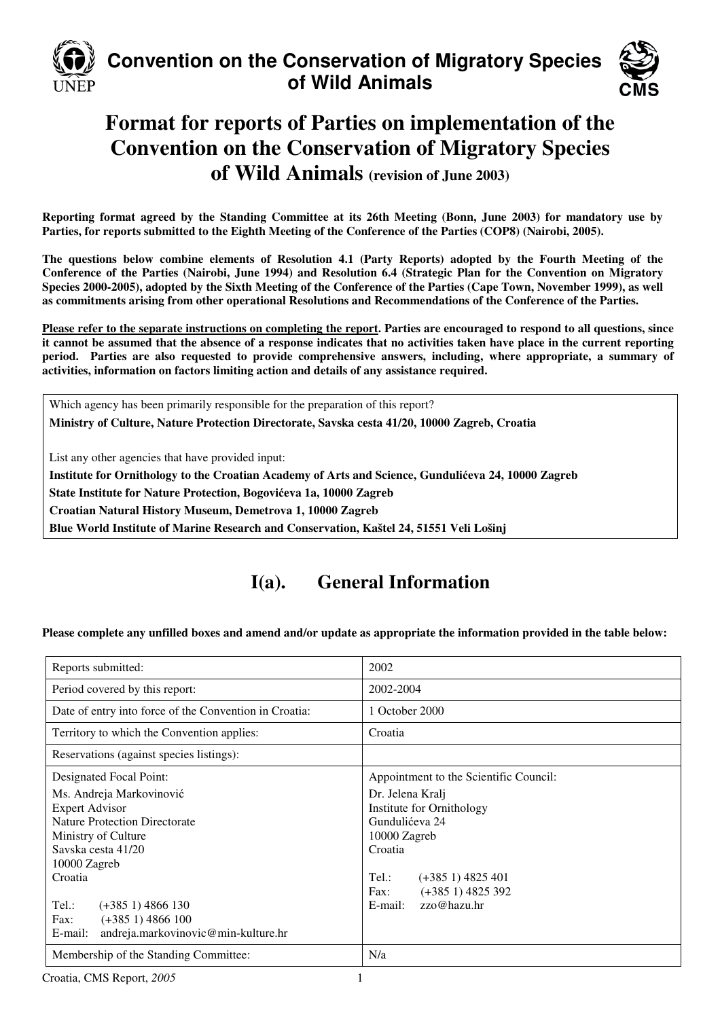

## **Convention on the Conservation of Migratory Species of Wild Animals**



## **Format for reports of Parties on implementation of the Convention on the Conservation of Migratory Species of Wild Animals (revision of June 2003)**

**Reporting format agreed by the Standing Committee at its 26th Meeting (Bonn, June 2003) for mandatory use by Parties, for reports submitted to the Eighth Meeting of the Conference of the Parties (COP8) (Nairobi, 2005).** 

**The questions below combine elements of Resolution 4.1 (Party Reports) adopted by the Fourth Meeting of the Conference of the Parties (Nairobi, June 1994) and Resolution 6.4 (Strategic Plan for the Convention on Migratory Species 2000-2005), adopted by the Sixth Meeting of the Conference of the Parties (Cape Town, November 1999), as well as commitments arising from other operational Resolutions and Recommendations of the Conference of the Parties.** 

**Please refer to the separate instructions on completing the report. Parties are encouraged to respond to all questions, since it cannot be assumed that the absence of a response indicates that no activities taken have place in the current reporting period. Parties are also requested to provide comprehensive answers, including, where appropriate, a summary of activities, information on factors limiting action and details of any assistance required.** 

Which agency has been primarily responsible for the preparation of this report? **Ministry of Culture, Nature Protection Directorate, Savska cesta 41/20, 10000 Zagreb, Croatia** 

List any other agencies that have provided input:

**Institute for Ornithology to the Croatian Academy of Arts and Science, Gunduli**ć**eva 24, 10000 Zagreb** 

**State Institute for Nature Protection, Bogovi**ć**eva 1a, 10000 Zagreb** 

**Croatian Natural History Museum, Demetrova 1, 10000 Zagreb** 

**Blue World Institute of Marine Research and Conservation, Kaštel 24, 51551 Veli Lošinj** 

## **I(a). General Information**

#### **Please complete any unfilled boxes and amend and/or update as appropriate the information provided in the table below:**

| Reports submitted:                                                                                                                        | 2002                                                                                       |  |
|-------------------------------------------------------------------------------------------------------------------------------------------|--------------------------------------------------------------------------------------------|--|
| Period covered by this report:                                                                                                            | 2002-2004                                                                                  |  |
| Date of entry into force of the Convention in Croatia:                                                                                    | 1 October 2000                                                                             |  |
| Territory to which the Convention applies:                                                                                                | Croatia                                                                                    |  |
| Reservations (against species listings):                                                                                                  |                                                                                            |  |
| Designated Focal Point:                                                                                                                   | Appointment to the Scientific Council:                                                     |  |
| Ms. Andreja Markovinović<br><b>Expert Advisor</b><br><b>Nature Protection Directorate</b><br>Ministry of Culture<br>Savska cesta 41/20    | Dr. Jelena Kralj<br>Institute for Ornithology<br>Gundulićeva 24<br>10000 Zagreb<br>Croatia |  |
| 10000 Zagreb<br>Croatia<br>$Tel.$ :<br>$(+3851)$ 4866 130<br>$(+3851)$ 4866 100<br>Fax:<br>andreja.markovinovic@min-kulture.hr<br>E-mail: | Tel.:<br>$(+3851)$ 4825 401<br>$(+3851)$ 4825 392<br>Fax:<br>zzo@hazu.hr<br>E-mail:        |  |
| Membership of the Standing Committee:                                                                                                     | N/a                                                                                        |  |

Croatia, CMS Report, 2005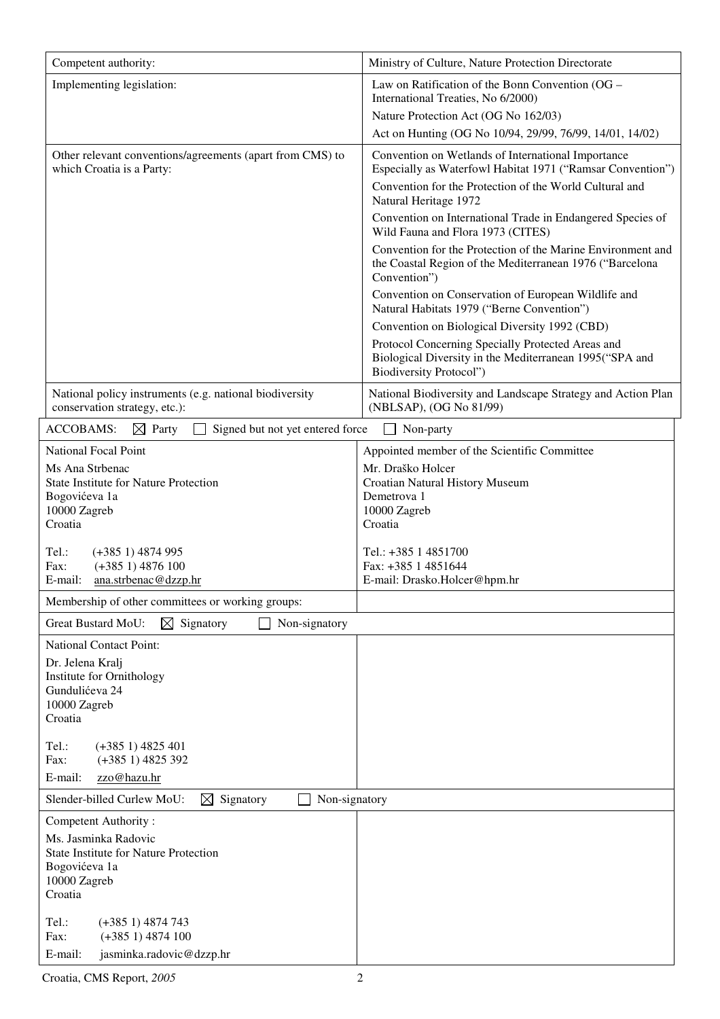| Competent authority:                                                                     | Ministry of Culture, Nature Protection Directorate                                                                                             |
|------------------------------------------------------------------------------------------|------------------------------------------------------------------------------------------------------------------------------------------------|
| Implementing legislation:                                                                | Law on Ratification of the Bonn Convention (OG –<br>International Treaties, No 6/2000)                                                         |
|                                                                                          | Nature Protection Act (OG No 162/03)                                                                                                           |
|                                                                                          | Act on Hunting (OG No 10/94, 29/99, 76/99, 14/01, 14/02)                                                                                       |
| Other relevant conventions/agreements (apart from CMS) to<br>which Croatia is a Party:   | Convention on Wetlands of International Importance<br>Especially as Waterfowl Habitat 1971 ("Ramsar Convention")                               |
|                                                                                          | Convention for the Protection of the World Cultural and<br>Natural Heritage 1972                                                               |
|                                                                                          | Convention on International Trade in Endangered Species of<br>Wild Fauna and Flora 1973 (CITES)                                                |
|                                                                                          | Convention for the Protection of the Marine Environment and<br>the Coastal Region of the Mediterranean 1976 ("Barcelona<br>Convention")        |
|                                                                                          | Convention on Conservation of European Wildlife and<br>Natural Habitats 1979 ("Berne Convention")                                              |
|                                                                                          | Convention on Biological Diversity 1992 (CBD)                                                                                                  |
|                                                                                          | Protocol Concerning Specially Protected Areas and<br>Biological Diversity in the Mediterranean 1995("SPA and<br><b>Biodiversity Protocol")</b> |
| National policy instruments (e.g. national biodiversity<br>conservation strategy, etc.): | National Biodiversity and Landscape Strategy and Action Plan<br>(NBLSAP), (OG No 81/99)                                                        |
| Signed but not yet entered force<br><b>ACCOBAMS:</b><br>$\bowtie$<br>Party               | Non-party                                                                                                                                      |
| <b>National Focal Point</b>                                                              | Appointed member of the Scientific Committee                                                                                                   |
| Ms Ana Strbenac                                                                          | Mr. Draško Holcer                                                                                                                              |
| <b>State Institute for Nature Protection</b><br>Bogovićeva 1a                            | Croatian Natural History Museum<br>Demetrova 1                                                                                                 |
| 10000 Zagreb                                                                             | 10000 Zagreb                                                                                                                                   |
| Croatia                                                                                  | Croatia                                                                                                                                        |
| $(+3851)$ 4874 995<br>Tel.:                                                              | Tel.: +385 1 4851700                                                                                                                           |
| $(+3851) 4876100$<br>Fax:                                                                | Fax: +385 1 4851644                                                                                                                            |
| E-mail:<br>ana.strbenac@dzzp.hr                                                          | E-mail: Drasko.Holcer@hpm.hr                                                                                                                   |
| Membership of other committees or working groups:                                        |                                                                                                                                                |
| <b>Great Bustard MoU:</b><br>$\boxtimes$ Signatory<br>Non-signatory                      |                                                                                                                                                |
| <b>National Contact Point:</b>                                                           |                                                                                                                                                |
| Dr. Jelena Kralj                                                                         |                                                                                                                                                |
| Institute for Ornithology                                                                |                                                                                                                                                |
| Gundulićeva 24<br>10000 Zagreb                                                           |                                                                                                                                                |
| Croatia                                                                                  |                                                                                                                                                |
| Tel.:<br>$(+3851)$ 4825 401                                                              |                                                                                                                                                |
| Fax:<br>$(+3851)$ 4825 392                                                               |                                                                                                                                                |
| zzo@hazu.hr<br>E-mail:                                                                   |                                                                                                                                                |
| Slender-billed Curlew MoU:<br>⊠<br>Signatory<br>Non-signatory                            |                                                                                                                                                |
| Competent Authority:                                                                     |                                                                                                                                                |
| Ms. Jasminka Radovic                                                                     |                                                                                                                                                |
| <b>State Institute for Nature Protection</b>                                             |                                                                                                                                                |
| Bogovićeva 1a<br>10000 Zagreb                                                            |                                                                                                                                                |
| Croatia                                                                                  |                                                                                                                                                |
|                                                                                          |                                                                                                                                                |
| Tel.:<br>$(+3851)$ 4874 743<br>Fax:<br>$(+3851) 4874100$                                 |                                                                                                                                                |
| E-mail:<br>jasminka.radovic@dzzp.hr                                                      |                                                                                                                                                |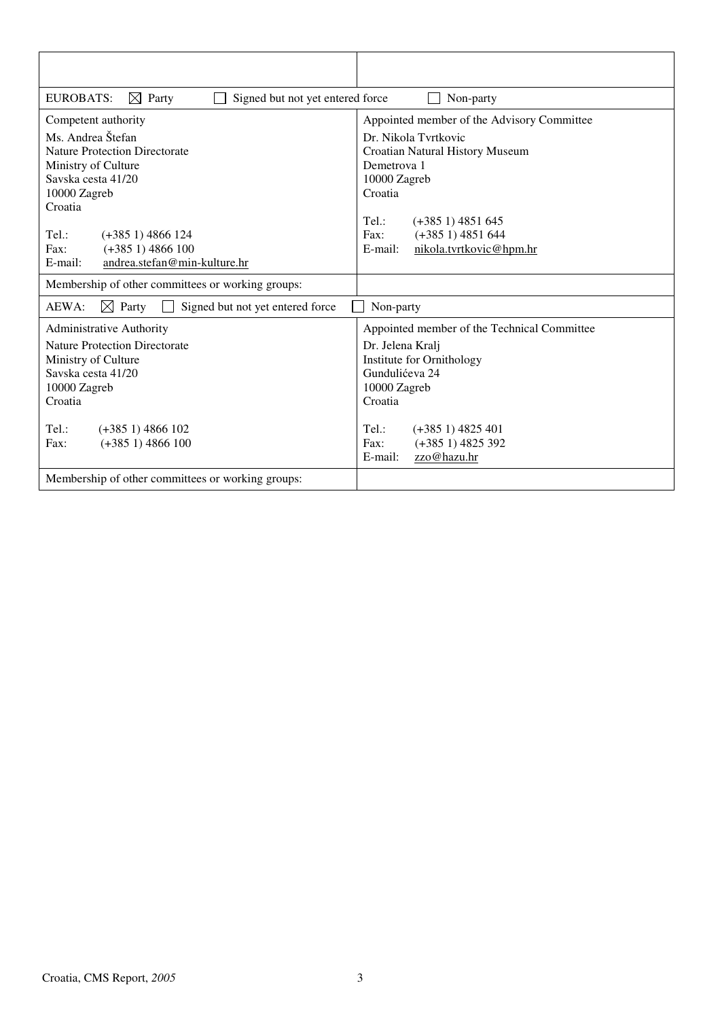| <b>EUROBATS:</b><br>$\boxtimes$ Party<br>Signed but not yet entered force                                                                                                                                            | Non-party                                                                                                                                                                                                                                              |
|----------------------------------------------------------------------------------------------------------------------------------------------------------------------------------------------------------------------|--------------------------------------------------------------------------------------------------------------------------------------------------------------------------------------------------------------------------------------------------------|
| Competent authority<br>Ms. Andrea Štefan<br><b>Nature Protection Directorate</b><br>Ministry of Culture<br>Sayska cesta 41/20<br>10000 Zagreb<br>Croatia<br>Tel:<br>$(+3851)$ 4866 124<br>$(+3851)$ 4866 100<br>Fax: | Appointed member of the Advisory Committee<br>Dr. Nikola Tvrtkovic<br>Croatian Natural History Museum<br>Demetrova 1<br>10000 Zagreb<br>Croatia<br>$Tel$ :<br>$(+3851)$ 4851 645<br>$(+3851) 4851644$<br>Fax:<br>nikola.tvrtkovic@hpm.hr<br>$E$ -mail: |
| andrea.stefan@min-kulture.hr<br>E-mail:                                                                                                                                                                              |                                                                                                                                                                                                                                                        |
| Membership of other committees or working groups:                                                                                                                                                                    |                                                                                                                                                                                                                                                        |
| AEWA:<br>$\boxtimes$ Party<br>Signed but not yet entered force                                                                                                                                                       | Non-party                                                                                                                                                                                                                                              |
| <b>Administrative Authority</b><br><b>Nature Protection Directorate</b><br>Ministry of Culture<br>Savska cesta 41/20<br>10000 Zagreb<br>Croatia<br>Tel.:<br>$(+3851)$ 4866 102<br>$(+3851) 4866100$<br>Fax:          | Appointed member of the Technical Committee<br>Dr. Jelena Kralj<br>Institute for Ornithology<br>Gundulićeva 24<br>10000 Zagreb<br>Croatia<br>Tel.:<br>$(+3851)$ 4825 401<br>Fax:<br>$(+3851)$ 4825 392                                                 |
|                                                                                                                                                                                                                      | E-mail:<br>zzo@hazu.hr                                                                                                                                                                                                                                 |
| Membership of other committees or working groups:                                                                                                                                                                    |                                                                                                                                                                                                                                                        |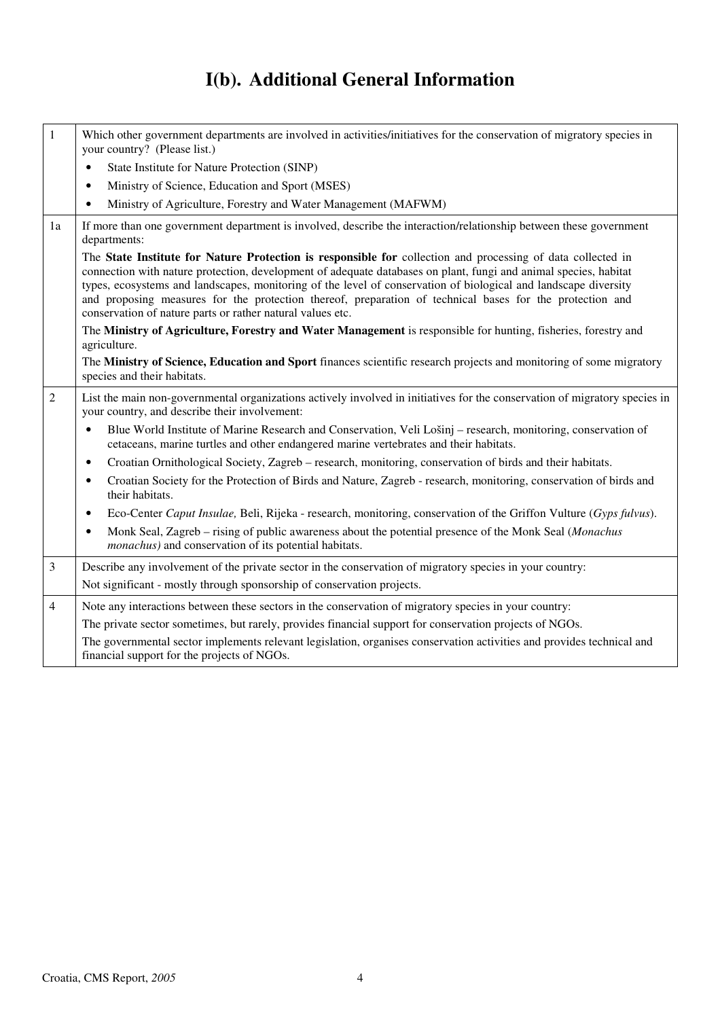# **I(b). Additional General Information**

| $\mathbf{1}$   | Which other government departments are involved in activities/initiatives for the conservation of migratory species in<br>your country? (Please list.)                                                                                                                                                                                                                                                                                                                                                                       |
|----------------|------------------------------------------------------------------------------------------------------------------------------------------------------------------------------------------------------------------------------------------------------------------------------------------------------------------------------------------------------------------------------------------------------------------------------------------------------------------------------------------------------------------------------|
|                | State Institute for Nature Protection (SINP)<br>$\bullet$                                                                                                                                                                                                                                                                                                                                                                                                                                                                    |
|                | Ministry of Science, Education and Sport (MSES)<br>$\bullet$                                                                                                                                                                                                                                                                                                                                                                                                                                                                 |
|                | Ministry of Agriculture, Forestry and Water Management (MAFWM)<br>$\bullet$                                                                                                                                                                                                                                                                                                                                                                                                                                                  |
| 1a             | If more than one government department is involved, describe the interaction/relationship between these government<br>departments:                                                                                                                                                                                                                                                                                                                                                                                           |
|                | The State Institute for Nature Protection is responsible for collection and processing of data collected in<br>connection with nature protection, development of adequate databases on plant, fungi and animal species, habitat<br>types, ecosystems and landscapes, monitoring of the level of conservation of biological and landscape diversity<br>and proposing measures for the protection thereof, preparation of technical bases for the protection and<br>conservation of nature parts or rather natural values etc. |
|                | The Ministry of Agriculture, Forestry and Water Management is responsible for hunting, fisheries, forestry and<br>agriculture.                                                                                                                                                                                                                                                                                                                                                                                               |
|                | The Ministry of Science, Education and Sport finances scientific research projects and monitoring of some migratory<br>species and their habitats.                                                                                                                                                                                                                                                                                                                                                                           |
| $\overline{2}$ | List the main non-governmental organizations actively involved in initiatives for the conservation of migratory species in<br>your country, and describe their involvement:                                                                                                                                                                                                                                                                                                                                                  |
|                | Blue World Institute of Marine Research and Conservation, Veli Lošinj – research, monitoring, conservation of<br>$\bullet$<br>cetaceans, marine turtles and other endangered marine vertebrates and their habitats.                                                                                                                                                                                                                                                                                                          |
|                | Croatian Ornithological Society, Zagreb – research, monitoring, conservation of birds and their habitats.<br>$\bullet$                                                                                                                                                                                                                                                                                                                                                                                                       |
|                | Croatian Society for the Protection of Birds and Nature, Zagreb - research, monitoring, conservation of birds and<br>$\bullet$<br>their habitats.                                                                                                                                                                                                                                                                                                                                                                            |
|                | Eco-Center Caput Insulae, Beli, Rijeka - research, monitoring, conservation of the Griffon Vulture (Gyps fulvus).<br>$\bullet$                                                                                                                                                                                                                                                                                                                                                                                               |
|                | Monk Seal, Zagreb – rising of public awareness about the potential presence of the Monk Seal (Monachus<br>$\bullet$<br><i>monachus</i> ) and conservation of its potential habitats.                                                                                                                                                                                                                                                                                                                                         |
| 3              | Describe any involvement of the private sector in the conservation of migratory species in your country:                                                                                                                                                                                                                                                                                                                                                                                                                     |
|                | Not significant - mostly through sponsorship of conservation projects.                                                                                                                                                                                                                                                                                                                                                                                                                                                       |
| $\overline{4}$ | Note any interactions between these sectors in the conservation of migratory species in your country:                                                                                                                                                                                                                                                                                                                                                                                                                        |
|                | The private sector sometimes, but rarely, provides financial support for conservation projects of NGOs.                                                                                                                                                                                                                                                                                                                                                                                                                      |
|                | The governmental sector implements relevant legislation, organises conservation activities and provides technical and<br>financial support for the projects of NGOs.                                                                                                                                                                                                                                                                                                                                                         |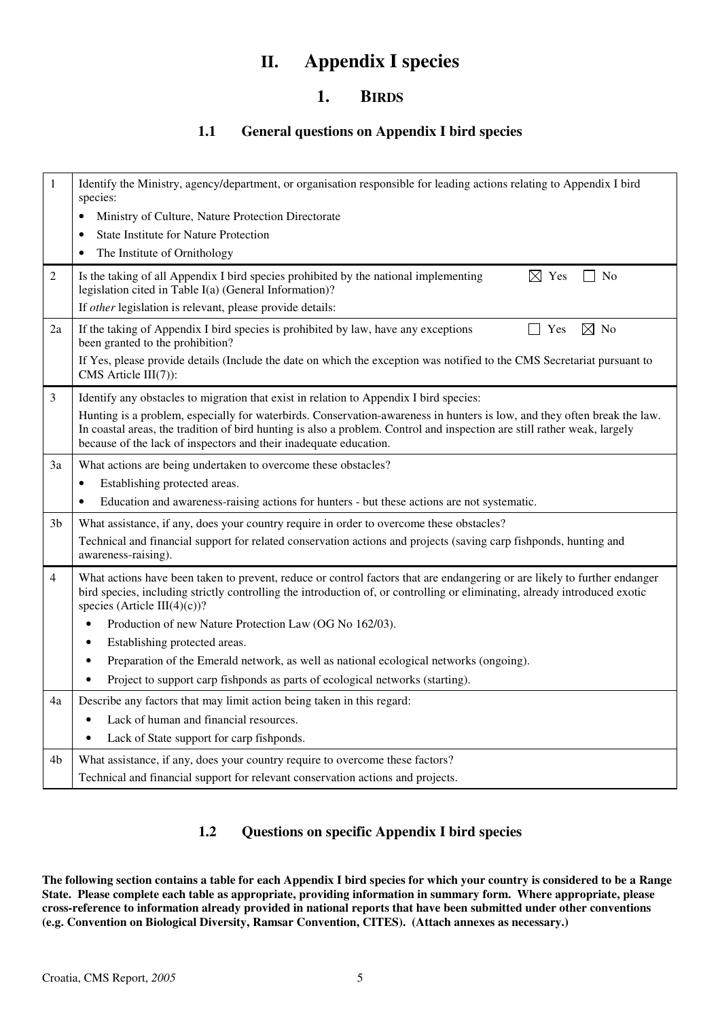## **II. Appendix I species**

### **1. BIRDS**

### **1.1 General questions on Appendix I bird species**

| $\mathbf{1}$   | Identify the Ministry, agency/department, or organisation responsible for leading actions relating to Appendix I bird<br>species:                                                                                                                                                                                         |
|----------------|---------------------------------------------------------------------------------------------------------------------------------------------------------------------------------------------------------------------------------------------------------------------------------------------------------------------------|
|                | Ministry of Culture, Nature Protection Directorate                                                                                                                                                                                                                                                                        |
|                | <b>State Institute for Nature Protection</b>                                                                                                                                                                                                                                                                              |
|                | The Institute of Ornithology<br>٠                                                                                                                                                                                                                                                                                         |
| $\overline{c}$ | Is the taking of all Appendix I bird species prohibited by the national implementing<br>$\boxtimes$ Yes<br>No<br>legislation cited in Table I(a) (General Information)?<br>If other legislation is relevant, please provide details:                                                                                      |
| 2a             | $\boxtimes$ No<br>Yes<br>If the taking of Appendix I bird species is prohibited by law, have any exceptions<br>been granted to the prohibition?<br>If Yes, please provide details (Include the date on which the exception was notified to the CMS Secretariat pursuant to                                                |
|                | $CMS$ Article $III(7)$ :                                                                                                                                                                                                                                                                                                  |
| 3              | Identify any obstacles to migration that exist in relation to Appendix I bird species:                                                                                                                                                                                                                                    |
|                | Hunting is a problem, especially for waterbirds. Conservation-awareness in hunters is low, and they often break the law.<br>In coastal areas, the tradition of bird hunting is also a problem. Control and inspection are still rather weak, largely<br>because of the lack of inspectors and their inadequate education. |
| 3a             | What actions are being undertaken to overcome these obstacles?                                                                                                                                                                                                                                                            |
|                | Establishing protected areas.<br>$\bullet$                                                                                                                                                                                                                                                                                |
|                | Education and awareness-raising actions for hunters - but these actions are not systematic.<br>$\bullet$                                                                                                                                                                                                                  |
| 3b             | What assistance, if any, does your country require in order to overcome these obstacles?                                                                                                                                                                                                                                  |
|                | Technical and financial support for related conservation actions and projects (saving carp fishponds, hunting and<br>awareness-raising).                                                                                                                                                                                  |
| $\overline{4}$ | What actions have been taken to prevent, reduce or control factors that are endangering or are likely to further endanger<br>bird species, including strictly controlling the introduction of, or controlling or eliminating, already introduced exotic<br>species (Article III(4)(c))?                                   |
|                | Production of new Nature Protection Law (OG No 162/03).<br>$\bullet$                                                                                                                                                                                                                                                      |
|                | Establishing protected areas.<br>$\bullet$                                                                                                                                                                                                                                                                                |
|                | Preparation of the Emerald network, as well as national ecological networks (ongoing).<br>$\bullet$                                                                                                                                                                                                                       |
|                | Project to support carp fishponds as parts of ecological networks (starting).                                                                                                                                                                                                                                             |
| 4a             | Describe any factors that may limit action being taken in this regard:                                                                                                                                                                                                                                                    |
|                | Lack of human and financial resources.<br>$\bullet$                                                                                                                                                                                                                                                                       |
|                | Lack of State support for carp fishponds.<br>$\bullet$                                                                                                                                                                                                                                                                    |
| 4b             | What assistance, if any, does your country require to overcome these factors?                                                                                                                                                                                                                                             |
|                | Technical and financial support for relevant conservation actions and projects.                                                                                                                                                                                                                                           |

### **1.2 Questions on specific Appendix I bird species**

**The following section contains a table for each Appendix I bird species for which your country is considered to be a Range State. Please complete each table as appropriate, providing information in summary form. Where appropriate, please cross-reference to information already provided in national reports that have been submitted under other conventions (e.g. Convention on Biological Diversity, Ramsar Convention, CITES). (Attach annexes as necessary.)**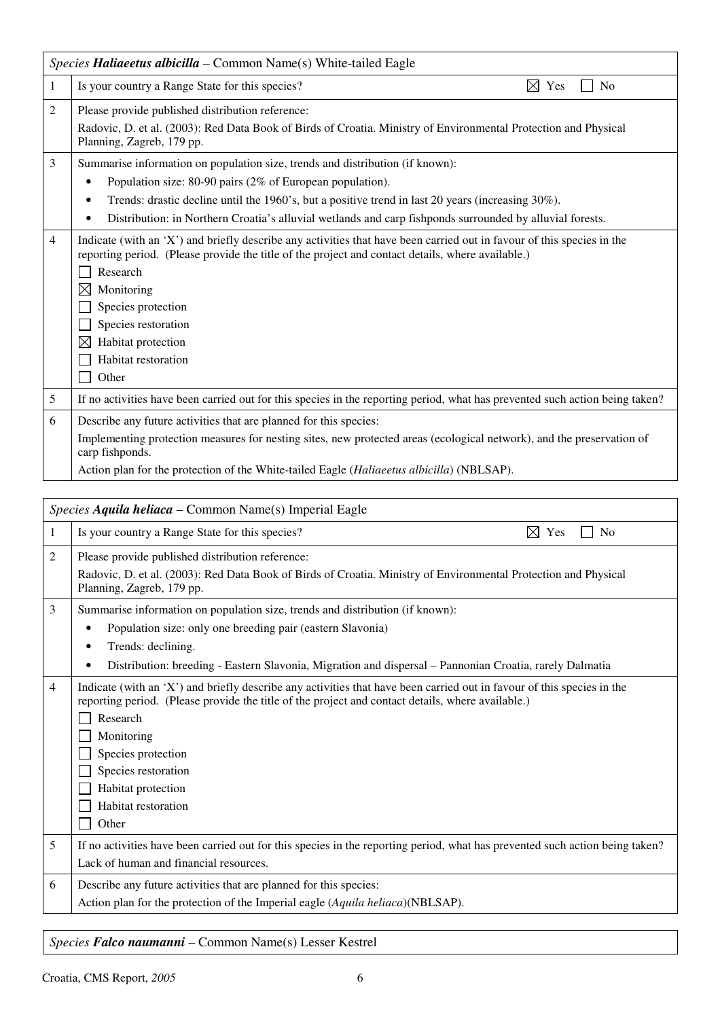|   | Species Haliaeetus albicilla – Common Name(s) White-tailed Eagle                                                                                                                                                                                                                                                                                                                       |  |  |
|---|----------------------------------------------------------------------------------------------------------------------------------------------------------------------------------------------------------------------------------------------------------------------------------------------------------------------------------------------------------------------------------------|--|--|
| 1 | $\boxtimes$ Yes<br>Is your country a Range State for this species?<br>N <sub>0</sub>                                                                                                                                                                                                                                                                                                   |  |  |
| 2 | Please provide published distribution reference:<br>Radovic, D. et al. (2003): Red Data Book of Birds of Croatia. Ministry of Environmental Protection and Physical<br>Planning, Zagreb, 179 pp.                                                                                                                                                                                       |  |  |
| 3 | Summarise information on population size, trends and distribution (if known):<br>Population size: 80-90 pairs (2% of European population).<br>٠<br>Trends: drastic decline until the 1960's, but a positive trend in last 20 years (increasing $30\%$ ).<br>٠<br>Distribution: in Northern Croatia's alluvial wetlands and carp fishponds surrounded by alluvial forests.<br>$\bullet$ |  |  |
| 4 | Indicate (with an 'X') and briefly describe any activities that have been carried out in favour of this species in the<br>reporting period. (Please provide the title of the project and contact details, where available.)<br>Research<br>Monitoring<br>$\boxtimes$<br>Species protection<br>Species restoration<br>Habitat protection<br>$\boxtimes$<br>Habitat restoration<br>Other |  |  |
| 5 | If no activities have been carried out for this species in the reporting period, what has prevented such action being taken?                                                                                                                                                                                                                                                           |  |  |
| 6 | Describe any future activities that are planned for this species:<br>Implementing protection measures for nesting sites, new protected areas (ecological network), and the preservation of<br>carp fishponds.<br>Action plan for the protection of the White-tailed Eagle (Haliaeetus albicilla) (NBLSAP).                                                                             |  |  |

|   | <i>Species Aquila heliaca – Common Name(s) Imperial Eagle</i>                                                                                                                                                                                                                                                                                            |  |  |
|---|----------------------------------------------------------------------------------------------------------------------------------------------------------------------------------------------------------------------------------------------------------------------------------------------------------------------------------------------------------|--|--|
| 1 | Is your country a Range State for this species?<br>N <sub>o</sub><br>⊠<br>Yes                                                                                                                                                                                                                                                                            |  |  |
| 2 | Please provide published distribution reference:<br>Radovic, D. et al. (2003): Red Data Book of Birds of Croatia. Ministry of Environmental Protection and Physical<br>Planning, Zagreb, 179 pp.                                                                                                                                                         |  |  |
| 3 | Summarise information on population size, trends and distribution (if known):<br>Population size: only one breeding pair (eastern Slavonia)<br>Trends: declining.<br>٠<br>Distribution: breeding - Eastern Slavonia, Migration and dispersal - Pannonian Croatia, rarely Dalmatia<br>$\bullet$                                                           |  |  |
| 4 | Indicate (with an 'X') and briefly describe any activities that have been carried out in favour of this species in the<br>reporting period. (Please provide the title of the project and contact details, where available.)<br>Research<br>Monitoring<br>Species protection<br>Species restoration<br>Habitat protection<br>Habitat restoration<br>Other |  |  |
| 5 | If no activities have been carried out for this species in the reporting period, what has prevented such action being taken?<br>Lack of human and financial resources.                                                                                                                                                                                   |  |  |
| 6 | Describe any future activities that are planned for this species:<br>Action plan for the protection of the Imperial eagle (Aquila heliaca)(NBLSAP).                                                                                                                                                                                                      |  |  |

### *Species Falco naumanni* – Common Name(s) Lesser Kestrel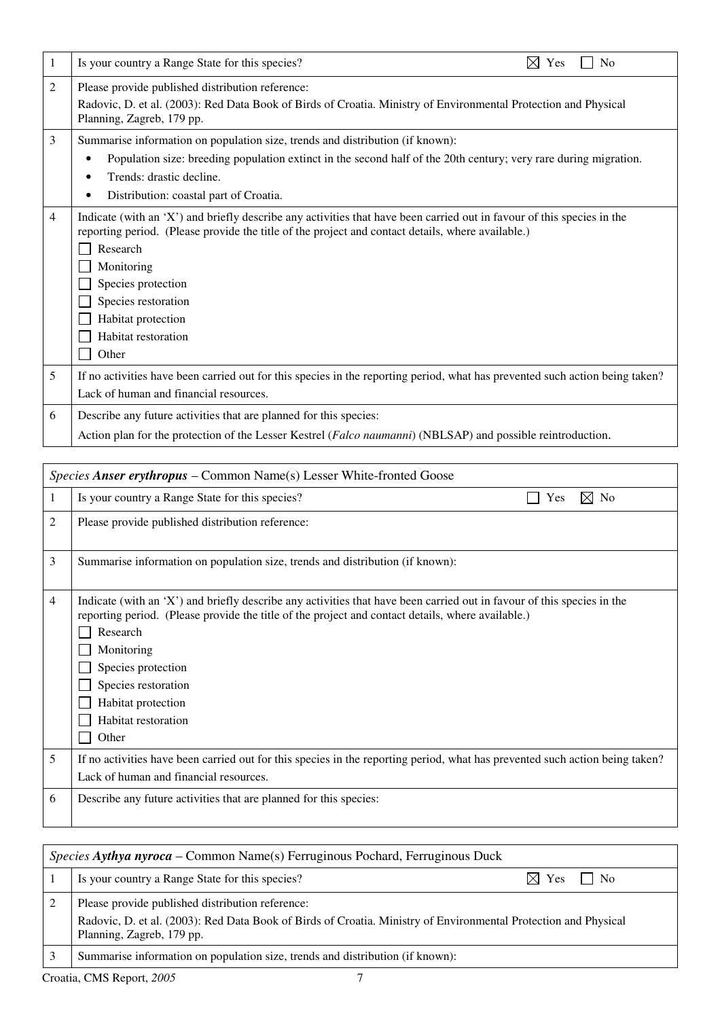| 1 | Is your country a Range State for this species?<br>N <sub>o</sub><br>Yes                                                                                                                                                                                                                                                                                 |
|---|----------------------------------------------------------------------------------------------------------------------------------------------------------------------------------------------------------------------------------------------------------------------------------------------------------------------------------------------------------|
| 2 | Please provide published distribution reference:<br>Radovic, D. et al. (2003): Red Data Book of Birds of Croatia. Ministry of Environmental Protection and Physical<br>Planning, Zagreb, 179 pp.                                                                                                                                                         |
| 3 | Summarise information on population size, trends and distribution (if known):<br>Population size: breeding population extinct in the second half of the 20th century; very rare during migration.<br>€<br>Trends: drastic decline.<br>٠<br>Distribution: coastal part of Croatia.                                                                        |
| 4 | Indicate (with an 'X') and briefly describe any activities that have been carried out in favour of this species in the<br>reporting period. (Please provide the title of the project and contact details, where available.)<br>Research<br>Monitoring<br>Species protection<br>Species restoration<br>Habitat protection<br>Habitat restoration<br>Other |
| 5 | If no activities have been carried out for this species in the reporting period, what has prevented such action being taken?<br>Lack of human and financial resources.                                                                                                                                                                                   |
| 6 | Describe any future activities that are planned for this species:<br>Action plan for the protection of the Lesser Kestrel (Falco naumanni) (NBLSAP) and possible reintroduction.                                                                                                                                                                         |

|   | Species Anser erythropus – Common Name(s) Lesser White-fronted Goose                                                                                                                                                                                                                                                                                     |  |
|---|----------------------------------------------------------------------------------------------------------------------------------------------------------------------------------------------------------------------------------------------------------------------------------------------------------------------------------------------------------|--|
|   | Is your country a Range State for this species?<br>$\boxtimes$ No<br>Yes                                                                                                                                                                                                                                                                                 |  |
| 2 | Please provide published distribution reference:                                                                                                                                                                                                                                                                                                         |  |
| 3 | Summarise information on population size, trends and distribution (if known):                                                                                                                                                                                                                                                                            |  |
| 4 | Indicate (with an 'X') and briefly describe any activities that have been carried out in favour of this species in the<br>reporting period. (Please provide the title of the project and contact details, where available.)<br>Research<br>Monitoring<br>Species protection<br>Species restoration<br>Habitat protection<br>Habitat restoration<br>Other |  |
| 5 | If no activities have been carried out for this species in the reporting period, what has prevented such action being taken?<br>Lack of human and financial resources.                                                                                                                                                                                   |  |
| 6 | Describe any future activities that are planned for this species:                                                                                                                                                                                                                                                                                        |  |

| <i>Species Aythya nyroca</i> – Common Name(s) Ferruginous Pochard, Ferruginous Duck |                                                                                                                                                                                                  |  |
|-------------------------------------------------------------------------------------|--------------------------------------------------------------------------------------------------------------------------------------------------------------------------------------------------|--|
|                                                                                     | Is your country a Range State for this species?<br>$\boxtimes$ Yes '<br>$\perp$ No                                                                                                               |  |
|                                                                                     | Please provide published distribution reference:<br>Radovic, D. et al. (2003): Red Data Book of Birds of Croatia. Ministry of Environmental Protection and Physical<br>Planning, Zagreb, 179 pp. |  |
|                                                                                     | Summarise information on population size, trends and distribution (if known):                                                                                                                    |  |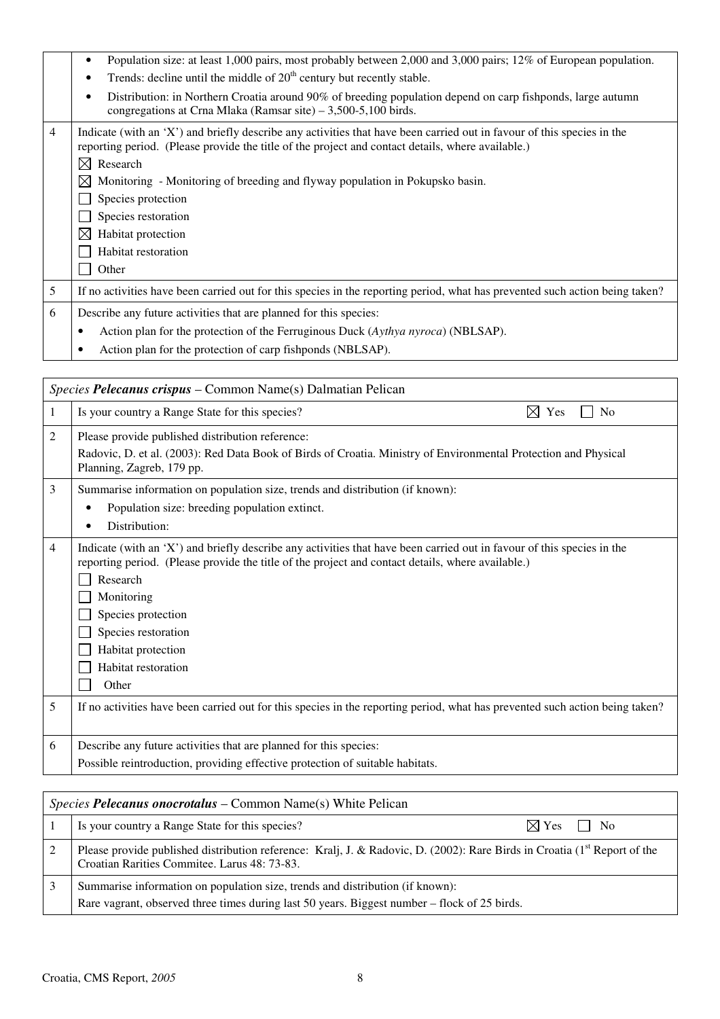|                | Population size: at least 1,000 pairs, most probably between 2,000 and 3,000 pairs; 12% of European population.<br>٠                                                                                                                                 |
|----------------|------------------------------------------------------------------------------------------------------------------------------------------------------------------------------------------------------------------------------------------------------|
|                | Trends: decline until the middle of $20th$ century but recently stable.<br>$\bullet$                                                                                                                                                                 |
|                | Distribution: in Northern Croatia around 90% of breeding population depend on carp fishponds, large autumn<br>٠<br>congregations at Crna Mlaka (Ramsar site) $-3,500-5,100$ birds.                                                                   |
| $\overline{4}$ | Indicate (with an 'X') and briefly describe any activities that have been carried out in favour of this species in the<br>reporting period. (Please provide the title of the project and contact details, where available.)<br>Research<br>$\bowtie$ |
|                |                                                                                                                                                                                                                                                      |
|                | ⊠<br>Monitoring - Monitoring of breeding and flyway population in Pokupsko basin.                                                                                                                                                                    |
|                | Species protection                                                                                                                                                                                                                                   |
|                | Species restoration                                                                                                                                                                                                                                  |
|                | $\boxtimes$<br>Habitat protection                                                                                                                                                                                                                    |
|                | Habitat restoration                                                                                                                                                                                                                                  |
|                | Other                                                                                                                                                                                                                                                |
| 5              | If no activities have been carried out for this species in the reporting period, what has prevented such action being taken?                                                                                                                         |
| 6              | Describe any future activities that are planned for this species:                                                                                                                                                                                    |
|                | Action plan for the protection of the Ferruginous Duck (Aythya nyroca) (NBLSAP).<br>$\bullet$                                                                                                                                                        |
|                | Action plan for the protection of carp fishponds (NBLSAP).<br>$\bullet$                                                                                                                                                                              |

|   | Species Pelecanus crispus – Common Name(s) Dalmatian Pelican                                                                                                                                                                                                                                                                                             |
|---|----------------------------------------------------------------------------------------------------------------------------------------------------------------------------------------------------------------------------------------------------------------------------------------------------------------------------------------------------------|
| 1 | Is your country a Range State for this species?<br>$\boxtimes$ Yes<br>N <sub>0</sub>                                                                                                                                                                                                                                                                     |
| 2 | Please provide published distribution reference:<br>Radovic, D. et al. (2003): Red Data Book of Birds of Croatia. Ministry of Environmental Protection and Physical<br>Planning, Zagreb, 179 pp.                                                                                                                                                         |
| 3 | Summarise information on population size, trends and distribution (if known):<br>Population size: breeding population extinct.<br>$\bullet$<br>Distribution:<br>$\bullet$                                                                                                                                                                                |
| 4 | Indicate (with an 'X') and briefly describe any activities that have been carried out in favour of this species in the<br>reporting period. (Please provide the title of the project and contact details, where available.)<br>Research<br>Monitoring<br>Species protection<br>Species restoration<br>Habitat protection<br>Habitat restoration<br>Other |
| 5 | If no activities have been carried out for this species in the reporting period, what has prevented such action being taken?                                                                                                                                                                                                                             |
| 6 | Describe any future activities that are planned for this species:<br>Possible reintroduction, providing effective protection of suitable habitats.                                                                                                                                                                                                       |
|   |                                                                                                                                                                                                                                                                                                                                                          |

| <i>Species Pelecanus onocrotalus – Common Name(s)</i> White Pelican           |                                                                                              |                                                                                                                              |
|-------------------------------------------------------------------------------|----------------------------------------------------------------------------------------------|------------------------------------------------------------------------------------------------------------------------------|
| Is your country a Range State for this species?                               |                                                                                              | $\boxtimes$ Yes $\Box$ No                                                                                                    |
| Croatian Rarities Commitee. Larus 48: 73-83.                                  |                                                                                              |                                                                                                                              |
| Summarise information on population size, trends and distribution (if known): |                                                                                              |                                                                                                                              |
|                                                                               | Rare vagrant, observed three times during last 50 years. Biggest number – flock of 25 birds. | Please provide published distribution reference: Kralj, J. & Radovic, D. (2002): Rare Birds in Croatia ( $1st$ Report of the |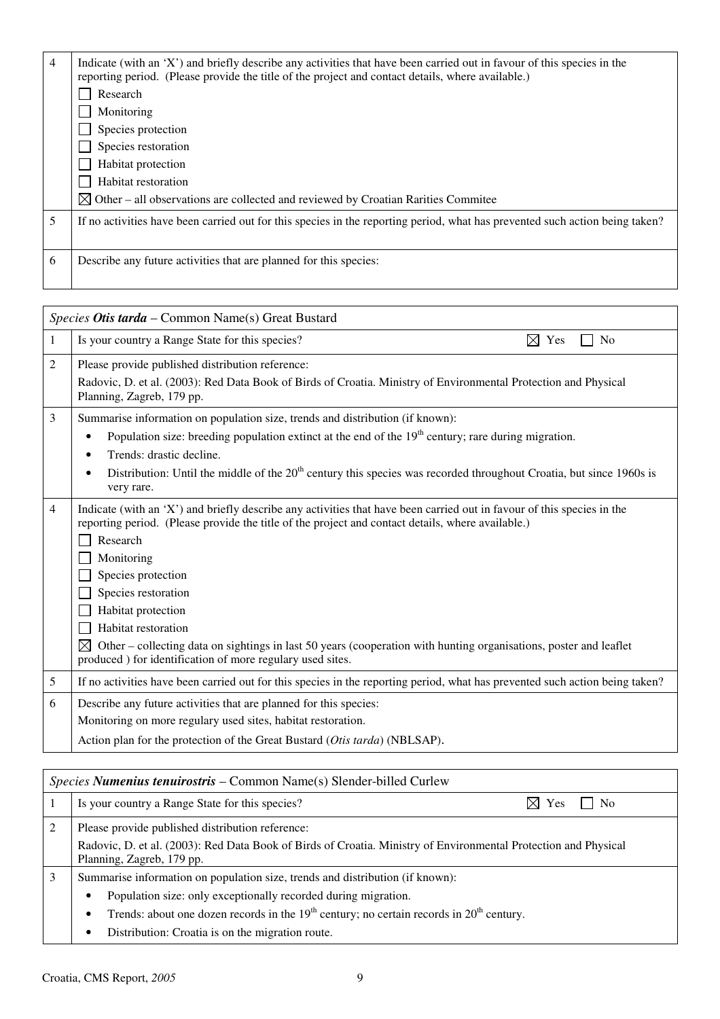| $\overline{4}$ | Indicate (with an 'X') and briefly describe any activities that have been carried out in favour of this species in the<br>reporting period. (Please provide the title of the project and contact details, where available.) |
|----------------|-----------------------------------------------------------------------------------------------------------------------------------------------------------------------------------------------------------------------------|
|                | Research                                                                                                                                                                                                                    |
|                | Monitoring                                                                                                                                                                                                                  |
|                | Species protection                                                                                                                                                                                                          |
|                | Species restoration                                                                                                                                                                                                         |
|                | Habitat protection                                                                                                                                                                                                          |
|                | Habitat restoration                                                                                                                                                                                                         |
|                | $\boxtimes$ Other – all observations are collected and reviewed by Croatian Rarities Commitee                                                                                                                               |
| 5              | If no activities have been carried out for this species in the reporting period, what has prevented such action being taken?                                                                                                |
| 6              | Describe any future activities that are planned for this species:                                                                                                                                                           |

|   | Species Otis tarda - Common Name(s) Great Bustard                                                                                                                                                                                                                                                                                                                                                                                                                                                                                                 |  |  |
|---|---------------------------------------------------------------------------------------------------------------------------------------------------------------------------------------------------------------------------------------------------------------------------------------------------------------------------------------------------------------------------------------------------------------------------------------------------------------------------------------------------------------------------------------------------|--|--|
| 1 | Is your country a Range State for this species?<br>⊠<br>Yes<br><b>No</b>                                                                                                                                                                                                                                                                                                                                                                                                                                                                          |  |  |
| 2 | Please provide published distribution reference:<br>Radovic, D. et al. (2003): Red Data Book of Birds of Croatia. Ministry of Environmental Protection and Physical<br>Planning, Zagreb, 179 pp.                                                                                                                                                                                                                                                                                                                                                  |  |  |
| 3 | Summarise information on population size, trends and distribution (if known):                                                                                                                                                                                                                                                                                                                                                                                                                                                                     |  |  |
|   | Population size: breeding population extinct at the end of the $19th$ century; rare during migration.<br>$\bullet$                                                                                                                                                                                                                                                                                                                                                                                                                                |  |  |
|   | Trends: drastic decline.<br>$\bullet$                                                                                                                                                                                                                                                                                                                                                                                                                                                                                                             |  |  |
|   | Distribution: Until the middle of the $20th$ century this species was recorded throughout Croatia, but since 1960s is<br>$\bullet$<br>very rare.                                                                                                                                                                                                                                                                                                                                                                                                  |  |  |
| 4 | Indicate (with an 'X') and briefly describe any activities that have been carried out in favour of this species in the<br>reporting period. (Please provide the title of the project and contact details, where available.)<br>Research<br>Monitoring<br>Species protection<br>Species restoration<br>Habitat protection<br>Habitat restoration<br>$\boxtimes$<br>Other – collecting data on sightings in last 50 years (cooperation with hunting organisations, poster and leaflet<br>produced ) for identification of more regulary used sites. |  |  |
| 5 | If no activities have been carried out for this species in the reporting period, what has prevented such action being taken?                                                                                                                                                                                                                                                                                                                                                                                                                      |  |  |
| 6 | Describe any future activities that are planned for this species:                                                                                                                                                                                                                                                                                                                                                                                                                                                                                 |  |  |
|   | Monitoring on more regulary used sites, habitat restoration.                                                                                                                                                                                                                                                                                                                                                                                                                                                                                      |  |  |
|   | Action plan for the protection of the Great Bustard (Otis tarda) (NBLSAP).                                                                                                                                                                                                                                                                                                                                                                                                                                                                        |  |  |

|   | <i>Species Numenius tenuirostris – Common Name(s) Slender-billed Curlew</i>                                     |  |  |
|---|-----------------------------------------------------------------------------------------------------------------|--|--|
|   | Is your country a Range State for this species?<br>$\boxtimes$ Yes<br>l No                                      |  |  |
|   | Please provide published distribution reference:                                                                |  |  |
|   | Radovic, D. et al. (2003): Red Data Book of Birds of Croatia. Ministry of Environmental Protection and Physical |  |  |
|   | Planning, Zagreb, 179 pp.                                                                                       |  |  |
| 3 | Summarise information on population size, trends and distribution (if known):                                   |  |  |
|   | Population size: only exceptionally recorded during migration.<br>$\bullet$                                     |  |  |
|   | Trends: about one dozen records in the $19th$ century; no certain records in $20th$ century.<br>$\bullet$       |  |  |
|   | Distribution: Croatia is on the migration route.<br>$\bullet$                                                   |  |  |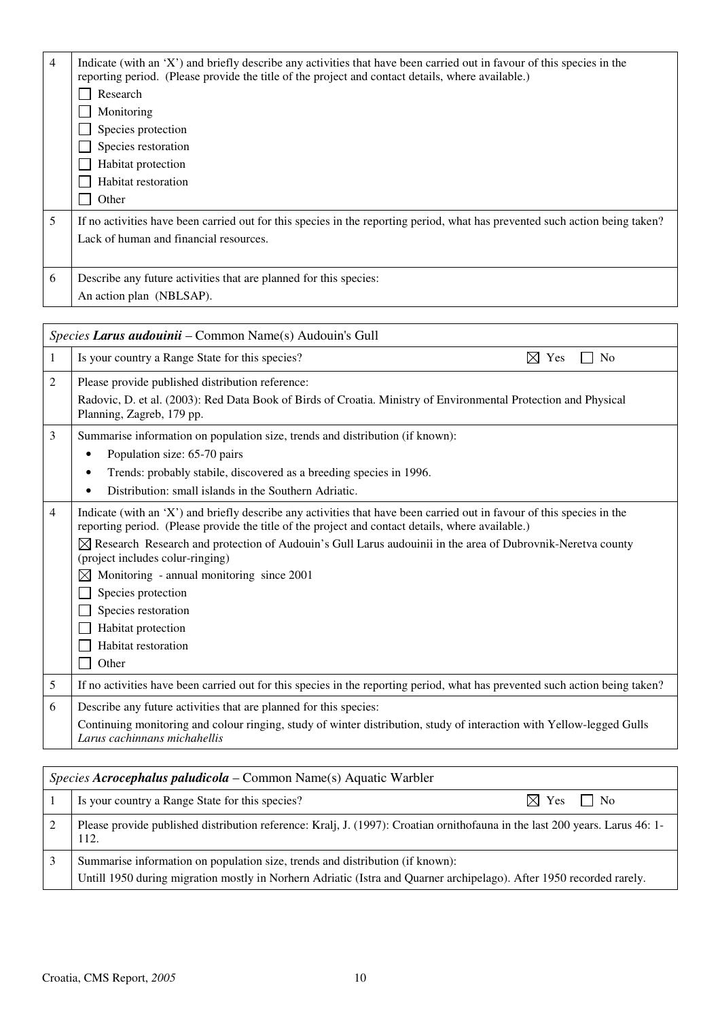| $\overline{4}$ | Indicate (with an 'X') and briefly describe any activities that have been carried out in favour of this species in the<br>reporting period. (Please provide the title of the project and contact details, where available.)<br>Research<br>Monitoring<br>Species protection |
|----------------|-----------------------------------------------------------------------------------------------------------------------------------------------------------------------------------------------------------------------------------------------------------------------------|
|                | Species restoration<br>Habitat protection<br>Habitat restoration<br>Other                                                                                                                                                                                                   |
| 5              | If no activities have been carried out for this species in the reporting period, what has prevented such action being taken?<br>Lack of human and financial resources.                                                                                                      |
| 6              | Describe any future activities that are planned for this species:<br>An action plan (NBLSAP).                                                                                                                                                                               |

|                | Species Larus audouinii - Common Name(s) Audouin's Gull                                                                                                                                                                                                                                                                                                                                                                                                                                                                                                |  |  |
|----------------|--------------------------------------------------------------------------------------------------------------------------------------------------------------------------------------------------------------------------------------------------------------------------------------------------------------------------------------------------------------------------------------------------------------------------------------------------------------------------------------------------------------------------------------------------------|--|--|
| 1              | Is your country a Range State for this species?<br>$\boxtimes$ Yes<br>N <sub>o</sub>                                                                                                                                                                                                                                                                                                                                                                                                                                                                   |  |  |
| 2              | Please provide published distribution reference:<br>Radovic, D. et al. (2003): Red Data Book of Birds of Croatia. Ministry of Environmental Protection and Physical<br>Planning, Zagreb, 179 pp.                                                                                                                                                                                                                                                                                                                                                       |  |  |
| 3              | Summarise information on population size, trends and distribution (if known):<br>Population size: 65-70 pairs<br>٠<br>Trends: probably stabile, discovered as a breeding species in 1996.<br>$\bullet$<br>Distribution: small islands in the Southern Adriatic.<br>$\bullet$                                                                                                                                                                                                                                                                           |  |  |
| $\overline{4}$ | Indicate (with an 'X') and briefly describe any activities that have been carried out in favour of this species in the<br>reporting period. (Please provide the title of the project and contact details, where available.)<br>$\boxtimes$ Research Research and protection of Audouin's Gull Larus audouinii in the area of Dubrovnik-Neretva county<br>(project includes colur-ringing)<br>Monitoring - annual monitoring since 2001<br>$\bowtie$<br>Species protection<br>Species restoration<br>Habitat protection<br>Habitat restoration<br>Other |  |  |
| 5              | If no activities have been carried out for this species in the reporting period, what has prevented such action being taken?                                                                                                                                                                                                                                                                                                                                                                                                                           |  |  |
| 6              | Describe any future activities that are planned for this species:<br>Continuing monitoring and colour ringing, study of winter distribution, study of interaction with Yellow-legged Gulls<br>Larus cachinnans michahellis                                                                                                                                                                                                                                                                                                                             |  |  |

| <i>Species Acrocephalus paludicola</i> – Common Name(s) Aquatic Warbler                                                              |  |
|--------------------------------------------------------------------------------------------------------------------------------------|--|
| Is your country a Range State for this species?<br>$\boxtimes$ Yes $\Box$ No                                                         |  |
| Please provide published distribution reference: Kralj, J. (1997): Croatian ornithofauna in the last 200 years. Larus 46: 1-<br>112. |  |
| Summarise information on population size, trends and distribution (if known):                                                        |  |
| Untill 1950 during migration mostly in Norhern Adriatic (Istra and Quarner archipelago). After 1950 recorded rarely.                 |  |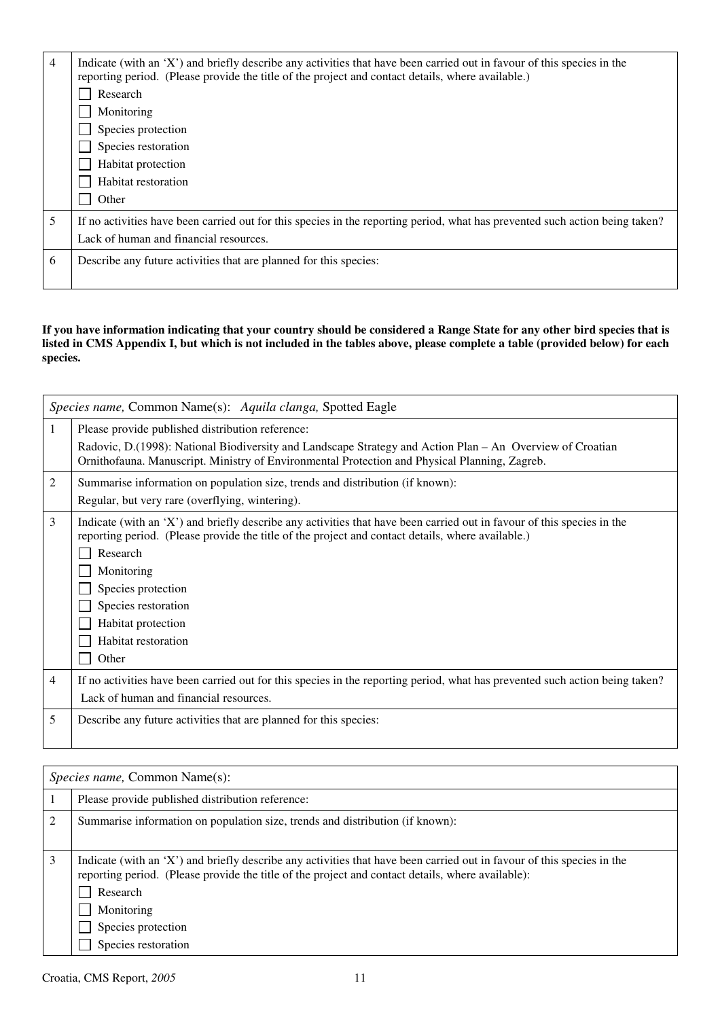| 4 | Indicate (with an 'X') and briefly describe any activities that have been carried out in favour of this species in the<br>reporting period. (Please provide the title of the project and contact details, where available.) |
|---|-----------------------------------------------------------------------------------------------------------------------------------------------------------------------------------------------------------------------------|
|   | Research                                                                                                                                                                                                                    |
|   | Monitoring                                                                                                                                                                                                                  |
|   | Species protection                                                                                                                                                                                                          |
|   | Species restoration                                                                                                                                                                                                         |
|   | Habitat protection                                                                                                                                                                                                          |
|   | Habitat restoration                                                                                                                                                                                                         |
|   | Other                                                                                                                                                                                                                       |
| 5 | If no activities have been carried out for this species in the reporting period, what has prevented such action being taken?                                                                                                |
|   | Lack of human and financial resources.                                                                                                                                                                                      |
| 6 | Describe any future activities that are planned for this species:                                                                                                                                                           |
|   |                                                                                                                                                                                                                             |

**If you have information indicating that your country should be considered a Range State for any other bird species that is listed in CMS Appendix I, but which is not included in the tables above, please complete a table (provided below) for each species.** 

|                | Species name, Common Name(s): Aquila clanga, Spotted Eagle                                                                                                                                                                                                                                                                                               |
|----------------|----------------------------------------------------------------------------------------------------------------------------------------------------------------------------------------------------------------------------------------------------------------------------------------------------------------------------------------------------------|
| 1              | Please provide published distribution reference:<br>Radovic, D. (1998): National Biodiversity and Landscape Strategy and Action Plan – An Overview of Croatian                                                                                                                                                                                           |
|                | Ornithofauna. Manuscript. Ministry of Environmental Protection and Physical Planning, Zagreb.                                                                                                                                                                                                                                                            |
| 2              | Summarise information on population size, trends and distribution (if known):                                                                                                                                                                                                                                                                            |
|                | Regular, but very rare (overflying, wintering).                                                                                                                                                                                                                                                                                                          |
| 3              | Indicate (with an 'X') and briefly describe any activities that have been carried out in favour of this species in the<br>reporting period. (Please provide the title of the project and contact details, where available.)<br>Research<br>Monitoring<br>Species protection<br>Species restoration<br>Habitat protection<br>Habitat restoration<br>Other |
| $\overline{4}$ | If no activities have been carried out for this species in the reporting period, what has prevented such action being taken?                                                                                                                                                                                                                             |
|                | Lack of human and financial resources.                                                                                                                                                                                                                                                                                                                   |
| 5              | Describe any future activities that are planned for this species:                                                                                                                                                                                                                                                                                        |

|   | <i>Species name, Common Name(s):</i>                                                                                                                                                                                                                                                               |  |  |
|---|----------------------------------------------------------------------------------------------------------------------------------------------------------------------------------------------------------------------------------------------------------------------------------------------------|--|--|
|   | Please provide published distribution reference:                                                                                                                                                                                                                                                   |  |  |
| 2 | Summarise information on population size, trends and distribution (if known):                                                                                                                                                                                                                      |  |  |
| 3 | Indicate (with an 'X') and briefly describe any activities that have been carried out in favour of this species in the<br>reporting period. (Please provide the title of the project and contact details, where available):<br>Research<br>Monitoring<br>Species protection<br>Species restoration |  |  |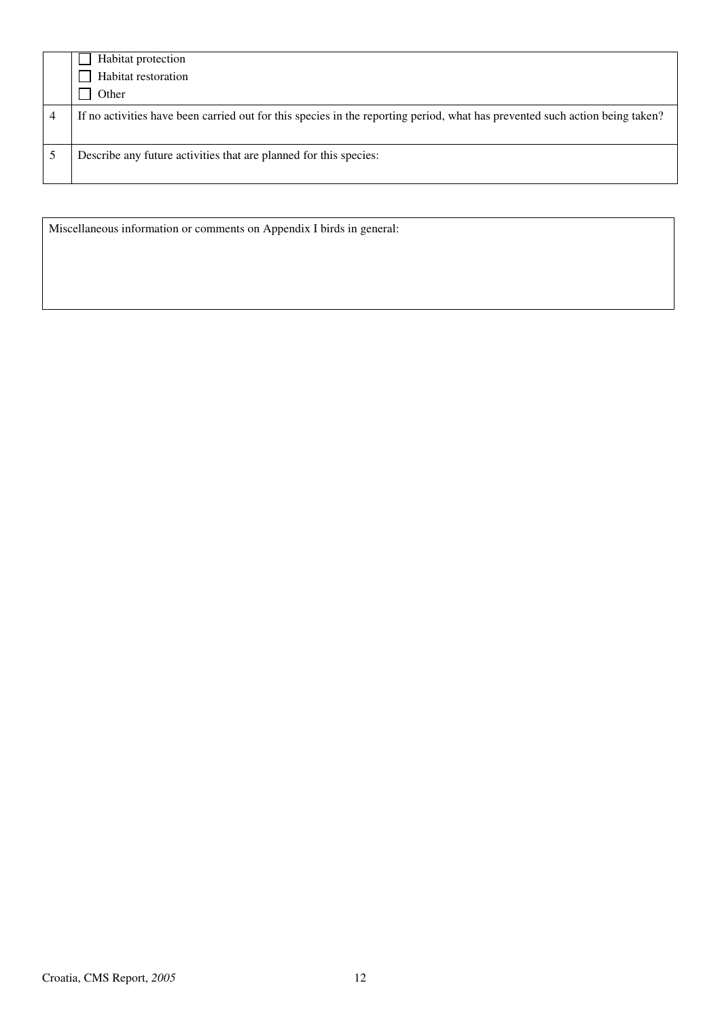| Habitat protection                                                                                                           |
|------------------------------------------------------------------------------------------------------------------------------|
| Habitat restoration                                                                                                          |
| Other                                                                                                                        |
| If no activities have been carried out for this species in the reporting period, what has prevented such action being taken? |
| Describe any future activities that are planned for this species:                                                            |

Miscellaneous information or comments on Appendix I birds in general: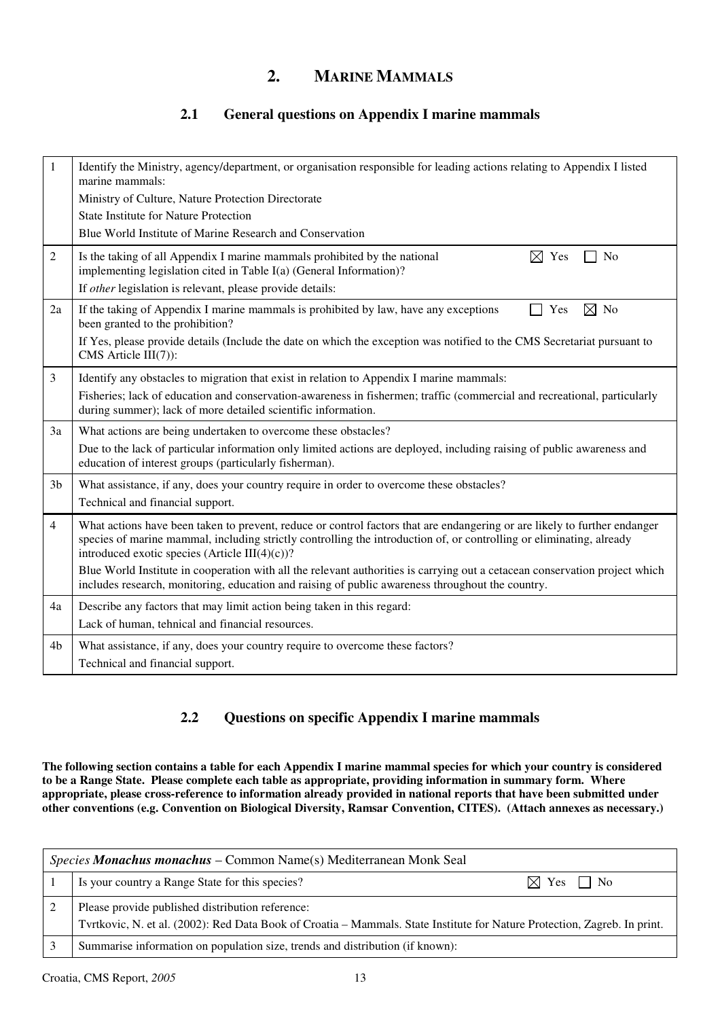### **2. MARINE MAMMALS**

### **2.1 General questions on Appendix I marine mammals**

| 1              | Identify the Ministry, agency/department, or organisation responsible for leading actions relating to Appendix I listed<br>marine mammals:                                                                                                                                                              |
|----------------|---------------------------------------------------------------------------------------------------------------------------------------------------------------------------------------------------------------------------------------------------------------------------------------------------------|
|                | Ministry of Culture, Nature Protection Directorate                                                                                                                                                                                                                                                      |
|                | <b>State Institute for Nature Protection</b>                                                                                                                                                                                                                                                            |
|                | Blue World Institute of Marine Research and Conservation                                                                                                                                                                                                                                                |
| $\overline{2}$ | Is the taking of all Appendix I marine mammals prohibited by the national<br>$\boxtimes$ Yes<br>No<br>implementing legislation cited in Table I(a) (General Information)?                                                                                                                               |
|                | If other legislation is relevant, please provide details:                                                                                                                                                                                                                                               |
| 2a             | $\boxtimes$<br>N <sub>o</sub><br>If the taking of Appendix I marine mammals is prohibited by law, have any exceptions<br>Yes<br>been granted to the prohibition?                                                                                                                                        |
|                | If Yes, please provide details (Include the date on which the exception was notified to the CMS Secretariat pursuant to<br>CMS Article $III(7)$ :                                                                                                                                                       |
| 3              | Identify any obstacles to migration that exist in relation to Appendix I marine mammals:                                                                                                                                                                                                                |
|                | Fisheries; lack of education and conservation-awareness in fishermen; traffic (commercial and recreational, particularly<br>during summer); lack of more detailed scientific information.                                                                                                               |
| 3a             | What actions are being undertaken to overcome these obstacles?                                                                                                                                                                                                                                          |
|                | Due to the lack of particular information only limited actions are deployed, including raising of public awareness and<br>education of interest groups (particularly fisherman).                                                                                                                        |
| 3 <sub>b</sub> | What assistance, if any, does your country require in order to overcome these obstacles?                                                                                                                                                                                                                |
|                | Technical and financial support.                                                                                                                                                                                                                                                                        |
| $\overline{4}$ | What actions have been taken to prevent, reduce or control factors that are endangering or are likely to further endanger<br>species of marine mammal, including strictly controlling the introduction of, or controlling or eliminating, already<br>introduced exotic species (Article III $(4)(c)$ )? |
|                | Blue World Institute in cooperation with all the relevant authorities is carrying out a cetacean conservation project which<br>includes research, monitoring, education and raising of public awareness throughout the country.                                                                         |
| 4a             | Describe any factors that may limit action being taken in this regard:                                                                                                                                                                                                                                  |
|                | Lack of human, tehnical and financial resources.                                                                                                                                                                                                                                                        |
| 4 <sub>b</sub> | What assistance, if any, does your country require to overcome these factors?                                                                                                                                                                                                                           |
|                | Technical and financial support.                                                                                                                                                                                                                                                                        |

### **2.2 Questions on specific Appendix I marine mammals**

**The following section contains a table for each Appendix I marine mammal species for which your country is considered to be a Range State. Please complete each table as appropriate, providing information in summary form. Where appropriate, please cross-reference to information already provided in national reports that have been submitted under other conventions (e.g. Convention on Biological Diversity, Ramsar Convention, CITES). (Attach annexes as necessary.)** 

| <i>Species Monachus monachus – Common Name(s) Mediterranean Monk Seal</i> |                                                                                                                                                                               |
|---------------------------------------------------------------------------|-------------------------------------------------------------------------------------------------------------------------------------------------------------------------------|
|                                                                           | Is your country a Range State for this species?<br>$\boxtimes$ Yes '<br>$\mathsf{I}$ No                                                                                       |
|                                                                           | Please provide published distribution reference:<br>Tvrtkovic, N. et al. (2002): Red Data Book of Croatia - Mammals. State Institute for Nature Protection, Zagreb. In print. |
|                                                                           | Summarise information on population size, trends and distribution (if known):                                                                                                 |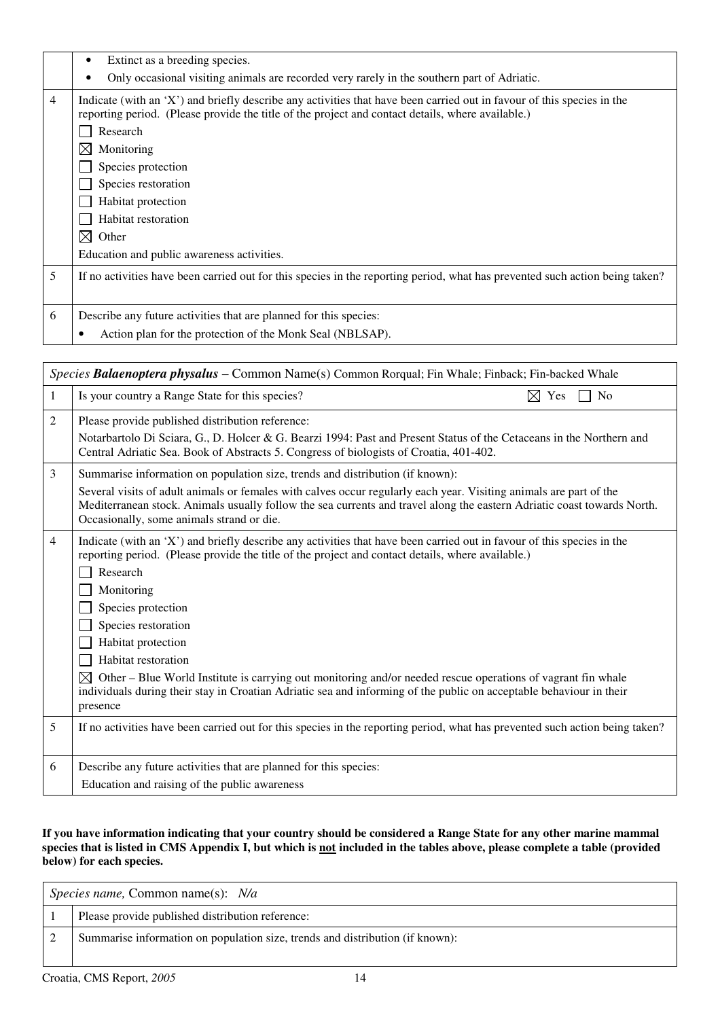|   | Extinct as a breeding species.<br>٠                                                                                                                                                                                                                                                                                           |
|---|-------------------------------------------------------------------------------------------------------------------------------------------------------------------------------------------------------------------------------------------------------------------------------------------------------------------------------|
|   | Only occasional visiting animals are recorded very rarely in the southern part of Adriatic.<br>٠                                                                                                                                                                                                                              |
| 4 | Indicate (with an 'X') and briefly describe any activities that have been carried out in favour of this species in the<br>reporting period. (Please provide the title of the project and contact details, where available.)<br>Research<br>M<br>Monitoring<br>Species protection<br>Species restoration<br>Habitat protection |
|   | Habitat restoration                                                                                                                                                                                                                                                                                                           |
|   | $\bowtie$<br>Other                                                                                                                                                                                                                                                                                                            |
|   | Education and public awareness activities.                                                                                                                                                                                                                                                                                    |
| 5 | If no activities have been carried out for this species in the reporting period, what has prevented such action being taken?                                                                                                                                                                                                  |
| 6 | Describe any future activities that are planned for this species:                                                                                                                                                                                                                                                             |
|   | Action plan for the protection of the Monk Seal (NBLSAP).<br>٠                                                                                                                                                                                                                                                                |

|                | Species Balaenoptera physalus - Common Name(s) Common Rorqual; Fin Whale; Finback; Fin-backed Whale                                                                                                                                                                                                                                                                                                                                                                                                                                                                                                     |  |
|----------------|---------------------------------------------------------------------------------------------------------------------------------------------------------------------------------------------------------------------------------------------------------------------------------------------------------------------------------------------------------------------------------------------------------------------------------------------------------------------------------------------------------------------------------------------------------------------------------------------------------|--|
| 1              | Is your country a Range State for this species?<br>$\boxtimes$ Yes<br>No                                                                                                                                                                                                                                                                                                                                                                                                                                                                                                                                |  |
| 2              | Please provide published distribution reference:<br>Notarbartolo Di Sciara, G., D. Holcer & G. Bearzi 1994: Past and Present Status of the Cetaceans in the Northern and<br>Central Adriatic Sea. Book of Abstracts 5. Congress of biologists of Croatia, 401-402.                                                                                                                                                                                                                                                                                                                                      |  |
| 3              | Summarise information on population size, trends and distribution (if known):<br>Several visits of adult animals or females with calves occur regularly each year. Visiting animals are part of the<br>Mediterranean stock. Animals usually follow the sea currents and travel along the eastern Adriatic coast towards North.<br>Occasionally, some animals strand or die.                                                                                                                                                                                                                             |  |
| $\overline{4}$ | Indicate (with an 'X') and briefly describe any activities that have been carried out in favour of this species in the<br>reporting period. (Please provide the title of the project and contact details, where available.)<br>Research<br>Monitoring<br>Species protection<br>Species restoration<br>Habitat protection<br>Habitat restoration<br>⊠<br>Other – Blue World Institute is carrying out monitoring and/or needed rescue operations of vagrant fin whale<br>individuals during their stay in Croatian Adriatic sea and informing of the public on acceptable behaviour in their<br>presence |  |
| 5              | If no activities have been carried out for this species in the reporting period, what has prevented such action being taken?                                                                                                                                                                                                                                                                                                                                                                                                                                                                            |  |
| 6              | Describe any future activities that are planned for this species:<br>Education and raising of the public awareness                                                                                                                                                                                                                                                                                                                                                                                                                                                                                      |  |

**If you have information indicating that your country should be considered a Range State for any other marine mammal species that is listed in CMS Appendix I, but which is not included in the tables above, please complete a table (provided below) for each species.** 

| <i>Species name,</i> Common name(s): $N/a$                                    |  |
|-------------------------------------------------------------------------------|--|
| Please provide published distribution reference:                              |  |
| Summarise information on population size, trends and distribution (if known): |  |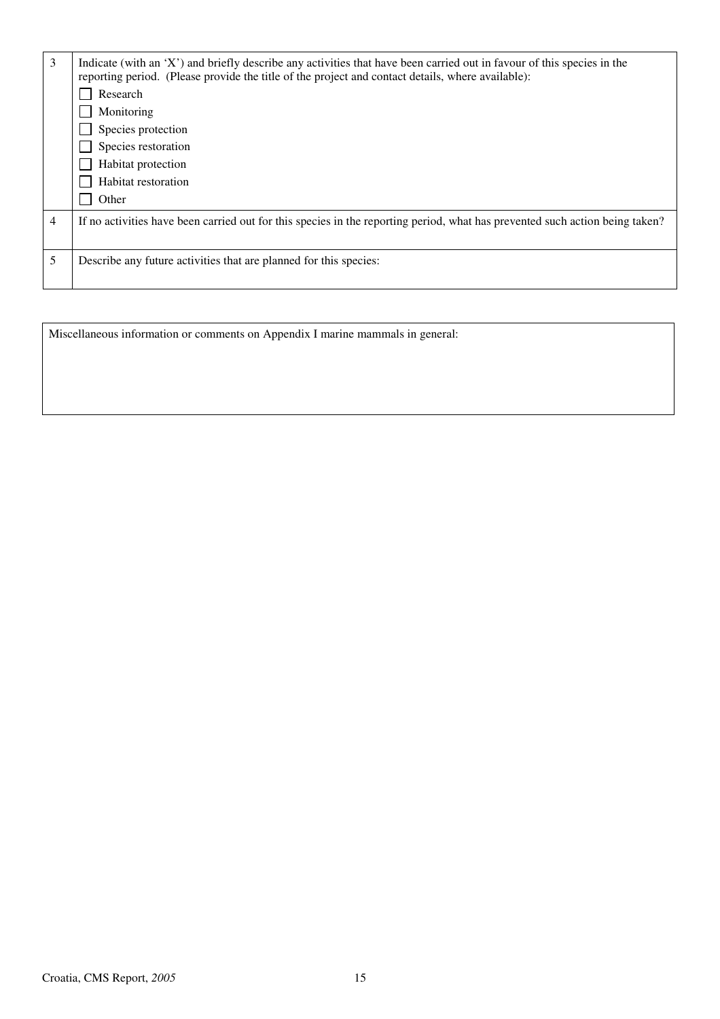| 3 | Indicate (with an 'X') and briefly describe any activities that have been carried out in favour of this species in the<br>reporting period. (Please provide the title of the project and contact details, where available): |
|---|-----------------------------------------------------------------------------------------------------------------------------------------------------------------------------------------------------------------------------|
|   | Research                                                                                                                                                                                                                    |
|   | Monitoring                                                                                                                                                                                                                  |
|   | Species protection                                                                                                                                                                                                          |
|   | Species restoration                                                                                                                                                                                                         |
|   | Habitat protection                                                                                                                                                                                                          |
|   | Habitat restoration                                                                                                                                                                                                         |
|   | Other                                                                                                                                                                                                                       |
| 4 | If no activities have been carried out for this species in the reporting period, what has prevented such action being taken?                                                                                                |
| 5 | Describe any future activities that are planned for this species:                                                                                                                                                           |

Miscellaneous information or comments on Appendix I marine mammals in general: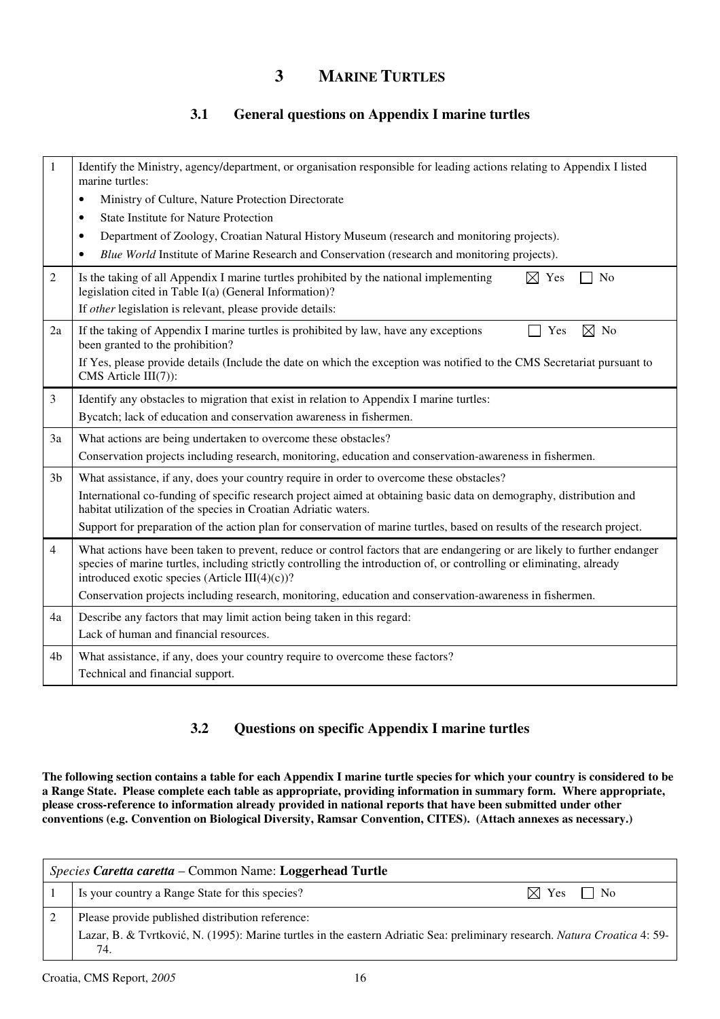### **3 MARINE TURTLES**

### **3.1 General questions on Appendix I marine turtles**

| 1              | Identify the Ministry, agency/department, or organisation responsible for leading actions relating to Appendix I listed<br>marine turtles:                                                                                                                                                           |
|----------------|------------------------------------------------------------------------------------------------------------------------------------------------------------------------------------------------------------------------------------------------------------------------------------------------------|
|                | Ministry of Culture, Nature Protection Directorate<br>$\bullet$                                                                                                                                                                                                                                      |
|                | <b>State Institute for Nature Protection</b><br>$\bullet$                                                                                                                                                                                                                                            |
|                | Department of Zoology, Croatian Natural History Museum (research and monitoring projects).<br>$\bullet$                                                                                                                                                                                              |
|                | Blue World Institute of Marine Research and Conservation (research and monitoring projects).<br>٠                                                                                                                                                                                                    |
| 2              | $\boxtimes$ Yes<br>Is the taking of all Appendix I marine turtles prohibited by the national implementing<br>N <sub>0</sub><br>legislation cited in Table I(a) (General Information)?                                                                                                                |
|                | If other legislation is relevant, please provide details:                                                                                                                                                                                                                                            |
| 2a             | $\boxtimes$ No<br>If the taking of Appendix I marine turtles is prohibited by law, have any exceptions<br>Yes<br>been granted to the prohibition?                                                                                                                                                    |
|                | If Yes, please provide details (Include the date on which the exception was notified to the CMS Secretariat pursuant to<br>CMS Article III(7)):                                                                                                                                                      |
| 3              | Identify any obstacles to migration that exist in relation to Appendix I marine turtles:                                                                                                                                                                                                             |
|                | Bycatch; lack of education and conservation awareness in fishermen.                                                                                                                                                                                                                                  |
| 3a             | What actions are being undertaken to overcome these obstacles?                                                                                                                                                                                                                                       |
|                | Conservation projects including research, monitoring, education and conservation-awareness in fishermen.                                                                                                                                                                                             |
| 3 <sub>b</sub> | What assistance, if any, does your country require in order to overcome these obstacles?                                                                                                                                                                                                             |
|                | International co-funding of specific research project aimed at obtaining basic data on demography, distribution and<br>habitat utilization of the species in Croatian Adriatic waters.                                                                                                               |
|                | Support for preparation of the action plan for conservation of marine turtles, based on results of the research project.                                                                                                                                                                             |
| $\overline{4}$ | What actions have been taken to prevent, reduce or control factors that are endangering or are likely to further endanger<br>species of marine turtles, including strictly controlling the introduction of, or controlling or eliminating, already<br>introduced exotic species (Article III(4)(c))? |
|                | Conservation projects including research, monitoring, education and conservation-awareness in fishermen.                                                                                                                                                                                             |
| 4a             | Describe any factors that may limit action being taken in this regard:                                                                                                                                                                                                                               |
|                | Lack of human and financial resources.                                                                                                                                                                                                                                                               |
| 4b             | What assistance, if any, does your country require to overcome these factors?                                                                                                                                                                                                                        |
|                | Technical and financial support.                                                                                                                                                                                                                                                                     |

### **3.2 Questions on specific Appendix I marine turtles**

**The following section contains a table for each Appendix I marine turtle species for which your country is considered to be a Range State. Please complete each table as appropriate, providing information in summary form. Where appropriate, please cross-reference to information already provided in national reports that have been submitted under other conventions (e.g. Convention on Biological Diversity, Ramsar Convention, CITES). (Attach annexes as necessary.)** 

| Species Caretta caretta – Common Name: Loggerhead Turtle |                                                                                                                                   |                                   |
|----------------------------------------------------------|-----------------------------------------------------------------------------------------------------------------------------------|-----------------------------------|
|                                                          | Is your country a Range State for this species?                                                                                   | $\boxtimes$ Yes<br>N <sub>0</sub> |
|                                                          | Please provide published distribution reference:                                                                                  |                                   |
|                                                          | Lazar, B. & Tvrtković, N. (1995): Marine turtles in the eastern Adriatic Sea: preliminary research. Natura Croatica 4: 59-<br>74. |                                   |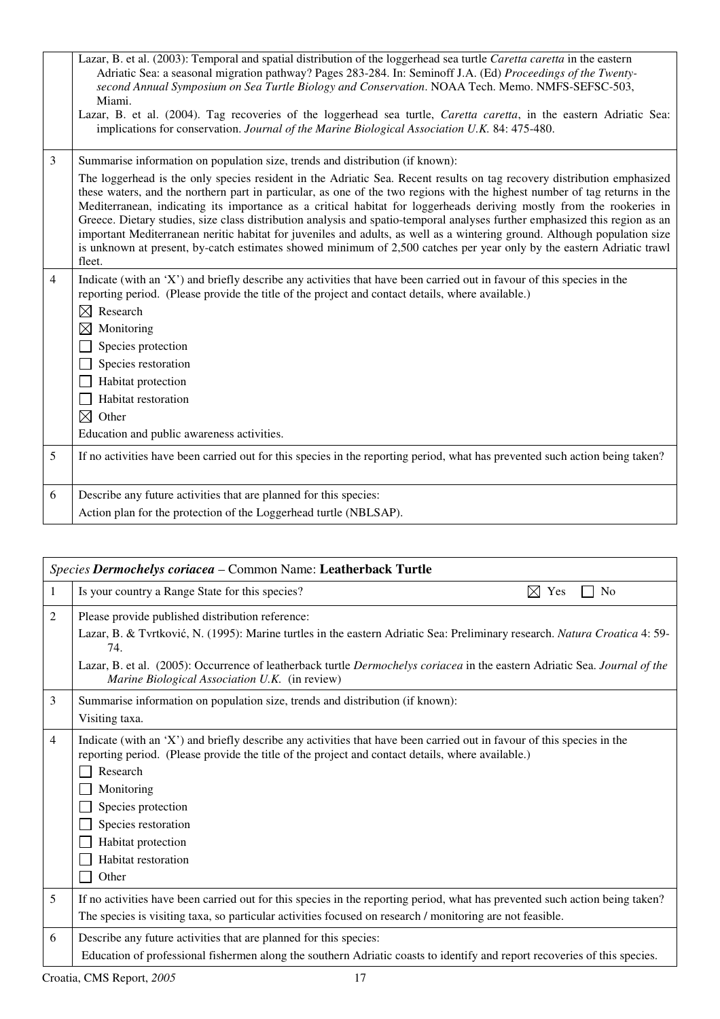|                | Lazar, B. et al. (2003): Temporal and spatial distribution of the loggerhead sea turtle Caretta caretta in the eastern<br>Adriatic Sea: a seasonal migration pathway? Pages 283-284. In: Seminoff J.A. (Ed) Proceedings of the Twenty-<br>second Annual Symposium on Sea Turtle Biology and Conservation. NOAA Tech. Memo. NMFS-SEFSC-503,<br>Miami.<br>Lazar, B. et al. (2004). Tag recoveries of the loggerhead sea turtle, Caretta caretta, in the eastern Adriatic Sea:<br>implications for conservation. Journal of the Marine Biological Association U.K. 84: 475-480.                                                                                                                                                                                                                                                                                  |
|----------------|---------------------------------------------------------------------------------------------------------------------------------------------------------------------------------------------------------------------------------------------------------------------------------------------------------------------------------------------------------------------------------------------------------------------------------------------------------------------------------------------------------------------------------------------------------------------------------------------------------------------------------------------------------------------------------------------------------------------------------------------------------------------------------------------------------------------------------------------------------------|
| 3              | Summarise information on population size, trends and distribution (if known):<br>The loggerhead is the only species resident in the Adriatic Sea. Recent results on tag recovery distribution emphasized<br>these waters, and the northern part in particular, as one of the two regions with the highest number of tag returns in the<br>Mediterranean, indicating its importance as a critical habitat for loggerheads deriving mostly from the rookeries in<br>Greece. Dietary studies, size class distribution analysis and spatio-temporal analyses further emphasized this region as an<br>important Mediterranean neritic habitat for juveniles and adults, as well as a wintering ground. Although population size<br>is unknown at present, by-catch estimates showed minimum of 2,500 catches per year only by the eastern Adriatic trawl<br>fleet. |
| $\overline{4}$ | Indicate (with an 'X') and briefly describe any activities that have been carried out in favour of this species in the<br>reporting period. (Please provide the title of the project and contact details, where available.)<br>$\boxtimes$ Research<br>$\boxtimes$<br>Monitoring<br>Species protection<br>Species restoration<br>Habitat protection<br>Habitat restoration<br>$\boxtimes$ Other<br>Education and public awareness activities.                                                                                                                                                                                                                                                                                                                                                                                                                 |
| 5              | If no activities have been carried out for this species in the reporting period, what has prevented such action being taken?                                                                                                                                                                                                                                                                                                                                                                                                                                                                                                                                                                                                                                                                                                                                  |
| 6              | Describe any future activities that are planned for this species:<br>Action plan for the protection of the Loggerhead turtle (NBLSAP).                                                                                                                                                                                                                                                                                                                                                                                                                                                                                                                                                                                                                                                                                                                        |

| Species Dermochelys coriacea - Common Name: Leatherback Turtle |                                                                                                                                                                                                                                                                                                                                                                       |
|----------------------------------------------------------------|-----------------------------------------------------------------------------------------------------------------------------------------------------------------------------------------------------------------------------------------------------------------------------------------------------------------------------------------------------------------------|
| 1                                                              | Is your country a Range State for this species?<br>⊠<br>Yes<br>N <sub>0</sub>                                                                                                                                                                                                                                                                                         |
| $\overline{2}$                                                 | Please provide published distribution reference:<br>Lazar, B. & Tvrtković, N. (1995): Marine turtles in the eastern Adriatic Sea: Preliminary research. Natura Croatica 4: 59-<br>74.<br>Lazar, B. et al. (2005): Occurrence of leatherback turtle Dermochelys coriacea in the eastern Adriatic Sea. Journal of the<br>Marine Biological Association U.K. (in review) |
| 3                                                              | Summarise information on population size, trends and distribution (if known):<br>Visiting taxa.                                                                                                                                                                                                                                                                       |
| $\overline{4}$                                                 | Indicate (with an 'X') and briefly describe any activities that have been carried out in favour of this species in the<br>reporting period. (Please provide the title of the project and contact details, where available.)<br>Research<br>Monitoring<br>Species protection<br>Species restoration<br>Habitat protection<br>Habitat restoration<br>Other              |
| 5                                                              | If no activities have been carried out for this species in the reporting period, what has prevented such action being taken?<br>The species is visiting taxa, so particular activities focused on research / monitoring are not feasible.                                                                                                                             |
| 6                                                              | Describe any future activities that are planned for this species:<br>Education of professional fishermen along the southern Adriatic coasts to identify and report recoveries of this species.                                                                                                                                                                        |
|                                                                | Croatia, CMS Report, 2005<br>17                                                                                                                                                                                                                                                                                                                                       |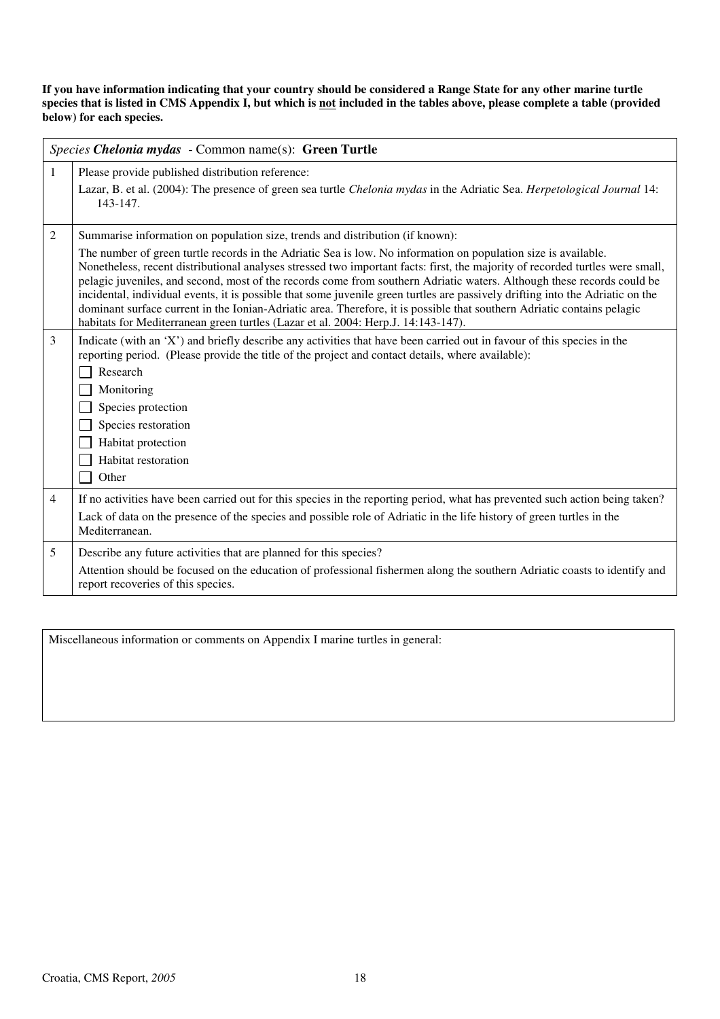**If you have information indicating that your country should be considered a Range State for any other marine turtle**  species that is listed in CMS Appendix I, but which is <u>not</u> included in the tables above, please complete a table (provided **below) for each species.** 

|                | Species Chelonia mydas - Common name(s): Green Turtle                                                                                                                                                                                                                                                                                                                                                                                                                                                                                                                                                                                                                                                                       |  |
|----------------|-----------------------------------------------------------------------------------------------------------------------------------------------------------------------------------------------------------------------------------------------------------------------------------------------------------------------------------------------------------------------------------------------------------------------------------------------------------------------------------------------------------------------------------------------------------------------------------------------------------------------------------------------------------------------------------------------------------------------------|--|
| $\mathbf{1}$   | Please provide published distribution reference:                                                                                                                                                                                                                                                                                                                                                                                                                                                                                                                                                                                                                                                                            |  |
|                | Lazar, B. et al. (2004): The presence of green sea turtle Chelonia mydas in the Adriatic Sea. Herpetological Journal 14:<br>143-147.                                                                                                                                                                                                                                                                                                                                                                                                                                                                                                                                                                                        |  |
| $\mathfrak{2}$ | Summarise information on population size, trends and distribution (if known):                                                                                                                                                                                                                                                                                                                                                                                                                                                                                                                                                                                                                                               |  |
|                | The number of green turtle records in the Adriatic Sea is low. No information on population size is available.<br>Nonetheless, recent distributional analyses stressed two important facts: first, the majority of recorded turtles were small,<br>pelagic juveniles, and second, most of the records come from southern Adriatic waters. Although these records could be<br>incidental, individual events, it is possible that some juvenile green turtles are passively drifting into the Adriatic on the<br>dominant surface current in the Ionian-Adriatic area. Therefore, it is possible that southern Adriatic contains pelagic<br>habitats for Mediterranean green turtles (Lazar et al. 2004: Herp.J. 14:143-147). |  |
| $\mathfrak{Z}$ | Indicate (with an 'X') and briefly describe any activities that have been carried out in favour of this species in the<br>reporting period. (Please provide the title of the project and contact details, where available):<br>Research                                                                                                                                                                                                                                                                                                                                                                                                                                                                                     |  |
|                | Monitoring                                                                                                                                                                                                                                                                                                                                                                                                                                                                                                                                                                                                                                                                                                                  |  |
|                | Species protection                                                                                                                                                                                                                                                                                                                                                                                                                                                                                                                                                                                                                                                                                                          |  |
|                | Species restoration                                                                                                                                                                                                                                                                                                                                                                                                                                                                                                                                                                                                                                                                                                         |  |
|                | Habitat protection                                                                                                                                                                                                                                                                                                                                                                                                                                                                                                                                                                                                                                                                                                          |  |
|                | Habitat restoration                                                                                                                                                                                                                                                                                                                                                                                                                                                                                                                                                                                                                                                                                                         |  |
|                | Other                                                                                                                                                                                                                                                                                                                                                                                                                                                                                                                                                                                                                                                                                                                       |  |
| $\overline{4}$ | If no activities have been carried out for this species in the reporting period, what has prevented such action being taken?                                                                                                                                                                                                                                                                                                                                                                                                                                                                                                                                                                                                |  |
|                | Lack of data on the presence of the species and possible role of Adriatic in the life history of green turtles in the<br>Mediterranean.                                                                                                                                                                                                                                                                                                                                                                                                                                                                                                                                                                                     |  |
| 5              | Describe any future activities that are planned for this species?                                                                                                                                                                                                                                                                                                                                                                                                                                                                                                                                                                                                                                                           |  |
|                | Attention should be focused on the education of professional fishermen along the southern Adriatic coasts to identify and<br>report recoveries of this species.                                                                                                                                                                                                                                                                                                                                                                                                                                                                                                                                                             |  |

Miscellaneous information or comments on Appendix I marine turtles in general: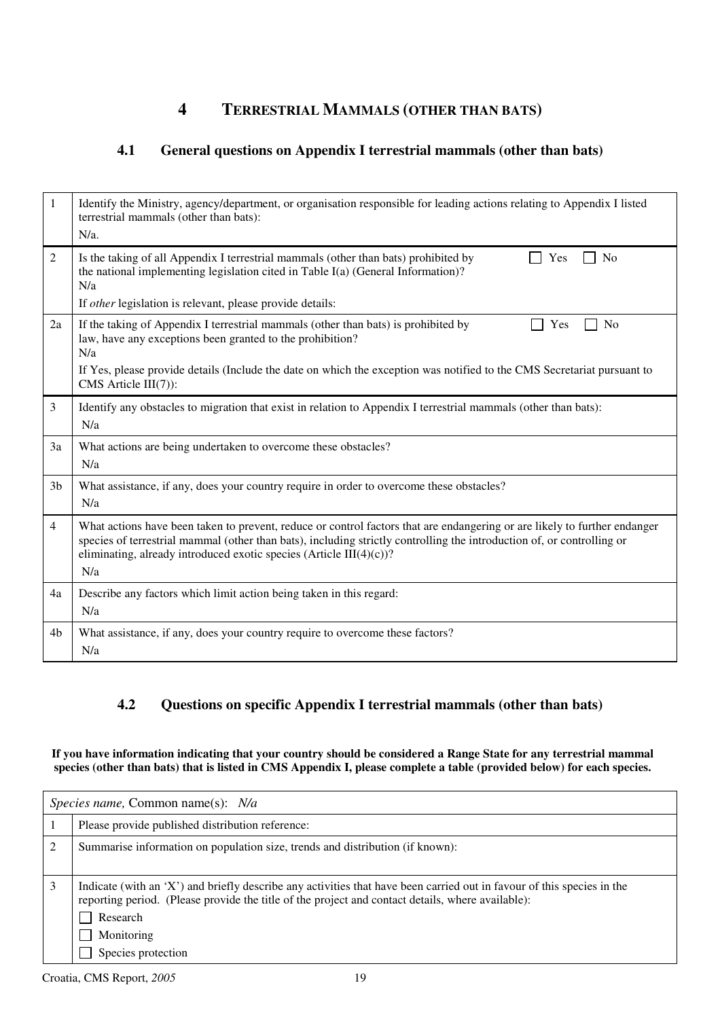### **4 TERRESTRIAL MAMMALS (OTHER THAN BATS)**

### **4.1 General questions on Appendix I terrestrial mammals (other than bats)**

| $\mathbf{1}$   | Identify the Ministry, agency/department, or organisation responsible for leading actions relating to Appendix I listed<br>terrestrial mammals (other than bats):<br>$N/a$ .                                                                                                                                                      |
|----------------|-----------------------------------------------------------------------------------------------------------------------------------------------------------------------------------------------------------------------------------------------------------------------------------------------------------------------------------|
| 2              | Is the taking of all Appendix I terrestrial mammals (other than bats) prohibited by<br>No<br>Yes<br>the national implementing legislation cited in Table I(a) (General Information)?<br>N/a                                                                                                                                       |
|                | If other legislation is relevant, please provide details:                                                                                                                                                                                                                                                                         |
| 2a             | If the taking of Appendix I terrestrial mammals (other than bats) is prohibited by<br><b>No</b><br>Yes<br>law, have any exceptions been granted to the prohibition?<br>N/a                                                                                                                                                        |
|                | If Yes, please provide details (Include the date on which the exception was notified to the CMS Secretariat pursuant to<br>CMS Article III(7)):                                                                                                                                                                                   |
| 3              | Identify any obstacles to migration that exist in relation to Appendix I terrestrial mammals (other than bats):<br>N/a                                                                                                                                                                                                            |
| 3a             | What actions are being undertaken to overcome these obstacles?<br>N/a                                                                                                                                                                                                                                                             |
| 3 <sub>b</sub> | What assistance, if any, does your country require in order to overcome these obstacles?<br>N/a                                                                                                                                                                                                                                   |
| $\overline{4}$ | What actions have been taken to prevent, reduce or control factors that are endangering or are likely to further endanger<br>species of terrestrial mammal (other than bats), including strictly controlling the introduction of, or controlling or<br>eliminating, already introduced exotic species (Article III(4)(c))?<br>N/a |
| 4a             | Describe any factors which limit action being taken in this regard:<br>N/a                                                                                                                                                                                                                                                        |
| 4b             | What assistance, if any, does your country require to overcome these factors?<br>N/a                                                                                                                                                                                                                                              |

### **4.2 Questions on specific Appendix I terrestrial mammals (other than bats)**

**If you have information indicating that your country should be considered a Range State for any terrestrial mammal species (other than bats) that is listed in CMS Appendix I, please complete a table (provided below) for each species.** 

|                | <i>Species name,</i> Common name(s): <i>N/a</i>                                                                                                                                                                                                                             |  |  |
|----------------|-----------------------------------------------------------------------------------------------------------------------------------------------------------------------------------------------------------------------------------------------------------------------------|--|--|
|                | Please provide published distribution reference:                                                                                                                                                                                                                            |  |  |
| $\overline{2}$ | Summarise information on population size, trends and distribution (if known):                                                                                                                                                                                               |  |  |
| 3              | Indicate (with an 'X') and briefly describe any activities that have been carried out in favour of this species in the<br>reporting period. (Please provide the title of the project and contact details, where available):<br>Research<br>Monitoring<br>Species protection |  |  |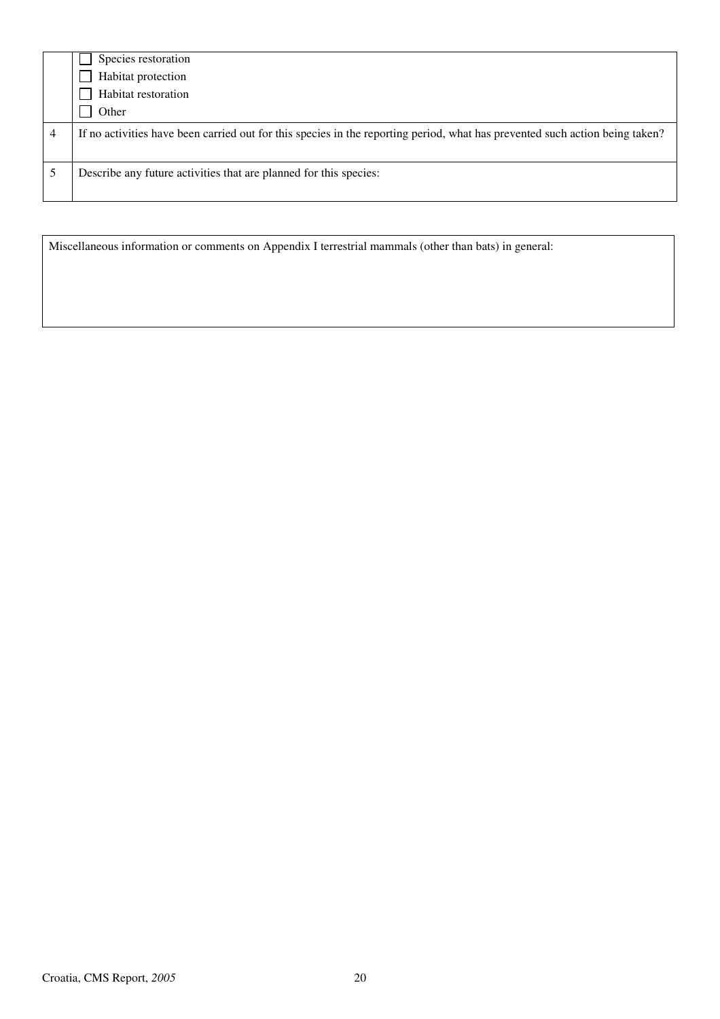|   | Species restoration                                                                                                          |
|---|------------------------------------------------------------------------------------------------------------------------------|
|   | Habitat protection                                                                                                           |
|   | Habitat restoration                                                                                                          |
|   | Other                                                                                                                        |
| 4 | If no activities have been carried out for this species in the reporting period, what has prevented such action being taken? |
|   | Describe any future activities that are planned for this species:                                                            |
|   |                                                                                                                              |

Miscellaneous information or comments on Appendix I terrestrial mammals (other than bats) in general: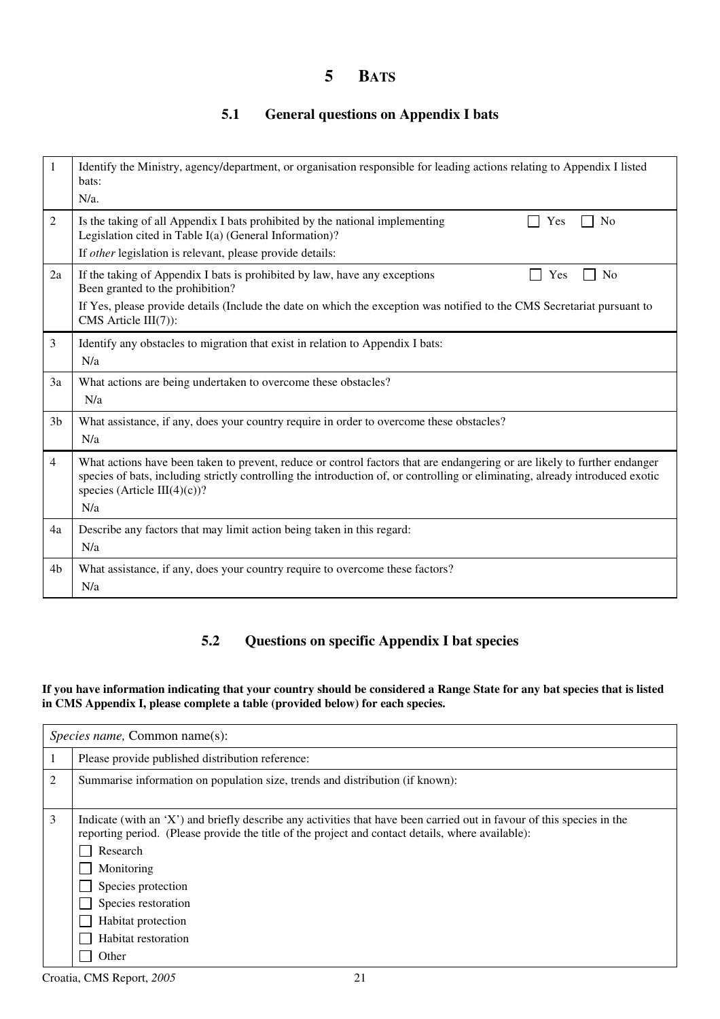### **5 BATS**

### **5.1 General questions on Appendix I bats**

| 1              | Identify the Ministry, agency/department, or organisation responsible for leading actions relating to Appendix I listed<br>bats:<br>$N/a$ .                                                                                                                                                       |  |  |
|----------------|---------------------------------------------------------------------------------------------------------------------------------------------------------------------------------------------------------------------------------------------------------------------------------------------------|--|--|
| 2              | Is the taking of all Appendix I bats prohibited by the national implementing<br>N <sub>0</sub><br>Yes<br>Legislation cited in Table I(a) (General Information)?<br>If other legislation is relevant, please provide details:                                                                      |  |  |
| 2a             | If the taking of Appendix I bats is prohibited by law, have any exceptions<br>N <sub>0</sub><br>Yes<br>Been granted to the prohibition?<br>If Yes, please provide details (Include the date on which the exception was notified to the CMS Secretariat pursuant to<br>CMS Article $III(7)$ :      |  |  |
| 3              | Identify any obstacles to migration that exist in relation to Appendix I bats:<br>N/a                                                                                                                                                                                                             |  |  |
| 3a             | What actions are being undertaken to overcome these obstacles?<br>N/a                                                                                                                                                                                                                             |  |  |
| 3 <sub>b</sub> | What assistance, if any, does your country require in order to overcome these obstacles?<br>N/a                                                                                                                                                                                                   |  |  |
| $\overline{4}$ | What actions have been taken to prevent, reduce or control factors that are endangering or are likely to further endanger<br>species of bats, including strictly controlling the introduction of, or controlling or eliminating, already introduced exotic<br>species (Article III(4)(c))?<br>N/a |  |  |
| 4a             | Describe any factors that may limit action being taken in this regard:<br>N/a                                                                                                                                                                                                                     |  |  |
| 4b             | What assistance, if any, does your country require to overcome these factors?<br>N/a                                                                                                                                                                                                              |  |  |

### **5.2 Questions on specific Appendix I bat species**

#### **If you have information indicating that your country should be considered a Range State for any bat species that is listed in CMS Appendix I, please complete a table (provided below) for each species.**

| <i>Species name, Common name(s):</i> |                                                                                                                                                                                                                                                                                                                                                          |  |  |  |
|--------------------------------------|----------------------------------------------------------------------------------------------------------------------------------------------------------------------------------------------------------------------------------------------------------------------------------------------------------------------------------------------------------|--|--|--|
|                                      | Please provide published distribution reference:                                                                                                                                                                                                                                                                                                         |  |  |  |
| 2                                    | Summarise information on population size, trends and distribution (if known):                                                                                                                                                                                                                                                                            |  |  |  |
| 3                                    | Indicate (with an 'X') and briefly describe any activities that have been carried out in favour of this species in the<br>reporting period. (Please provide the title of the project and contact details, where available):<br>Research<br>Monitoring<br>Species protection<br>Species restoration<br>Habitat protection<br>Habitat restoration<br>Other |  |  |  |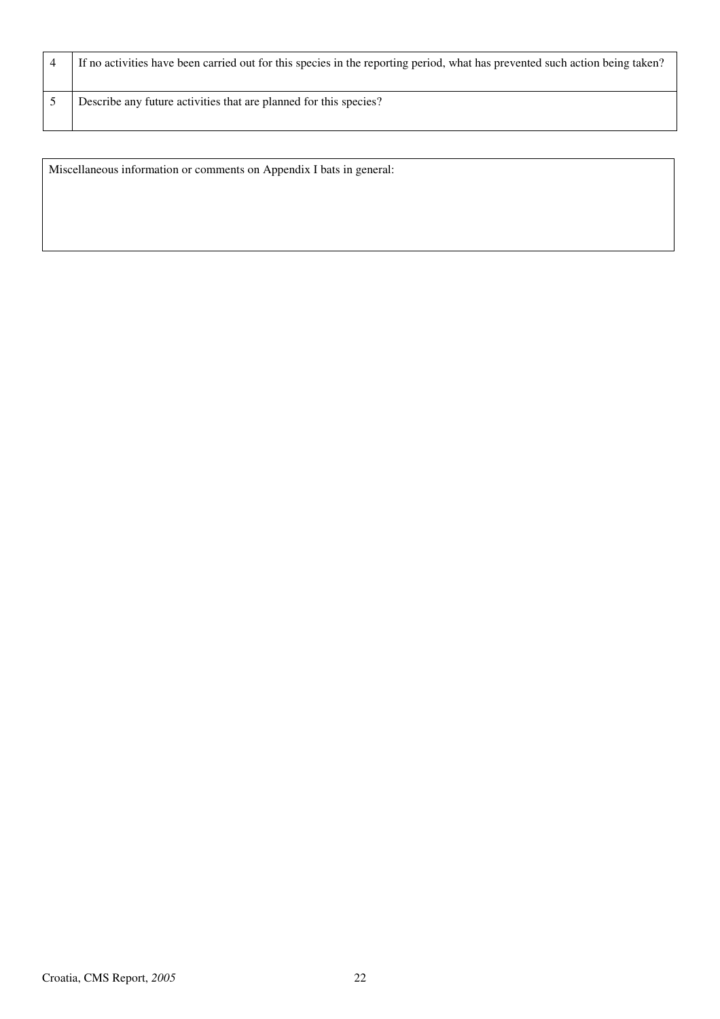|  | If no activities have been carried out for this species in the reporting period, what has prevented such action being taken? |
|--|------------------------------------------------------------------------------------------------------------------------------|
|  | Describe any future activities that are planned for this species?                                                            |

Miscellaneous information or comments on Appendix I bats in general: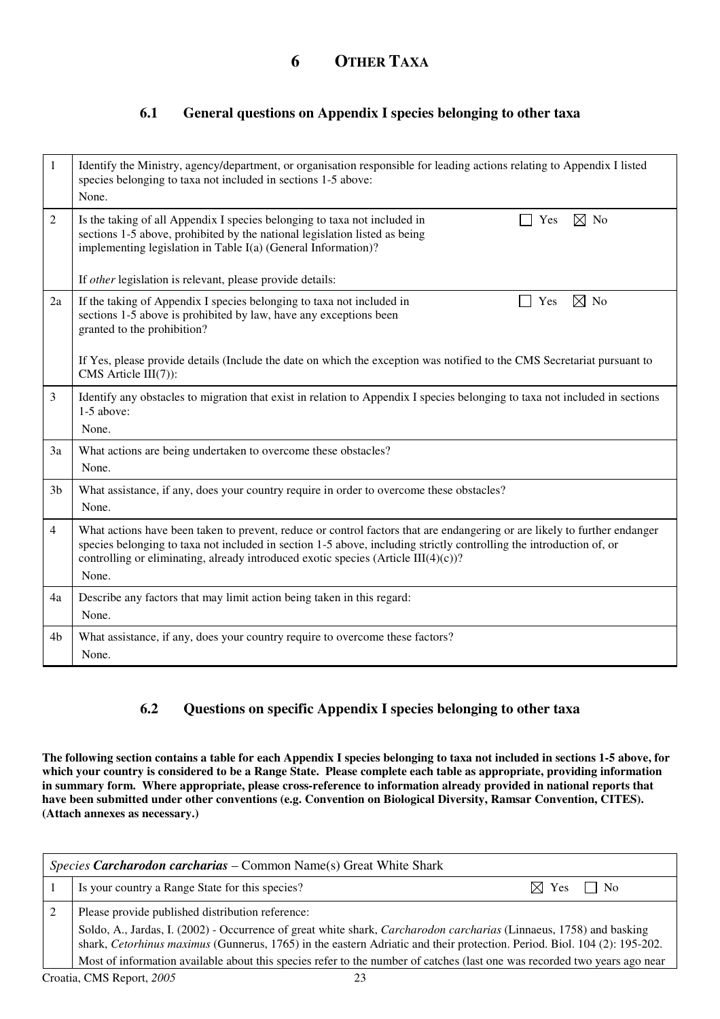### **6.1 General questions on Appendix I species belonging to other taxa**

| 1              | Identify the Ministry, agency/department, or organisation responsible for leading actions relating to Appendix I listed<br>species belonging to taxa not included in sections 1-5 above:<br>None.                                                                                                                                                  |  |  |
|----------------|----------------------------------------------------------------------------------------------------------------------------------------------------------------------------------------------------------------------------------------------------------------------------------------------------------------------------------------------------|--|--|
| $\overline{2}$ | $\boxtimes$ No<br>Is the taking of all Appendix I species belonging to taxa not included in<br>Yes<br>sections 1-5 above, prohibited by the national legislation listed as being<br>implementing legislation in Table I(a) (General Information)?                                                                                                  |  |  |
|                | If other legislation is relevant, please provide details:                                                                                                                                                                                                                                                                                          |  |  |
| 2a             | $\boxtimes$ No<br>If the taking of Appendix I species belonging to taxa not included in<br>Yes<br>sections 1-5 above is prohibited by law, have any exceptions been<br>granted to the prohibition?                                                                                                                                                 |  |  |
|                | If Yes, please provide details (Include the date on which the exception was notified to the CMS Secretariat pursuant to<br>CMS Article III(7)):                                                                                                                                                                                                    |  |  |
| 3              | Identify any obstacles to migration that exist in relation to Appendix I species belonging to taxa not included in sections<br>1-5 above:<br>None.                                                                                                                                                                                                 |  |  |
| 3a             | What actions are being undertaken to overcome these obstacles?<br>None.                                                                                                                                                                                                                                                                            |  |  |
| 3 <sub>b</sub> | What assistance, if any, does your country require in order to overcome these obstacles?<br>None.                                                                                                                                                                                                                                                  |  |  |
| $\overline{4}$ | What actions have been taken to prevent, reduce or control factors that are endangering or are likely to further endanger<br>species belonging to taxa not included in section 1-5 above, including strictly controlling the introduction of, or<br>controlling or eliminating, already introduced exotic species (Article $III(4)(c)$ )?<br>None. |  |  |
| 4a             | Describe any factors that may limit action being taken in this regard:<br>None.                                                                                                                                                                                                                                                                    |  |  |
| 4b             | What assistance, if any, does your country require to overcome these factors?<br>None.                                                                                                                                                                                                                                                             |  |  |

#### **6.2 Questions on specific Appendix I species belonging to other taxa**

**The following section contains a table for each Appendix I species belonging to taxa not included in sections 1-5 above, for which your country is considered to be a Range State. Please complete each table as appropriate, providing information in summary form. Where appropriate, please cross-reference to information already provided in national reports that have been submitted under other conventions (e.g. Convention on Biological Diversity, Ramsar Convention, CITES). (Attach annexes as necessary.)** 

| Species Carcharodon carcharias – Common Name(s) Great White Shark |                                                                                                                                                                                                                                                 |                           |  |  |  |
|-------------------------------------------------------------------|-------------------------------------------------------------------------------------------------------------------------------------------------------------------------------------------------------------------------------------------------|---------------------------|--|--|--|
|                                                                   | Is your country a Range State for this species?                                                                                                                                                                                                 | $\boxtimes$ Yes $\Box$ No |  |  |  |
|                                                                   | Please provide published distribution reference:                                                                                                                                                                                                |                           |  |  |  |
|                                                                   | Soldo, A., Jardas, I. (2002) - Occurrence of great white shark, Carcharodon carcharias (Linnaeus, 1758) and basking<br>shark, Cetorhinus maximus (Gunnerus, 1765) in the eastern Adriatic and their protection. Period. Biol. 104 (2): 195-202. |                           |  |  |  |
|                                                                   | Most of information available about this species refer to the number of catches (last one was recorded two years ago near                                                                                                                       |                           |  |  |  |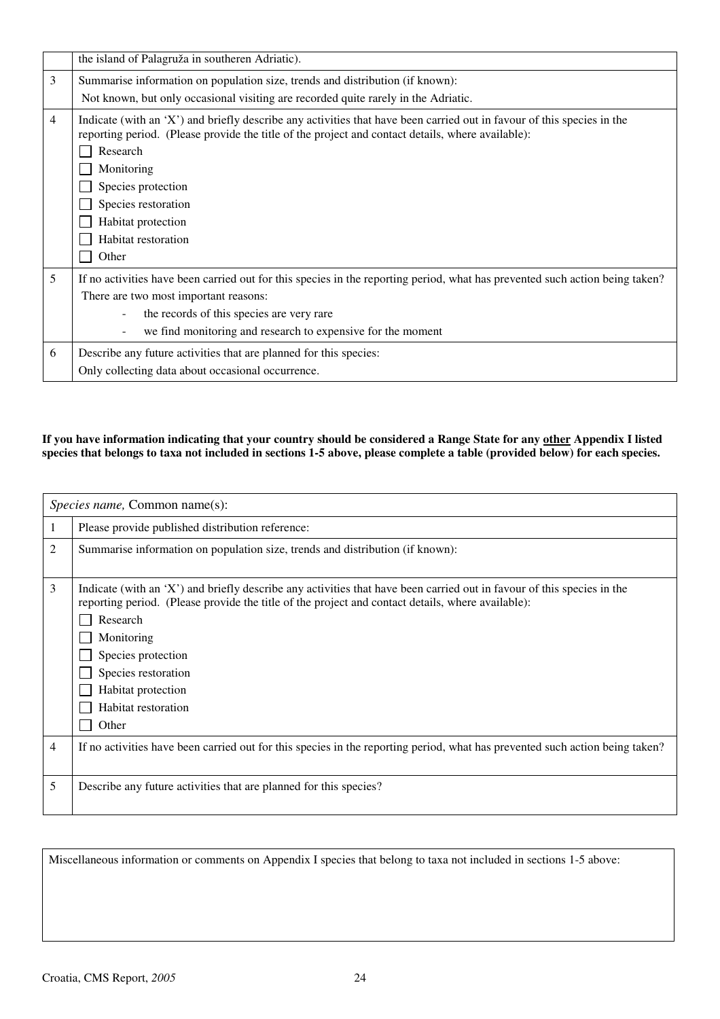|   | the island of Palagruža in southeren Adriatic).                                                                                                                                                                             |  |  |  |  |
|---|-----------------------------------------------------------------------------------------------------------------------------------------------------------------------------------------------------------------------------|--|--|--|--|
| 3 | Summarise information on population size, trends and distribution (if known):                                                                                                                                               |  |  |  |  |
|   | Not known, but only occasional visiting are recorded quite rarely in the Adriatic.                                                                                                                                          |  |  |  |  |
| 4 | Indicate (with an 'X') and briefly describe any activities that have been carried out in favour of this species in the<br>reporting period. (Please provide the title of the project and contact details, where available): |  |  |  |  |
|   | Research                                                                                                                                                                                                                    |  |  |  |  |
|   | Monitoring                                                                                                                                                                                                                  |  |  |  |  |
|   | Species protection                                                                                                                                                                                                          |  |  |  |  |
|   | Species restoration                                                                                                                                                                                                         |  |  |  |  |
|   | Habitat protection                                                                                                                                                                                                          |  |  |  |  |
|   | Habitat restoration                                                                                                                                                                                                         |  |  |  |  |
|   | Other                                                                                                                                                                                                                       |  |  |  |  |
| 5 | If no activities have been carried out for this species in the reporting period, what has prevented such action being taken?                                                                                                |  |  |  |  |
|   | There are two most important reasons:                                                                                                                                                                                       |  |  |  |  |
|   | the records of this species are very rare                                                                                                                                                                                   |  |  |  |  |
|   | we find monitoring and research to expensive for the moment                                                                                                                                                                 |  |  |  |  |
| 6 | Describe any future activities that are planned for this species:                                                                                                                                                           |  |  |  |  |
|   | Only collecting data about occasional occurrence.                                                                                                                                                                           |  |  |  |  |

#### **If you have information indicating that your country should be considered a Range State for any other Appendix I listed species that belongs to taxa not included in sections 1-5 above, please complete a table (provided below) for each species.**

|   | <i>Species name, Common name(s):</i>                                                                                                                                                                                                                                                                                                                     |
|---|----------------------------------------------------------------------------------------------------------------------------------------------------------------------------------------------------------------------------------------------------------------------------------------------------------------------------------------------------------|
|   | Please provide published distribution reference:                                                                                                                                                                                                                                                                                                         |
| 2 | Summarise information on population size, trends and distribution (if known):                                                                                                                                                                                                                                                                            |
| 3 | Indicate (with an 'X') and briefly describe any activities that have been carried out in favour of this species in the<br>reporting period. (Please provide the title of the project and contact details, where available):<br>Research<br>Monitoring<br>Species protection<br>Species restoration<br>Habitat protection<br>Habitat restoration<br>Other |
| 4 | If no activities have been carried out for this species in the reporting period, what has prevented such action being taken?                                                                                                                                                                                                                             |
| 5 | Describe any future activities that are planned for this species?                                                                                                                                                                                                                                                                                        |

Miscellaneous information or comments on Appendix I species that belong to taxa not included in sections 1-5 above: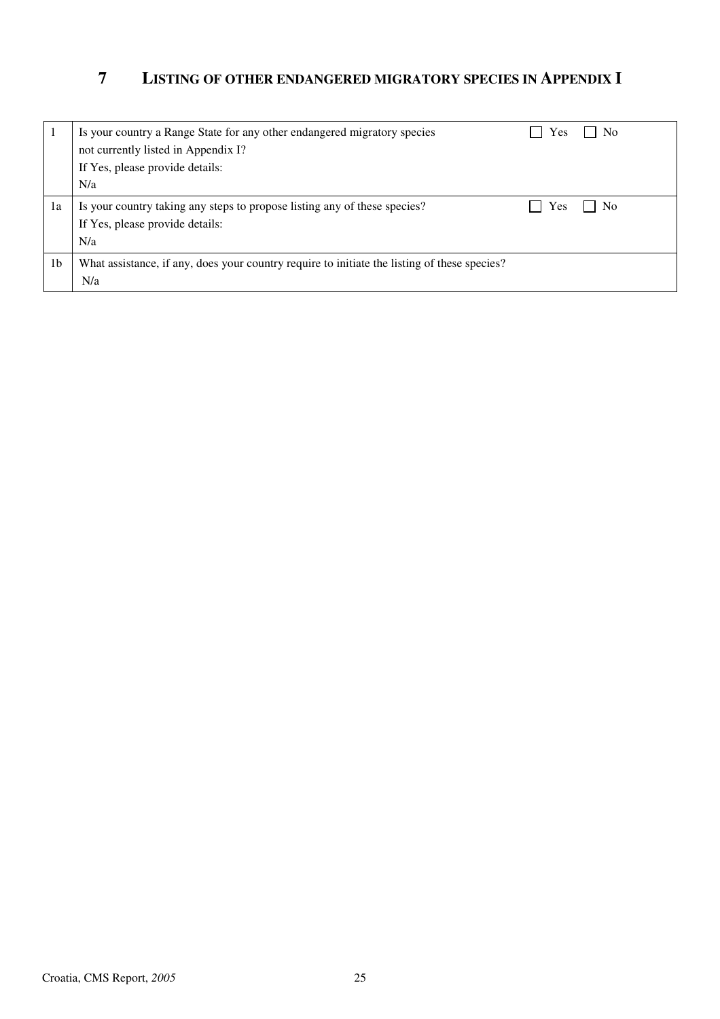### **7 LISTING OF OTHER ENDANGERED MIGRATORY SPECIES IN APPENDIX I**

|                | Is your country a Range State for any other endangered migratory species<br>not currently listed in Appendix I?<br>If Yes, please provide details: | Yes | N <sub>0</sub> |
|----------------|----------------------------------------------------------------------------------------------------------------------------------------------------|-----|----------------|
|                | N/a                                                                                                                                                |     |                |
| 1a             | Is your country taking any steps to propose listing any of these species?<br>If Yes, please provide details:<br>N/a                                | Yes | N <sub>0</sub> |
| 1 <sub>b</sub> | What assistance, if any, does your country require to initiate the listing of these species?<br>N/a                                                |     |                |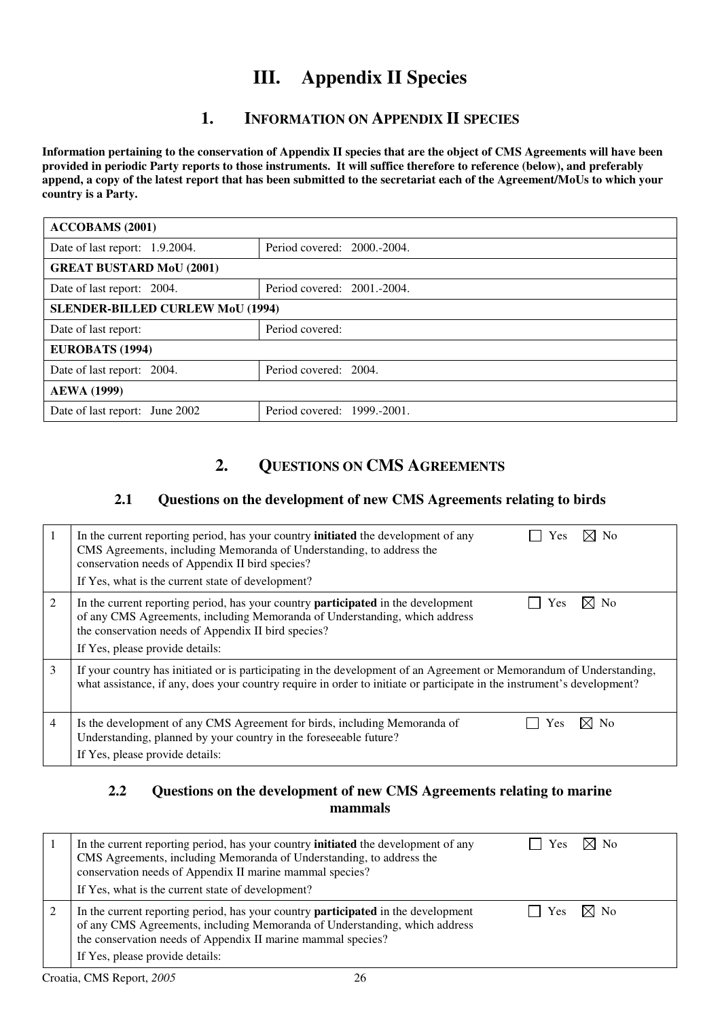## **III. Appendix II Species**

### **1. INFORMATION ON APPENDIX II SPECIES**

**Information pertaining to the conservation of Appendix II species that are the object of CMS Agreements will have been provided in periodic Party reports to those instruments. It will suffice therefore to reference (below), and preferably append, a copy of the latest report that has been submitted to the secretariat each of the Agreement/MoUs to which your country is a Party.** 

| <b>ACCOBAMS</b> (2001)                                    |                                         |  |  |  |  |
|-----------------------------------------------------------|-----------------------------------------|--|--|--|--|
| Date of last report: $1.9.2004$ .                         | Period covered: 2000.-2004.             |  |  |  |  |
| <b>GREAT BUSTARD MoU (2001)</b>                           |                                         |  |  |  |  |
| Period covered: 2001.-2004.<br>Date of last report: 2004. |                                         |  |  |  |  |
|                                                           | <b>SLENDER-BILLED CURLEW MoU (1994)</b> |  |  |  |  |
| Date of last report:                                      | Period covered:                         |  |  |  |  |
| EUROBATS (1994)                                           |                                         |  |  |  |  |
| Period covered: 2004.<br>Date of last report: 2004.       |                                         |  |  |  |  |
| <b>AEWA</b> (1999)                                        |                                         |  |  |  |  |
| Date of last report: June 2002                            | Period covered: 1999.-2001.             |  |  |  |  |

### **2. QUESTIONS ON CMS AGREEMENTS**

#### **2.1 Questions on the development of new CMS Agreements relating to birds**

|                | $\boxtimes$ No<br>In the current reporting period, has your country <b>initiated</b> the development of any<br>Yes<br>CMS Agreements, including Memoranda of Understanding, to address the<br>conservation needs of Appendix II bird species?<br>If Yes, what is the current state of development? |
|----------------|----------------------------------------------------------------------------------------------------------------------------------------------------------------------------------------------------------------------------------------------------------------------------------------------------|
| $\overline{2}$ | In the current reporting period, has your country <b>participated</b> in the development<br>N <sub>0</sub><br>Yes<br>of any CMS Agreements, including Memoranda of Understanding, which address<br>the conservation needs of Appendix II bird species?<br>If Yes, please provide details:          |
| 3              | If your country has initiated or is participating in the development of an Agreement or Memorandum of Understanding,<br>what assistance, if any, does your country require in order to initiate or participate in the instrument's development?                                                    |
| 4              | $\times$ l No<br>Is the development of any CMS Agreement for birds, including Memoranda of<br>Yes<br>Understanding, planned by your country in the foreseeable future?<br>If Yes, please provide details:                                                                                          |

### **2.2 Questions on the development of new CMS Agreements relating to marine mammals**

| In the current reporting period, has your country <b>initiated</b> the development of any<br>CMS Agreements, including Memoranda of Understanding, to address the<br>conservation needs of Appendix II marine mammal species?<br>If Yes, what is the current state of development? | <b>Yes</b> | ⊠ No           |
|------------------------------------------------------------------------------------------------------------------------------------------------------------------------------------------------------------------------------------------------------------------------------------|------------|----------------|
| In the current reporting period, has your country <b>participated</b> in the development<br>of any CMS Agreements, including Memoranda of Understanding, which address<br>the conservation needs of Appendix II marine mammal species?<br>If Yes, please provide details:          | <b>Yes</b> | $\boxtimes$ No |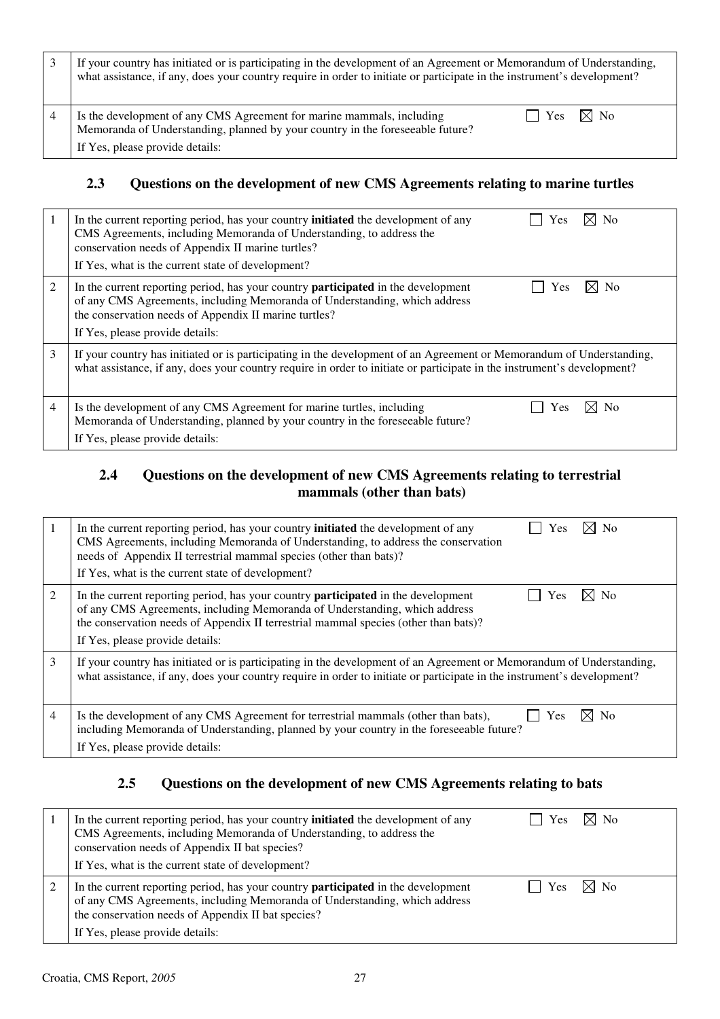| If your country has initiated or is participating in the development of an Agreement or Memorandum of Understanding,<br>what assistance, if any, does your country require in order to initiate or participate in the instrument's development? |
|-------------------------------------------------------------------------------------------------------------------------------------------------------------------------------------------------------------------------------------------------|
| $\vert$   Yes $\vert$ $\rtimes$ No<br>Is the development of any CMS Agreement for marine mammals, including<br>Memoranda of Understanding, planned by your country in the foreseeable future?<br>If Yes, please provide details:                |

### **2.3 Questions on the development of new CMS Agreements relating to marine turtles**

| 1 | $\boxtimes$ No<br>In the current reporting period, has your country <b>initiated</b> the development of any<br>Yes<br>CMS Agreements, including Memoranda of Understanding, to address the<br>conservation needs of Appendix II marine turtles?<br>If Yes, what is the current state of development? |
|---|------------------------------------------------------------------------------------------------------------------------------------------------------------------------------------------------------------------------------------------------------------------------------------------------------|
| 2 | In the current reporting period, has your country <b>participated</b> in the development<br><b>No</b><br>Yes<br>of any CMS Agreements, including Memoranda of Understanding, which address<br>the conservation needs of Appendix II marine turtles?<br>If Yes, please provide details:               |
| 3 | If your country has initiated or is participating in the development of an Agreement or Memorandum of Understanding,<br>what assistance, if any, does your country require in order to initiate or participate in the instrument's development?                                                      |
| 4 | Is the development of any CMS Agreement for marine turtles, including<br>No.<br>Yes<br>Memoranda of Understanding, planned by your country in the foreseeable future?<br>If Yes, please provide details:                                                                                             |

### **2.4 Questions on the development of new CMS Agreements relating to terrestrial mammals (other than bats)**

|   | $\boxtimes$ No<br>In the current reporting period, has your country <b>initiated</b> the development of any<br>Yes<br>CMS Agreements, including Memoranda of Understanding, to address the conservation<br>needs of Appendix II terrestrial mammal species (other than bats)?<br>If Yes, what is the current state of development? |
|---|------------------------------------------------------------------------------------------------------------------------------------------------------------------------------------------------------------------------------------------------------------------------------------------------------------------------------------|
| 2 | $\boxtimes$ No<br>In the current reporting period, has your country <b>participated</b> in the development<br>Yes<br>of any CMS Agreements, including Memoranda of Understanding, which address<br>the conservation needs of Appendix II terrestrial mammal species (other than bats)?<br>If Yes, please provide details:          |
| 3 | If your country has initiated or is participating in the development of an Agreement or Memorandum of Understanding,<br>what assistance, if any, does your country require in order to initiate or participate in the instrument's development?                                                                                    |
| 4 | N <sub>0</sub><br>Is the development of any CMS Agreement for terrestrial mammals (other than bats),<br>Yes<br>including Memoranda of Understanding, planned by your country in the foreseeable future?<br>If Yes, please provide details:                                                                                         |

### **2.5 Questions on the development of new CMS Agreements relating to bats**

| In the current reporting period, has your country <b>initiated</b> the development of any<br>CMS Agreements, including Memoranda of Understanding, to address the<br>conservation needs of Appendix II bat species?<br>If Yes, what is the current state of development? | Yes | $\times$ No    |
|--------------------------------------------------------------------------------------------------------------------------------------------------------------------------------------------------------------------------------------------------------------------------|-----|----------------|
| In the current reporting period, has your country <b>participated</b> in the development<br>of any CMS Agreements, including Memoranda of Understanding, which address<br>the conservation needs of Appendix II bat species?<br>If Yes, please provide details:          | Yes | $\boxtimes$ No |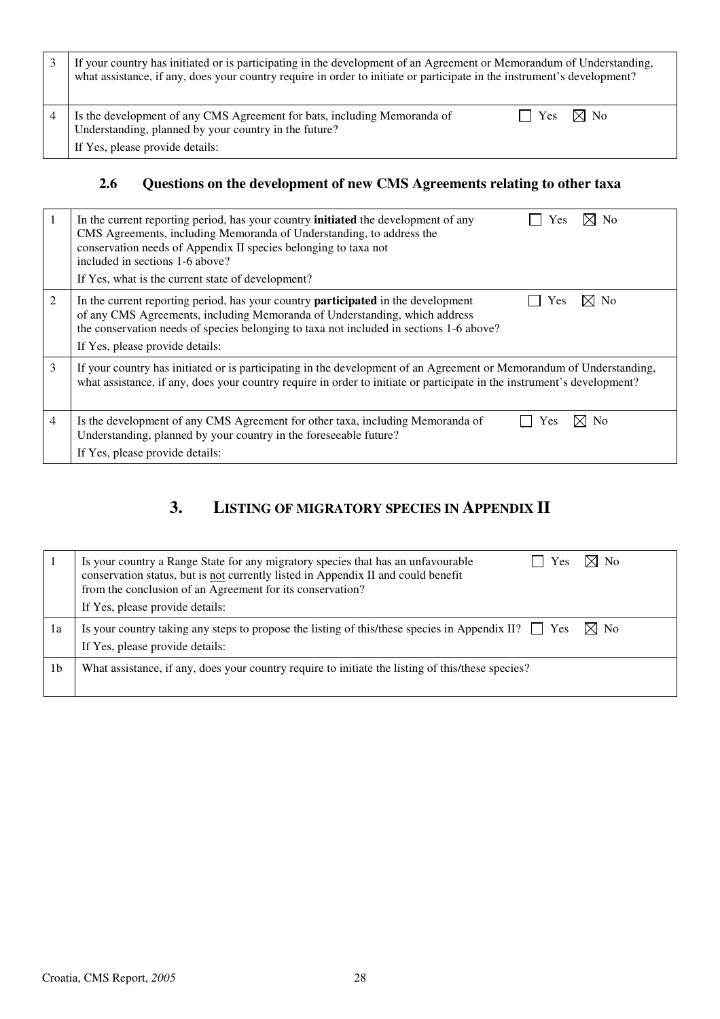| If your country has initiated or is participating in the development of an Agreement or Memorandum of Understanding,<br>what assistance, if any, does your country require in order to initiate or participate in the instrument's development? |
|-------------------------------------------------------------------------------------------------------------------------------------------------------------------------------------------------------------------------------------------------|
| $\boxtimes$ No<br>Is the development of any CMS Agreement for bats, including Memoranda of<br>l l Yes<br>Understanding, planned by your country in the future?<br>If Yes, please provide details:                                               |

## **2.6 Questions on the development of new CMS Agreements relating to other taxa**

|   | ⊠ No<br>In the current reporting period, has your country <b>initiated</b> the development of any<br>Yes<br>CMS Agreements, including Memoranda of Understanding, to address the<br>conservation needs of Appendix II species belonging to taxa not<br>included in sections 1-6 above?<br>If Yes, what is the current state of development? |
|---|---------------------------------------------------------------------------------------------------------------------------------------------------------------------------------------------------------------------------------------------------------------------------------------------------------------------------------------------|
| 2 | In the current reporting period, has your country <b>participated</b> in the development<br>⊠ No<br>Yes<br>of any CMS Agreements, including Memoranda of Understanding, which address<br>the conservation needs of species belonging to taxa not included in sections 1-6 above?<br>If Yes, please provide details:                         |
| 3 | If your country has initiated or is participating in the development of an Agreement or Memorandum of Understanding,<br>what assistance, if any, does your country require in order to initiate or participate in the instrument's development?                                                                                             |
| 4 | $\boxtimes$ No<br>Is the development of any CMS Agreement for other taxa, including Memoranda of<br>Yes<br>Understanding, planned by your country in the foreseeable future?<br>If Yes, please provide details:                                                                                                                             |

### **3. LISTING OF MIGRATORY SPECIES IN APPENDIX II**

|    | $\bowtie$ No<br>Is your country a Range State for any migratory species that has an unfavourable<br>Yes<br>conservation status, but is not currently listed in Appendix II and could benefit<br>from the conclusion of an Agreement for its conservation?<br>If Yes, please provide details: |
|----|----------------------------------------------------------------------------------------------------------------------------------------------------------------------------------------------------------------------------------------------------------------------------------------------|
| 1a | Is your country taking any steps to propose the listing of this/these species in Appendix II? $\Box$ Yes<br>$\boxtimes$ No<br>If Yes, please provide details:                                                                                                                                |
| 1b | What assistance, if any, does your country require to initiate the listing of this/these species?                                                                                                                                                                                            |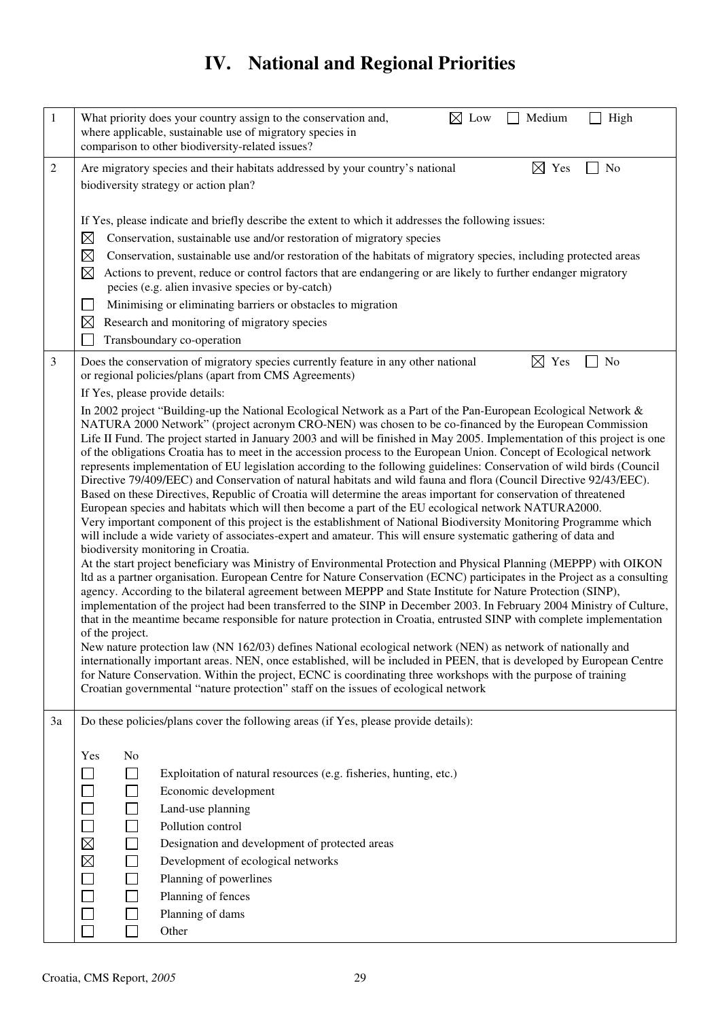# **IV. National and Regional Priorities**

| $\mathbf{1}$ | $\boxtimes$ Low<br>Medium<br>What priority does your country assign to the conservation and,<br>High<br>where applicable, sustainable use of migratory species in<br>comparison to other biodiversity-related issues?                                                                                                                                                                                                                                                                                                                                                                                                                                                                                                                                                                                                                                                                                                                                                                                                                                                                                                                                                                                                                                                                                                                                                                                                                                                                                                                                                                                                                                                                                                                                                                                                                                                                                                                                                                                                                                                                                                                                                                                                                                                                                                                 |
|--------------|---------------------------------------------------------------------------------------------------------------------------------------------------------------------------------------------------------------------------------------------------------------------------------------------------------------------------------------------------------------------------------------------------------------------------------------------------------------------------------------------------------------------------------------------------------------------------------------------------------------------------------------------------------------------------------------------------------------------------------------------------------------------------------------------------------------------------------------------------------------------------------------------------------------------------------------------------------------------------------------------------------------------------------------------------------------------------------------------------------------------------------------------------------------------------------------------------------------------------------------------------------------------------------------------------------------------------------------------------------------------------------------------------------------------------------------------------------------------------------------------------------------------------------------------------------------------------------------------------------------------------------------------------------------------------------------------------------------------------------------------------------------------------------------------------------------------------------------------------------------------------------------------------------------------------------------------------------------------------------------------------------------------------------------------------------------------------------------------------------------------------------------------------------------------------------------------------------------------------------------------------------------------------------------------------------------------------------------|
| 2            | $\boxtimes$ Yes<br>No<br>Are migratory species and their habitats addressed by your country's national<br>biodiversity strategy or action plan?                                                                                                                                                                                                                                                                                                                                                                                                                                                                                                                                                                                                                                                                                                                                                                                                                                                                                                                                                                                                                                                                                                                                                                                                                                                                                                                                                                                                                                                                                                                                                                                                                                                                                                                                                                                                                                                                                                                                                                                                                                                                                                                                                                                       |
|              | If Yes, please indicate and briefly describe the extent to which it addresses the following issues:<br>$\boxtimes$<br>Conservation, sustainable use and/or restoration of migratory species<br>$\boxtimes$<br>Conservation, sustainable use and/or restoration of the habitats of migratory species, including protected areas<br>$\boxtimes$<br>Actions to prevent, reduce or control factors that are endangering or are likely to further endanger migratory<br>pecies (e.g. alien invasive species or by-catch)<br>Minimising or eliminating barriers or obstacles to migration<br>Research and monitoring of migratory species<br>$\boxtimes$<br>Transboundary co-operation                                                                                                                                                                                                                                                                                                                                                                                                                                                                                                                                                                                                                                                                                                                                                                                                                                                                                                                                                                                                                                                                                                                                                                                                                                                                                                                                                                                                                                                                                                                                                                                                                                                      |
| 3            | $\boxtimes$<br>Does the conservation of migratory species currently feature in any other national<br>Yes<br>No<br>or regional policies/plans (apart from CMS Agreements)<br>If Yes, please provide details:                                                                                                                                                                                                                                                                                                                                                                                                                                                                                                                                                                                                                                                                                                                                                                                                                                                                                                                                                                                                                                                                                                                                                                                                                                                                                                                                                                                                                                                                                                                                                                                                                                                                                                                                                                                                                                                                                                                                                                                                                                                                                                                           |
|              | In 2002 project "Building-up the National Ecological Network as a Part of the Pan-European Ecological Network &<br>NATURA 2000 Network" (project acronym CRO-NEN) was chosen to be co-financed by the European Commission<br>Life II Fund. The project started in January 2003 and will be finished in May 2005. Implementation of this project is one<br>of the obligations Croatia has to meet in the accession process to the European Union. Concept of Ecological network<br>represents implementation of EU legislation according to the following guidelines: Conservation of wild birds (Council<br>Directive 79/409/EEC) and Conservation of natural habitats and wild fauna and flora (Council Directive 92/43/EEC).<br>Based on these Directives, Republic of Croatia will determine the areas important for conservation of threatened<br>European species and habitats which will then become a part of the EU ecological network NATURA2000.<br>Very important component of this project is the establishment of National Biodiversity Monitoring Programme which<br>will include a wide variety of associates-expert and amateur. This will ensure systematic gathering of data and<br>biodiversity monitoring in Croatia.<br>At the start project beneficiary was Ministry of Environmental Protection and Physical Planning (MEPPP) with OIKON<br>Itd as a partner organisation. European Centre for Nature Conservation (ECNC) participates in the Project as a consulting<br>agency. According to the bilateral agreement between MEPPP and State Institute for Nature Protection (SINP),<br>implementation of the project had been transferred to the SINP in December 2003. In February 2004 Ministry of Culture,<br>that in the meantime became responsible for nature protection in Croatia, entrusted SINP with complete implementation<br>of the project.<br>New nature protection law (NN 162/03) defines National ecological network (NEN) as network of nationally and<br>internationally important areas. NEN, once established, will be included in PEEN, that is developed by European Centre<br>for Nature Conservation. Within the project, ECNC is coordinating three workshops with the purpose of training<br>Croatian governmental "nature protection" staff on the issues of ecological network |
| 3a           | Do these policies/plans cover the following areas (if Yes, please provide details):                                                                                                                                                                                                                                                                                                                                                                                                                                                                                                                                                                                                                                                                                                                                                                                                                                                                                                                                                                                                                                                                                                                                                                                                                                                                                                                                                                                                                                                                                                                                                                                                                                                                                                                                                                                                                                                                                                                                                                                                                                                                                                                                                                                                                                                   |
|              | Yes<br>No<br>Exploitation of natural resources (e.g. fisheries, hunting, etc.)<br>Economic development<br>$\Box$<br>Land-use planning<br>$\Box$<br>Pollution control<br>$\boxtimes$<br>Designation and development of protected areas<br>$\boxtimes$<br>Development of ecological networks<br>Planning of powerlines<br>$\Box$<br>Planning of fences<br>Planning of dams<br>Other                                                                                                                                                                                                                                                                                                                                                                                                                                                                                                                                                                                                                                                                                                                                                                                                                                                                                                                                                                                                                                                                                                                                                                                                                                                                                                                                                                                                                                                                                                                                                                                                                                                                                                                                                                                                                                                                                                                                                     |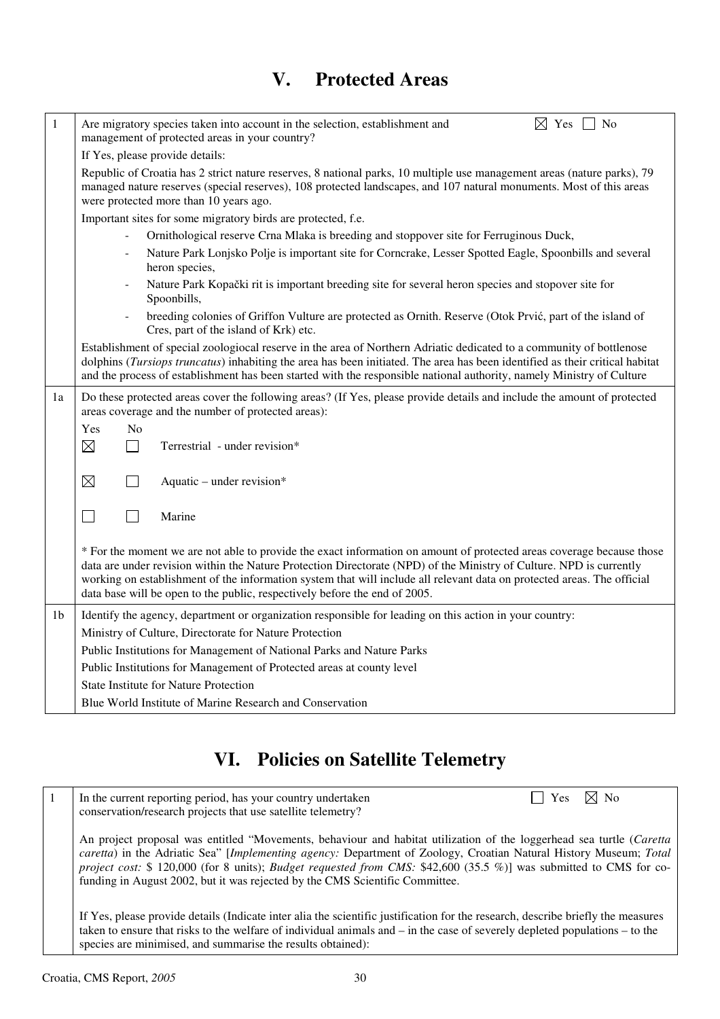## **V. Protected Areas**

| 1  | Are migratory species taken into account in the selection, establishment and<br>$\boxtimes$ Yes $\Box$ No<br>management of protected areas in your country?                                                                                                                                                                                                                                                                                           |
|----|-------------------------------------------------------------------------------------------------------------------------------------------------------------------------------------------------------------------------------------------------------------------------------------------------------------------------------------------------------------------------------------------------------------------------------------------------------|
|    | If Yes, please provide details:                                                                                                                                                                                                                                                                                                                                                                                                                       |
|    | Republic of Croatia has 2 strict nature reserves, 8 national parks, 10 multiple use management areas (nature parks), 79<br>managed nature reserves (special reserves), 108 protected landscapes, and 107 natural monuments. Most of this areas<br>were protected more than 10 years ago.                                                                                                                                                              |
|    | Important sites for some migratory birds are protected, f.e.                                                                                                                                                                                                                                                                                                                                                                                          |
|    | Ornithological reserve Crna Mlaka is breeding and stoppover site for Ferruginous Duck,                                                                                                                                                                                                                                                                                                                                                                |
|    | Nature Park Lonjsko Polje is important site for Corncrake, Lesser Spotted Eagle, Spoonbills and several<br>heron species,                                                                                                                                                                                                                                                                                                                             |
|    | Nature Park Kopački rit is important breeding site for several heron species and stopover site for<br>Spoonbills,                                                                                                                                                                                                                                                                                                                                     |
|    | breeding colonies of Griffon Vulture are protected as Ornith. Reserve (Otok Prvić, part of the island of<br>Cres, part of the island of Krk) etc.                                                                                                                                                                                                                                                                                                     |
|    | Establishment of special zoologiocal reserve in the area of Northern Adriatic dedicated to a community of bottlenose<br>dolphins (Tursiops truncatus) inhabiting the area has been initiated. The area has been identified as their critical habitat<br>and the process of establishment has been started with the responsible national authority, namely Ministry of Culture                                                                         |
| 1a | Do these protected areas cover the following areas? (If Yes, please provide details and include the amount of protected<br>areas coverage and the number of protected areas):                                                                                                                                                                                                                                                                         |
|    | No<br>Yes                                                                                                                                                                                                                                                                                                                                                                                                                                             |
|    | $\boxtimes$<br>$\Box$<br>Terrestrial - under revision*                                                                                                                                                                                                                                                                                                                                                                                                |
|    | $\boxtimes$<br>$\mathbf{I}$<br>Aquatic – under revision*                                                                                                                                                                                                                                                                                                                                                                                              |
|    | Marine<br>П<br>$\mathsf{L}$                                                                                                                                                                                                                                                                                                                                                                                                                           |
|    | * For the moment we are not able to provide the exact information on amount of protected areas coverage because those<br>data are under revision within the Nature Protection Directorate (NPD) of the Ministry of Culture. NPD is currently<br>working on establishment of the information system that will include all relevant data on protected areas. The official<br>data base will be open to the public, respectively before the end of 2005. |
| 1b | Identify the agency, department or organization responsible for leading on this action in your country:                                                                                                                                                                                                                                                                                                                                               |
|    | Ministry of Culture, Directorate for Nature Protection                                                                                                                                                                                                                                                                                                                                                                                                |
|    | Public Institutions for Management of National Parks and Nature Parks                                                                                                                                                                                                                                                                                                                                                                                 |
|    | Public Institutions for Management of Protected areas at county level                                                                                                                                                                                                                                                                                                                                                                                 |
|    | <b>State Institute for Nature Protection</b>                                                                                                                                                                                                                                                                                                                                                                                                          |
|    | Blue World Institute of Marine Research and Conservation                                                                                                                                                                                                                                                                                                                                                                                              |
|    |                                                                                                                                                                                                                                                                                                                                                                                                                                                       |

# **VI. Policies on Satellite Telemetry**

| 1 | $\boxtimes$ No<br>In the current reporting period, has your country undertaken<br>Yes<br>conservation/research projects that use satellite telemetry?                                                                                                                                                                                                                                                                                            |
|---|--------------------------------------------------------------------------------------------------------------------------------------------------------------------------------------------------------------------------------------------------------------------------------------------------------------------------------------------------------------------------------------------------------------------------------------------------|
|   | An project proposal was entitled "Movements, behaviour and habitat utilization of the loggerhead sea turtle (Caretta<br>caretta) in the Adriatic Sea" [Implementing agency: Department of Zoology, Croatian Natural History Museum; Total<br>project cost: $$120,000$ (for 8 units); Budget requested from CMS: $$42,600$ (35.5 %)] was submitted to CMS for co-<br>funding in August 2002, but it was rejected by the CMS Scientific Committee. |
|   | If Yes, please provide details (Indicate inter alia the scientific justification for the research, describe briefly the measures<br>taken to ensure that risks to the welfare of individual animals and $-$ in the case of severely depleted populations $-$ to the<br>species are minimised, and summarise the results obtained):                                                                                                               |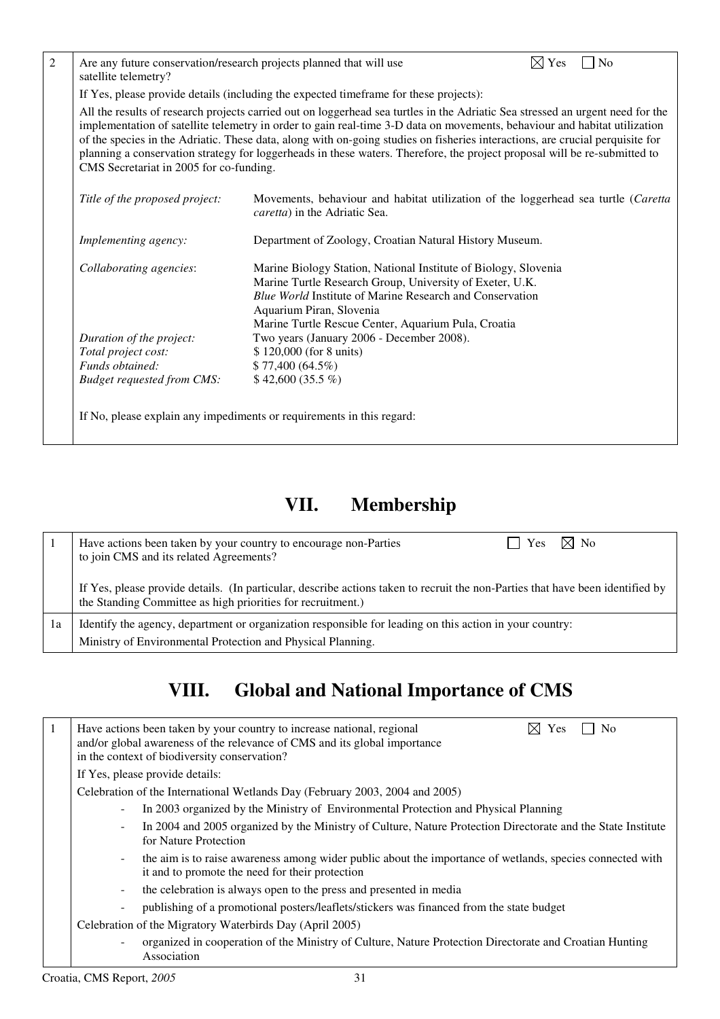| Are any future conservation/research projects planned that will use<br>satellite telemetry? |                                                                                                                                                                                                                                                                                                                                                                                                                                                                                                                           | $\boxtimes$ Yes | $\Box$ No |
|---------------------------------------------------------------------------------------------|---------------------------------------------------------------------------------------------------------------------------------------------------------------------------------------------------------------------------------------------------------------------------------------------------------------------------------------------------------------------------------------------------------------------------------------------------------------------------------------------------------------------------|-----------------|-----------|
|                                                                                             | If Yes, please provide details (including the expected timeframe for these projects):                                                                                                                                                                                                                                                                                                                                                                                                                                     |                 |           |
| CMS Secretariat in 2005 for co-funding.                                                     | All the results of research projects carried out on loggerhead sea turtles in the Adriatic Sea stressed an urgent need for the<br>implementation of satellite telemetry in order to gain real-time 3-D data on movements, behaviour and habitat utilization<br>of the species in the Adriatic. These data, along with on-going studies on fisheries interactions, are crucial perquisite for<br>planning a conservation strategy for loggerheads in these waters. Therefore, the project proposal will be re-submitted to |                 |           |
| Title of the proposed project:                                                              | Movements, behaviour and habitat utilization of the loggerhead sea turtle (Caretta<br>caretta) in the Adriatic Sea.                                                                                                                                                                                                                                                                                                                                                                                                       |                 |           |
| Implementing agency:                                                                        | Department of Zoology, Croatian Natural History Museum.                                                                                                                                                                                                                                                                                                                                                                                                                                                                   |                 |           |
| Collaborating agencies:                                                                     | Marine Biology Station, National Institute of Biology, Slovenia<br>Marine Turtle Research Group, University of Exeter, U.K.<br>Blue World Institute of Marine Research and Conservation<br>Aquarium Piran, Slovenia<br>Marine Turtle Rescue Center, Aquarium Pula, Croatia                                                                                                                                                                                                                                                |                 |           |
| Duration of the project:                                                                    | Two years (January 2006 - December 2008).                                                                                                                                                                                                                                                                                                                                                                                                                                                                                 |                 |           |
| Total project cost:                                                                         | \$120,000 (for 8 units)                                                                                                                                                                                                                                                                                                                                                                                                                                                                                                   |                 |           |
| Funds obtained:                                                                             | \$77,400(64.5%)                                                                                                                                                                                                                                                                                                                                                                                                                                                                                                           |                 |           |
| <b>Budget requested from CMS:</b>                                                           | $$42,600(35.5\%)$                                                                                                                                                                                                                                                                                                                                                                                                                                                                                                         |                 |           |

# **VII. Membership**

|     | $\boxtimes$ No<br>Have actions been taken by your country to encourage non-Parties<br>Yes<br>to join CMS and its related Agreements?                                                          |
|-----|-----------------------------------------------------------------------------------------------------------------------------------------------------------------------------------------------|
|     | If Yes, please provide details. (In particular, describe actions taken to recruit the non-Parties that have been identified by<br>the Standing Committee as high priorities for recruitment.) |
| l a | Identify the agency, department or organization responsible for leading on this action in your country:                                                                                       |
|     | Ministry of Environmental Protection and Physical Planning.                                                                                                                                   |

# **VIII. Global and National Importance of CMS**

| -1 | Yes<br>Have actions been taken by your country to increase national, regional<br>and/or global awareness of the relevance of CMS and its global importance<br>in the context of biodiversity conservation? |  |  |  |  |  |  |  |  |  |
|----|------------------------------------------------------------------------------------------------------------------------------------------------------------------------------------------------------------|--|--|--|--|--|--|--|--|--|
|    | If Yes, please provide details:                                                                                                                                                                            |  |  |  |  |  |  |  |  |  |
|    | Celebration of the International Wetlands Day (February 2003, 2004 and 2005)                                                                                                                               |  |  |  |  |  |  |  |  |  |
|    | In 2003 organized by the Ministry of Environmental Protection and Physical Planning<br>$\overline{\phantom{a}}$                                                                                            |  |  |  |  |  |  |  |  |  |
|    | In 2004 and 2005 organized by the Ministry of Culture, Nature Protection Directorate and the State Institute<br>$\overline{\phantom{a}}$<br>for Nature Protection                                          |  |  |  |  |  |  |  |  |  |
|    | the aim is to raise awareness among wider public about the importance of wetlands, species connected with<br>$\sim$<br>it and to promote the need for their protection                                     |  |  |  |  |  |  |  |  |  |
|    | the celebration is always open to the press and presented in media<br>۰.                                                                                                                                   |  |  |  |  |  |  |  |  |  |
|    | publishing of a promotional posters/leaflets/stickers was financed from the state budget<br>۰.                                                                                                             |  |  |  |  |  |  |  |  |  |
|    | Celebration of the Migratory Waterbirds Day (April 2005)                                                                                                                                                   |  |  |  |  |  |  |  |  |  |
|    | organized in cooperation of the Ministry of Culture, Nature Protection Directorate and Croatian Hunting<br>Association                                                                                     |  |  |  |  |  |  |  |  |  |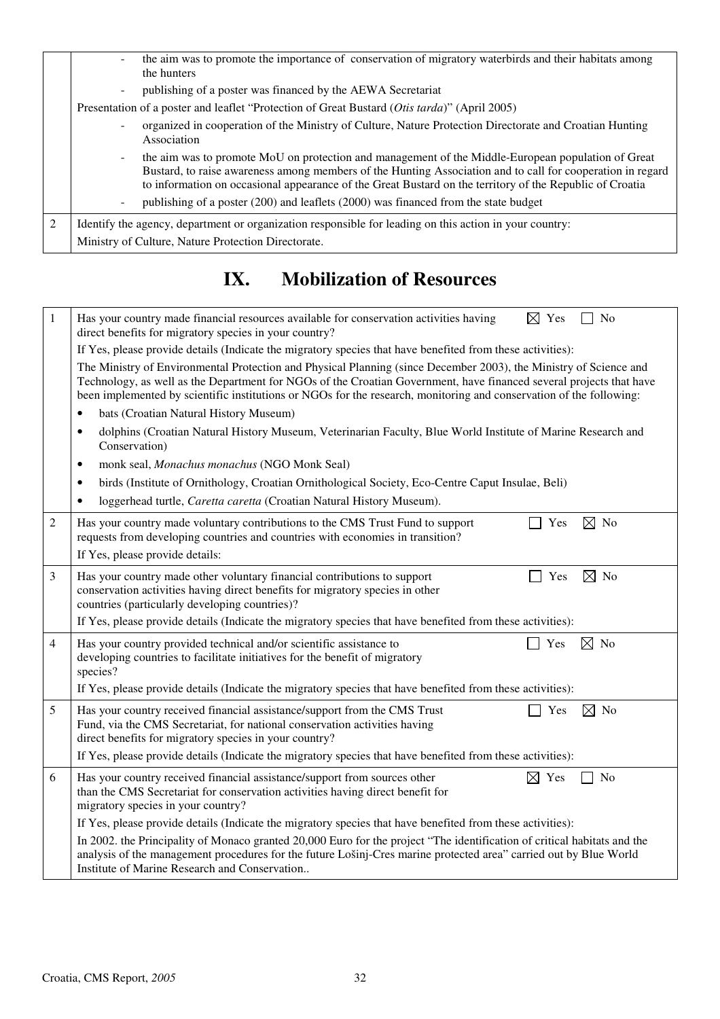|   | the aim was to promote the importance of conservation of migratory waterbirds and their habitats among<br>the hunters                                                                                                                                                                                                        |  |  |  |  |  |  |  |
|---|------------------------------------------------------------------------------------------------------------------------------------------------------------------------------------------------------------------------------------------------------------------------------------------------------------------------------|--|--|--|--|--|--|--|
|   | publishing of a poster was financed by the AEWA Secretariat                                                                                                                                                                                                                                                                  |  |  |  |  |  |  |  |
|   | Presentation of a poster and leaflet "Protection of Great Bustard (Otis tarda)" (April 2005)                                                                                                                                                                                                                                 |  |  |  |  |  |  |  |
|   | organized in cooperation of the Ministry of Culture, Nature Protection Directorate and Croatian Hunting<br>Association                                                                                                                                                                                                       |  |  |  |  |  |  |  |
|   | the aim was to promote MoU on protection and management of the Middle-European population of Great<br>Bustard, to raise awareness among members of the Hunting Association and to call for cooperation in regard<br>to information on occasional appearance of the Great Bustard on the territory of the Republic of Croatia |  |  |  |  |  |  |  |
|   | publishing of a poster (200) and leaflets (2000) was financed from the state budget                                                                                                                                                                                                                                          |  |  |  |  |  |  |  |
| 2 | Identify the agency, department or organization responsible for leading on this action in your country:                                                                                                                                                                                                                      |  |  |  |  |  |  |  |
|   | Ministry of Culture, Nature Protection Directorate.                                                                                                                                                                                                                                                                          |  |  |  |  |  |  |  |

# **IX. Mobilization of Resources**

| $\mathbf{1}$ | Yes<br>Has your country made financial resources available for conservation activities having<br>$\bowtie$<br>No<br>direct benefits for migratory species in your country?                                                                                                                                                                                      |  |  |  |  |  |  |  |  |  |
|--------------|-----------------------------------------------------------------------------------------------------------------------------------------------------------------------------------------------------------------------------------------------------------------------------------------------------------------------------------------------------------------|--|--|--|--|--|--|--|--|--|
|              | If Yes, please provide details (Indicate the migratory species that have benefited from these activities):                                                                                                                                                                                                                                                      |  |  |  |  |  |  |  |  |  |
|              | The Ministry of Environmental Protection and Physical Planning (since December 2003), the Ministry of Science and<br>Technology, as well as the Department for NGOs of the Croatian Government, have financed several projects that have<br>been implemented by scientific institutions or NGOs for the research, monitoring and conservation of the following: |  |  |  |  |  |  |  |  |  |
|              | bats (Croatian Natural History Museum)<br>$\bullet$                                                                                                                                                                                                                                                                                                             |  |  |  |  |  |  |  |  |  |
|              | dolphins (Croatian Natural History Museum, Veterinarian Faculty, Blue World Institute of Marine Research and<br>$\bullet$<br>Conservation)                                                                                                                                                                                                                      |  |  |  |  |  |  |  |  |  |
|              | monk seal, Monachus monachus (NGO Monk Seal)<br>$\bullet$                                                                                                                                                                                                                                                                                                       |  |  |  |  |  |  |  |  |  |
|              | birds (Institute of Ornithology, Croatian Ornithological Society, Eco-Centre Caput Insulae, Beli)<br>٠                                                                                                                                                                                                                                                          |  |  |  |  |  |  |  |  |  |
|              | loggerhead turtle, Caretta caretta (Croatian Natural History Museum).<br>$\bullet$                                                                                                                                                                                                                                                                              |  |  |  |  |  |  |  |  |  |
| 2            | $\boxtimes$ No<br>Has your country made voluntary contributions to the CMS Trust Fund to support<br>Yes<br>requests from developing countries and countries with economies in transition?<br>If Yes, please provide details:                                                                                                                                    |  |  |  |  |  |  |  |  |  |
| 3            | $\boxtimes$ No<br>Has your country made other voluntary financial contributions to support<br>Yes<br>conservation activities having direct benefits for migratory species in other<br>countries (particularly developing countries)?                                                                                                                            |  |  |  |  |  |  |  |  |  |
|              | If Yes, please provide details (Indicate the migratory species that have benefited from these activities):                                                                                                                                                                                                                                                      |  |  |  |  |  |  |  |  |  |
| 4            | $\boxtimes$ No<br>Has your country provided technical and/or scientific assistance to<br>Yes<br>developing countries to facilitate initiatives for the benefit of migratory<br>species?                                                                                                                                                                         |  |  |  |  |  |  |  |  |  |
|              | If Yes, please provide details (Indicate the migratory species that have benefited from these activities):                                                                                                                                                                                                                                                      |  |  |  |  |  |  |  |  |  |
| 5            | Has your country received financial assistance/support from the CMS Trust<br>$\boxtimes$<br>No<br>Yes<br>Fund, via the CMS Secretariat, for national conservation activities having<br>direct benefits for migratory species in your country?                                                                                                                   |  |  |  |  |  |  |  |  |  |
|              | If Yes, please provide details (Indicate the migratory species that have benefited from these activities):                                                                                                                                                                                                                                                      |  |  |  |  |  |  |  |  |  |
| 6            | Has your country received financial assistance/support from sources other<br>$\boxtimes$ Yes<br>No<br>than the CMS Secretariat for conservation activities having direct benefit for<br>migratory species in your country?                                                                                                                                      |  |  |  |  |  |  |  |  |  |
|              | If Yes, please provide details (Indicate the migratory species that have benefited from these activities):                                                                                                                                                                                                                                                      |  |  |  |  |  |  |  |  |  |
|              | In 2002. the Principality of Monaco granted 20,000 Euro for the project "The identification of critical habitats and the<br>analysis of the management procedures for the future Lošinj-Cres marine protected area" carried out by Blue World<br>Institute of Marine Research and Conservation                                                                  |  |  |  |  |  |  |  |  |  |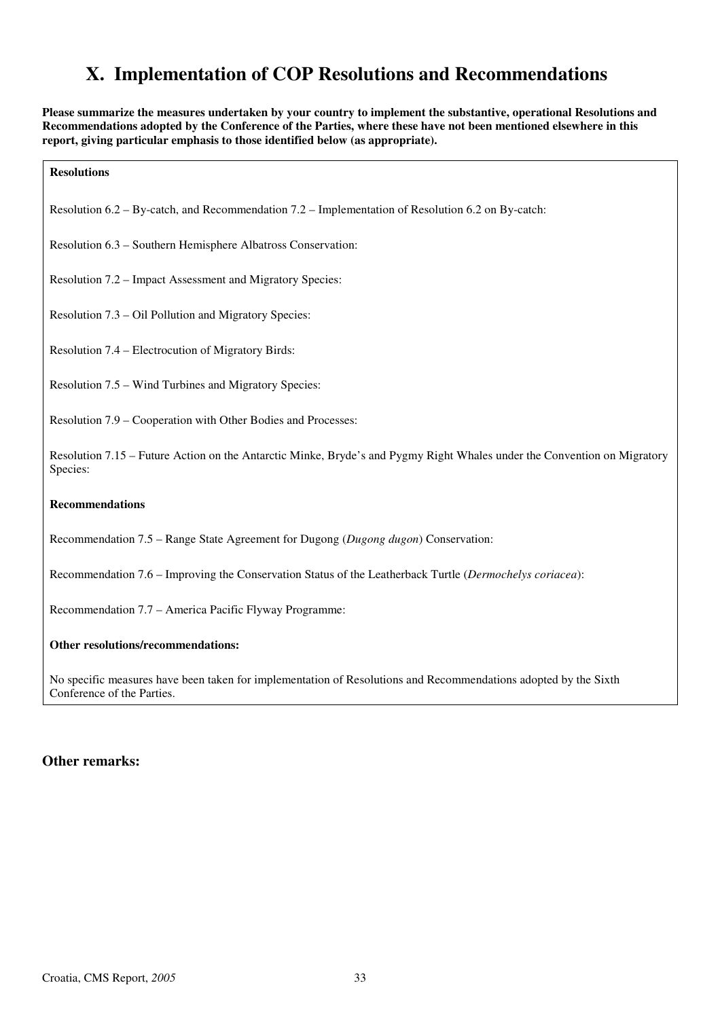## **X. Implementation of COP Resolutions and Recommendations**

**Please summarize the measures undertaken by your country to implement the substantive, operational Resolutions and Recommendations adopted by the Conference of the Parties, where these have not been mentioned elsewhere in this report, giving particular emphasis to those identified below (as appropriate).** 

**Resolutions** 

Resolution 6.2 – By-catch, and Recommendation 7.2 – Implementation of Resolution 6.2 on By-catch:

Resolution 6.3 – Southern Hemisphere Albatross Conservation:

Resolution 7.2 – Impact Assessment and Migratory Species:

Resolution 7.3 – Oil Pollution and Migratory Species:

Resolution 7.4 – Electrocution of Migratory Birds:

Resolution 7.5 – Wind Turbines and Migratory Species:

Resolution 7.9 – Cooperation with Other Bodies and Processes:

Resolution 7.15 – Future Action on the Antarctic Minke, Bryde's and Pygmy Right Whales under the Convention on Migratory Species:

#### **Recommendations**

Recommendation 7.5 – Range State Agreement for Dugong (*Dugong dugon*) Conservation:

Recommendation 7.6 – Improving the Conservation Status of the Leatherback Turtle (*Dermochelys coriacea*):

Recommendation 7.7 – America Pacific Flyway Programme:

#### **Other resolutions/recommendations:**

No specific measures have been taken for implementation of Resolutions and Recommendations adopted by the Sixth Conference of the Parties.

#### **Other remarks:**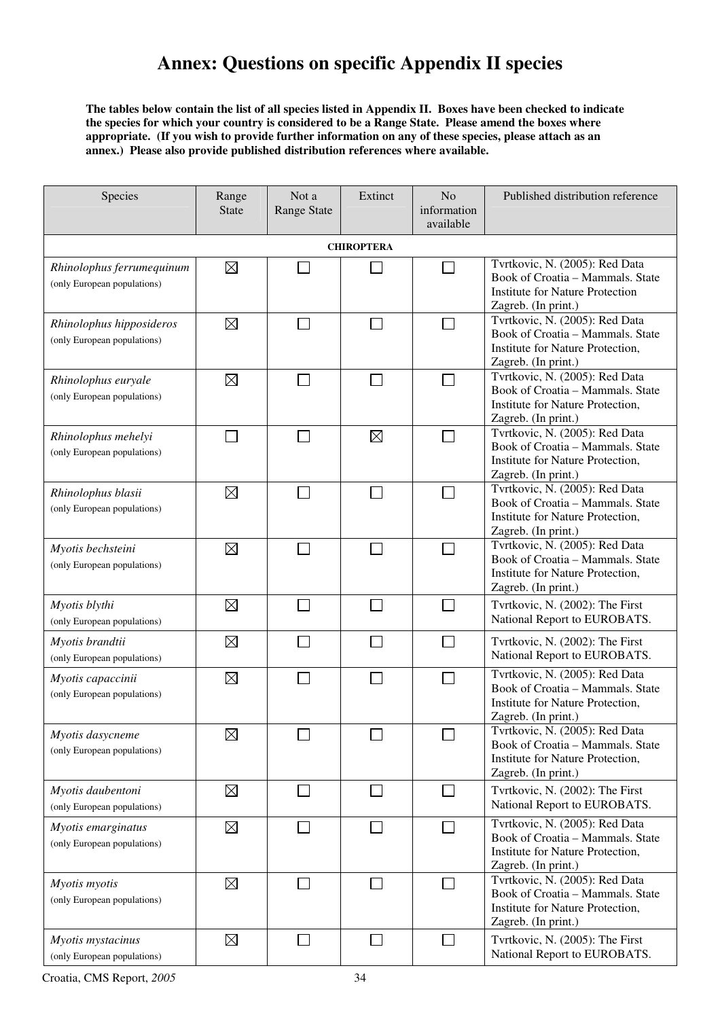## **Annex: Questions on specific Appendix II species**

**The tables below contain the list of all species listed in Appendix II. Boxes have been checked to indicate the species for which your country is considered to be a Range State. Please amend the boxes where appropriate. (If you wish to provide further information on any of these species, please attach as an annex.) Please also provide published distribution references where available.** 

| Species                                                  | Range<br><b>State</b> | Not a<br><b>Range State</b> | Extinct                     | N <sub>o</sub><br>information<br>available | Published distribution reference                                                                                                    |
|----------------------------------------------------------|-----------------------|-----------------------------|-----------------------------|--------------------------------------------|-------------------------------------------------------------------------------------------------------------------------------------|
|                                                          |                       |                             | <b>CHIROPTERA</b>           |                                            |                                                                                                                                     |
| Rhinolophus ferrumequinum<br>(only European populations) | $\boxtimes$           |                             |                             |                                            | Tvrtkovic, N. (2005): Red Data<br>Book of Croatia - Mammals. State<br><b>Institute for Nature Protection</b><br>Zagreb. (In print.) |
| Rhinolophus hipposideros<br>(only European populations)  | ⊠                     |                             |                             |                                            | Tvrtkovic, N. (2005): Red Data<br>Book of Croatia - Mammals. State<br>Institute for Nature Protection,<br>Zagreb. (In print.)       |
| Rhinolophus euryale<br>(only European populations)       | $\boxtimes$           |                             |                             |                                            | Tvrtkovic, N. (2005): Red Data<br>Book of Croatia - Mammals. State<br>Institute for Nature Protection,<br>Zagreb. (In print.)       |
| Rhinolophus mehelyi<br>(only European populations)       |                       |                             | $\boxtimes$                 | $\mathbf{L}$                               | Tvrtkovic, N. (2005): Red Data<br>Book of Croatia - Mammals. State<br>Institute for Nature Protection,<br>Zagreb. (In print.)       |
| Rhinolophus blasii<br>(only European populations)        | $\boxtimes$           |                             |                             |                                            | Tvrtkovic, N. (2005): Red Data<br>Book of Croatia - Mammals. State<br>Institute for Nature Protection,<br>Zagreb. (In print.)       |
| Myotis bechsteini<br>(only European populations)         | $\boxtimes$           |                             |                             |                                            | Tvrtkovic, N. (2005): Red Data<br>Book of Croatia - Mammals. State<br>Institute for Nature Protection,<br>Zagreb. (In print.)       |
| Myotis blythi<br>(only European populations)             | $\boxtimes$           |                             |                             |                                            | Tvrtkovic, N. (2002): The First<br>National Report to EUROBATS.                                                                     |
| Myotis brandtii<br>(only European populations)           | $\boxtimes$           |                             |                             | ┌                                          | Tvrtkovic, N. (2002): The First<br>National Report to EUROBATS.                                                                     |
| Myotis capaccinii<br>(only European populations)         | $\boxtimes$           |                             |                             |                                            | Tvrtkovic, N. (2005): Red Data<br>Book of Croatia - Mammals. State<br>Institute for Nature Protection,<br>Zagreb. (In print.)       |
| Myotis dasycneme<br>(only European populations)          | $\boxtimes$           |                             |                             |                                            | Tvrtkovic, N. (2005): Red Data<br>Book of Croatia – Mammals. State<br>Institute for Nature Protection,<br>Zagreb. (In print.)       |
| Myotis daubentoni<br>(only European populations)         | ⊠                     |                             | $\mathcal{L}_{\mathcal{A}}$ | П                                          | Tvrtkovic, N. (2002): The First<br>National Report to EUROBATS.                                                                     |
| Myotis emarginatus<br>(only European populations)        | $\boxtimes$           |                             |                             |                                            | Tvrtkovic, N. (2005): Red Data<br>Book of Croatia - Mammals. State<br>Institute for Nature Protection,<br>Zagreb. (In print.)       |
| Myotis myotis<br>(only European populations)             | $\boxtimes$           |                             |                             | $\mathbf{L}$                               | Tvrtkovic, N. (2005): Red Data<br>Book of Croatia - Mammals. State<br>Institute for Nature Protection,<br>Zagreb. (In print.)       |
| Myotis mystacinus<br>(only European populations)         | $\boxtimes$           |                             |                             | $\mathbf{I}$                               | Tvrtkovic, N. (2005): The First<br>National Report to EUROBATS.                                                                     |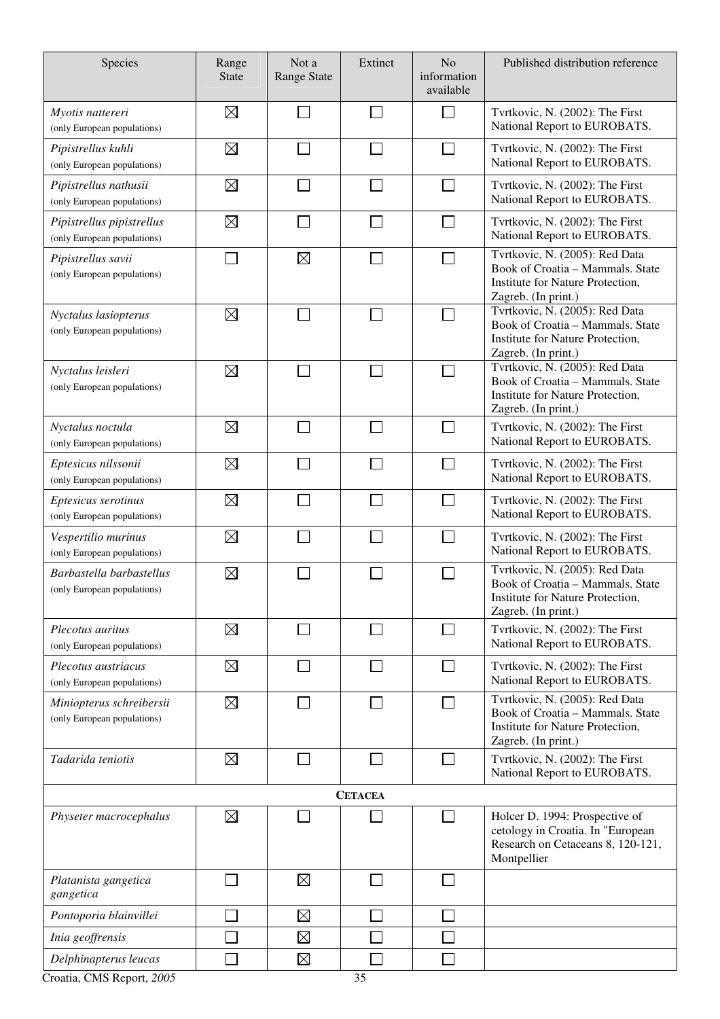| Species                                                  | Range<br><b>State</b> | Not a<br><b>Range State</b> | Extinct | N <sub>o</sub><br>information<br>available | Published distribution reference                                                                                              |  |  |  |
|----------------------------------------------------------|-----------------------|-----------------------------|---------|--------------------------------------------|-------------------------------------------------------------------------------------------------------------------------------|--|--|--|
| Myotis nattereri<br>(only European populations)          | ⊠                     |                             |         |                                            | Tvrtkovic, N. (2002): The First<br>National Report to EUROBATS.                                                               |  |  |  |
| Pipistrellus kuhli<br>(only European populations)        | $\boxtimes$           |                             |         |                                            | Tvrtkovic, N. (2002): The First<br>National Report to EUROBATS.                                                               |  |  |  |
| Pipistrellus nathusii<br>(only European populations)     | $\boxtimes$           |                             |         | Π                                          | Tvrtkovic, N. (2002): The First<br>National Report to EUROBATS.                                                               |  |  |  |
| Pipistrellus pipistrellus<br>(only European populations) | $\boxtimes$           |                             |         | $\overline{\phantom{a}}$                   | Tvrtkovic, N. (2002): The First<br>National Report to EUROBATS.                                                               |  |  |  |
| Pipistrellus savii<br>(only European populations)        | $\sim$                | $\boxtimes$                 |         |                                            | Tvrtkovic, N. (2005): Red Data<br>Book of Croatia - Mammals. State<br>Institute for Nature Protection,<br>Zagreb. (In print.) |  |  |  |
| Nyctalus lasiopterus<br>(only European populations)      | ⊠                     |                             |         |                                            | Tvrtkovic, N. (2005): Red Data<br>Book of Croatia - Mammals. State<br>Institute for Nature Protection,<br>Zagreb. (In print.) |  |  |  |
| Nyctalus leisleri<br>(only European populations)         | $\boxtimes$           |                             |         |                                            | Tvrtkovic, N. (2005): Red Data<br>Book of Croatia - Mammals. State<br>Institute for Nature Protection,<br>Zagreb. (In print.) |  |  |  |
| Nyctalus noctula<br>(only European populations)          | $\boxtimes$           |                             |         | ÷.                                         | Tvrtkovic, N. (2002): The First<br>National Report to EUROBATS.                                                               |  |  |  |
| Eptesicus nilssonii<br>(only European populations)       | ⊠                     |                             |         |                                            | Tvrtkovic, N. (2002): The First<br>National Report to EUROBATS.                                                               |  |  |  |
| Eptesicus serotinus<br>(only European populations)       | $\boxtimes$           |                             |         |                                            | Tvrtkovic, N. (2002): The First<br>National Report to EUROBATS.                                                               |  |  |  |
| Vespertilio murinus<br>(only European populations)       | $\boxtimes$           |                             |         |                                            | Tvrtkovic, N. (2002): The First<br>National Report to EUROBATS.                                                               |  |  |  |
| Barbastella barbastellus<br>(only European populations)  | $\boxtimes$           |                             |         |                                            | Tvrtkovic, N. (2005): Red Data<br>Book of Croatia - Mammals. State<br>Institute for Nature Protection,<br>Zagreb. (In print.) |  |  |  |
| Plecotus auritus<br>(only European populations)          | ⊠                     |                             |         | $\mathbf{L}$                               | Tvrtkovic, N. (2002): The First<br>National Report to EUROBATS.                                                               |  |  |  |
| Plecotus austriacus<br>(only European populations)       | $\boxtimes$           |                             |         | П                                          | Tvrtkovic, N. (2002): The First<br>National Report to EUROBATS.                                                               |  |  |  |
| Miniopterus schreibersii<br>(only European populations)  | $\boxtimes$           |                             |         | $\Box$                                     | Tvrtkovic, N. (2005): Red Data<br>Book of Croatia - Mammals. State<br>Institute for Nature Protection,<br>Zagreb. (In print.) |  |  |  |
| Tadarida teniotis                                        | ⊠                     |                             |         | $\Box$                                     | Tvrtkovic, N. (2002): The First<br>National Report to EUROBATS.                                                               |  |  |  |
| <b>CETACEA</b>                                           |                       |                             |         |                                            |                                                                                                                               |  |  |  |
| Physeter macrocephalus                                   | ⊠                     |                             |         | $\sim$                                     | Holcer D. 1994: Prospective of<br>cetology in Croatia. In "European<br>Research on Cetaceans 8, 120-121,<br>Montpellier       |  |  |  |
| Platanista gangetica<br>gangetica                        |                       | $\boxtimes$                 |         |                                            |                                                                                                                               |  |  |  |
| Pontoporia blainvillei                                   |                       | $\boxtimes$                 |         |                                            |                                                                                                                               |  |  |  |
| Inia geoffrensis                                         |                       | $\boxtimes$                 |         |                                            |                                                                                                                               |  |  |  |
| Delphinapterus leucas                                    |                       | $\boxtimes$                 |         |                                            |                                                                                                                               |  |  |  |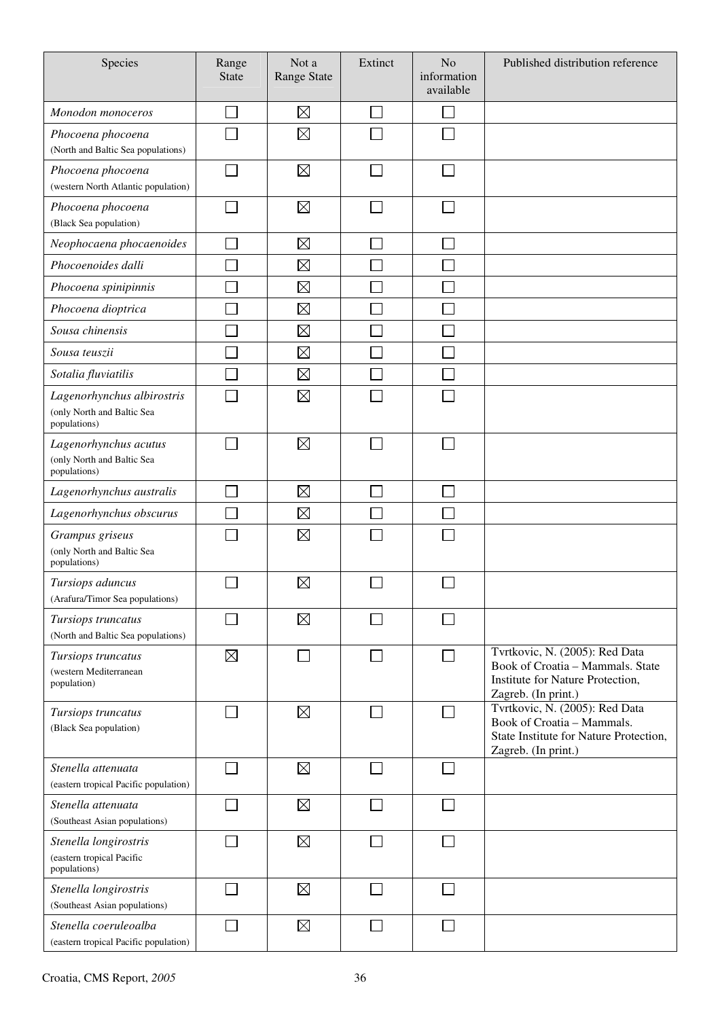| Species                                                                  | Range<br><b>State</b> | Not a<br><b>Range State</b> | Extinct | N <sub>o</sub><br>information<br>available | Published distribution reference                                                                                              |
|--------------------------------------------------------------------------|-----------------------|-----------------------------|---------|--------------------------------------------|-------------------------------------------------------------------------------------------------------------------------------|
| Monodon monoceros                                                        |                       | $\boxtimes$                 | $\sim$  |                                            |                                                                                                                               |
| Phocoena phocoena<br>(North and Baltic Sea populations)                  |                       | $\boxtimes$                 |         |                                            |                                                                                                                               |
| Phocoena phocoena<br>(western North Atlantic population)                 |                       | $\boxtimes$                 |         |                                            |                                                                                                                               |
| Phocoena phocoena<br>(Black Sea population)                              |                       | $\boxtimes$                 |         |                                            |                                                                                                                               |
| Neophocaena phocaenoides                                                 |                       | $\boxtimes$                 |         |                                            |                                                                                                                               |
| Phocoenoides dalli                                                       |                       | $\boxtimes$                 |         |                                            |                                                                                                                               |
| Phocoena spinipinnis                                                     |                       | $\boxtimes$                 |         |                                            |                                                                                                                               |
| Phocoena dioptrica                                                       |                       | $\boxtimes$                 |         |                                            |                                                                                                                               |
| Sousa chinensis                                                          |                       | $\boxtimes$                 |         |                                            |                                                                                                                               |
| Sousa teuszii                                                            |                       | $\boxtimes$                 |         |                                            |                                                                                                                               |
| Sotalia fluviatilis                                                      |                       | $\boxtimes$                 |         |                                            |                                                                                                                               |
| Lagenorhynchus albirostris<br>(only North and Baltic Sea<br>populations) |                       | $\boxtimes$                 |         |                                            |                                                                                                                               |
| Lagenorhynchus acutus<br>(only North and Baltic Sea<br>populations)      |                       | $\boxtimes$                 |         |                                            |                                                                                                                               |
| Lagenorhynchus australis                                                 |                       | $\boxtimes$                 |         |                                            |                                                                                                                               |
| Lagenorhynchus obscurus                                                  |                       | $\boxtimes$                 |         |                                            |                                                                                                                               |
| Grampus griseus<br>(only North and Baltic Sea<br>populations)            |                       | $\boxtimes$                 |         |                                            |                                                                                                                               |
| Tursiops aduncus<br>(Arafura/Timor Sea populations)                      |                       | $\boxtimes$                 |         |                                            |                                                                                                                               |
| Tursiops truncatus<br>(North and Baltic Sea populations)                 |                       | $\boxtimes$                 |         |                                            |                                                                                                                               |
| Tursiops truncatus<br>(western Mediterranean<br>population)              | $\boxtimes$           |                             |         |                                            | Tvrtkovic, N. (2005): Red Data<br>Book of Croatia - Mammals. State<br>Institute for Nature Protection,<br>Zagreb. (In print.) |
| Tursiops truncatus<br>(Black Sea population)                             |                       | $\boxtimes$                 |         |                                            | Tvrtkovic, N. (2005): Red Data<br>Book of Croatia - Mammals.<br>State Institute for Nature Protection,<br>Zagreb. (In print.) |
| Stenella attenuata<br>(eastern tropical Pacific population)              |                       | $\boxtimes$                 | $\sim$  |                                            |                                                                                                                               |
| Stenella attenuata<br>(Southeast Asian populations)                      |                       | $\boxtimes$                 |         |                                            |                                                                                                                               |
| Stenella longirostris<br>(eastern tropical Pacific<br>populations)       |                       | $\boxtimes$                 |         |                                            |                                                                                                                               |
| Stenella longirostris<br>(Southeast Asian populations)                   |                       | $\boxtimes$                 |         |                                            |                                                                                                                               |
| Stenella coeruleoalba<br>(eastern tropical Pacific population)           | $\sim$                | $\boxtimes$                 | $\Box$  |                                            |                                                                                                                               |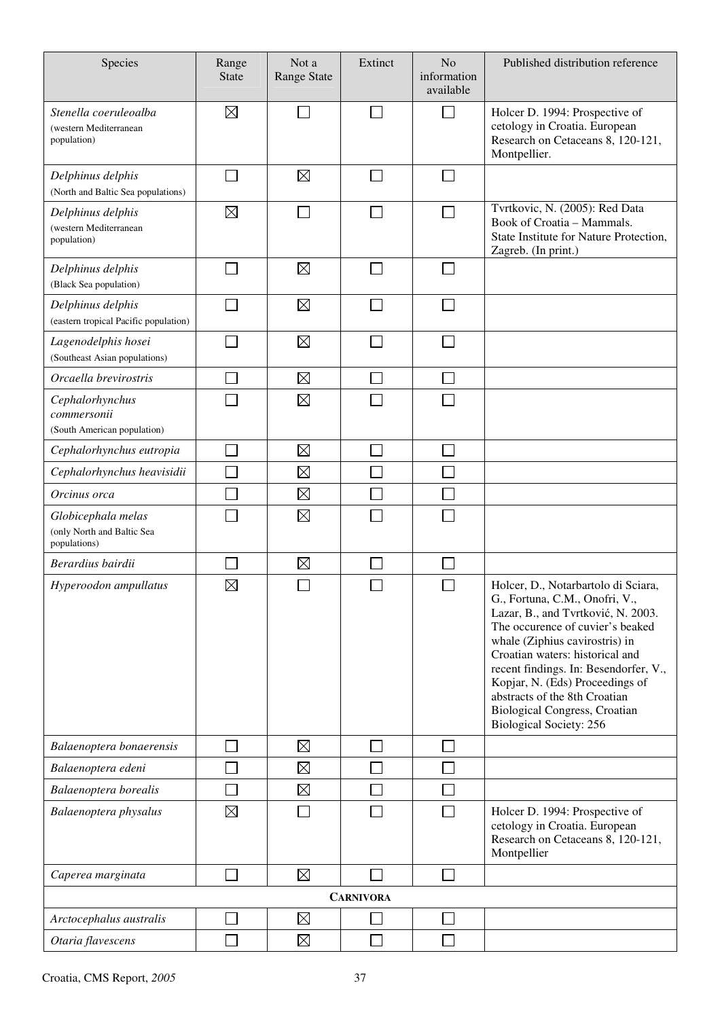| Species                                                          | Range<br><b>State</b> | Not a<br><b>Range State</b> | Extinct          | N <sub>o</sub><br>information<br>available | Published distribution reference                                                                                                                                                                                                                                                                                                                                                                            |
|------------------------------------------------------------------|-----------------------|-----------------------------|------------------|--------------------------------------------|-------------------------------------------------------------------------------------------------------------------------------------------------------------------------------------------------------------------------------------------------------------------------------------------------------------------------------------------------------------------------------------------------------------|
| Stenella coeruleoalba<br>(western Mediterranean<br>population)   | $\boxtimes$           |                             |                  |                                            | Holcer D. 1994: Prospective of<br>cetology in Croatia. European<br>Research on Cetaceans 8, 120-121,<br>Montpellier.                                                                                                                                                                                                                                                                                        |
| Delphinus delphis<br>(North and Baltic Sea populations)          |                       | $\boxtimes$                 |                  |                                            |                                                                                                                                                                                                                                                                                                                                                                                                             |
| Delphinus delphis<br>(western Mediterranean<br>population)       | $\boxtimes$           |                             |                  |                                            | Tvrtkovic, N. (2005): Red Data<br>Book of Croatia - Mammals.<br>State Institute for Nature Protection,<br>Zagreb. (In print.)                                                                                                                                                                                                                                                                               |
| Delphinus delphis<br>(Black Sea population)                      |                       | $\boxtimes$                 |                  |                                            |                                                                                                                                                                                                                                                                                                                                                                                                             |
| Delphinus delphis<br>(eastern tropical Pacific population)       |                       | $\boxtimes$                 |                  |                                            |                                                                                                                                                                                                                                                                                                                                                                                                             |
| Lagenodelphis hosei<br>(Southeast Asian populations)             |                       | $\boxtimes$                 |                  |                                            |                                                                                                                                                                                                                                                                                                                                                                                                             |
| Orcaella brevirostris                                            |                       | $\boxtimes$                 |                  |                                            |                                                                                                                                                                                                                                                                                                                                                                                                             |
| Cephalorhynchus<br>commersonii<br>(South American population)    |                       | $\boxtimes$                 |                  |                                            |                                                                                                                                                                                                                                                                                                                                                                                                             |
| Cephalorhynchus eutropia                                         |                       | $\boxtimes$                 |                  |                                            |                                                                                                                                                                                                                                                                                                                                                                                                             |
| Cephalorhynchus heavisidii                                       |                       | $\boxtimes$                 |                  |                                            |                                                                                                                                                                                                                                                                                                                                                                                                             |
| Orcinus orca                                                     |                       | $\boxtimes$                 |                  |                                            |                                                                                                                                                                                                                                                                                                                                                                                                             |
| Globicephala melas<br>(only North and Baltic Sea<br>populations) |                       | $\boxtimes$                 |                  |                                            |                                                                                                                                                                                                                                                                                                                                                                                                             |
| Berardius bairdii                                                |                       | $\boxtimes$                 |                  |                                            |                                                                                                                                                                                                                                                                                                                                                                                                             |
| Hyperoodon ampullatus                                            | $\boxtimes$           |                             |                  |                                            | Holcer, D., Notarbartolo di Sciara,<br>G., Fortuna, C.M., Onofri, V.,<br>Lazar, B., and Tvrtković, N. 2003.<br>The occurence of cuvier's beaked<br>whale (Ziphius cavirostris) in<br>Croatian waters: historical and<br>recent findings. In: Besendorfer, V.,<br>Kopjar, N. (Eds) Proceedings of<br>abstracts of the 8th Croatian<br><b>Biological Congress, Croatian</b><br><b>Biological Society: 256</b> |
| Balaenoptera bonaerensis                                         |                       | $\boxtimes$                 |                  |                                            |                                                                                                                                                                                                                                                                                                                                                                                                             |
| Balaenoptera edeni                                               |                       | $\boxtimes$                 |                  |                                            |                                                                                                                                                                                                                                                                                                                                                                                                             |
| Balaenoptera borealis                                            |                       | $\boxtimes$                 |                  |                                            |                                                                                                                                                                                                                                                                                                                                                                                                             |
| Balaenoptera physalus                                            | $\boxtimes$           |                             |                  |                                            | Holcer D. 1994: Prospective of<br>cetology in Croatia. European<br>Research on Cetaceans 8, 120-121,<br>Montpellier                                                                                                                                                                                                                                                                                         |
| Caperea marginata                                                |                       | $\boxtimes$                 |                  | ×                                          |                                                                                                                                                                                                                                                                                                                                                                                                             |
|                                                                  |                       |                             | <b>CARNIVORA</b> |                                            |                                                                                                                                                                                                                                                                                                                                                                                                             |
| Arctocephalus australis                                          |                       | $\boxtimes$                 |                  |                                            |                                                                                                                                                                                                                                                                                                                                                                                                             |
| Otaria flavescens                                                |                       | $\boxtimes$                 |                  |                                            |                                                                                                                                                                                                                                                                                                                                                                                                             |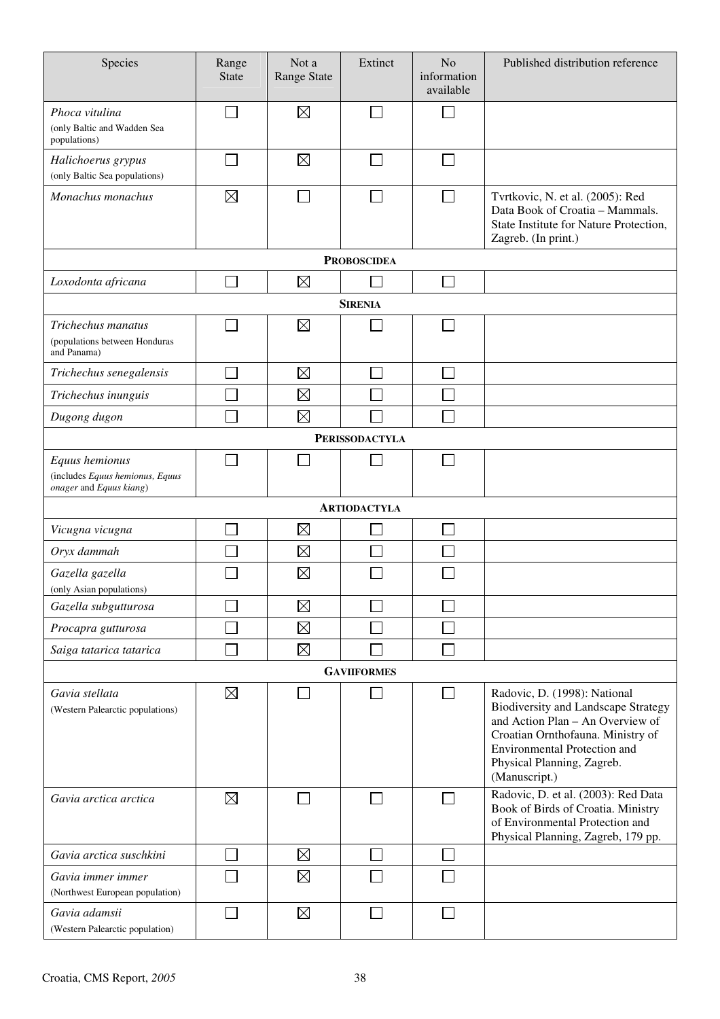| Species                                                                      | Range<br><b>State</b> | Not a<br>Range State | Extinct               | N <sub>o</sub><br>information<br>available | Published distribution reference                                                                                                                                                                                                          |
|------------------------------------------------------------------------------|-----------------------|----------------------|-----------------------|--------------------------------------------|-------------------------------------------------------------------------------------------------------------------------------------------------------------------------------------------------------------------------------------------|
| Phoca vitulina<br>(only Baltic and Wadden Sea<br>populations)                |                       | $\boxtimes$          |                       |                                            |                                                                                                                                                                                                                                           |
| Halichoerus grypus<br>(only Baltic Sea populations)                          |                       | $\boxtimes$          |                       |                                            |                                                                                                                                                                                                                                           |
| Monachus monachus                                                            | $\boxtimes$           |                      |                       | $\Box$                                     | Tvrtkovic, N. et al. (2005): Red<br>Data Book of Croatia - Mammals.<br>State Institute for Nature Protection,<br>Zagreb. (In print.)                                                                                                      |
|                                                                              |                       |                      | <b>PROBOSCIDEA</b>    |                                            |                                                                                                                                                                                                                                           |
| Loxodonta africana                                                           |                       | $\boxtimes$          |                       | $\mathcal{L}$                              |                                                                                                                                                                                                                                           |
|                                                                              |                       |                      | <b>SIRENIA</b>        |                                            |                                                                                                                                                                                                                                           |
| Trichechus manatus<br>(populations between Honduras<br>and Panama)           |                       | $\boxtimes$          |                       |                                            |                                                                                                                                                                                                                                           |
| Trichechus senegalensis                                                      |                       | $\boxtimes$          |                       |                                            |                                                                                                                                                                                                                                           |
| Trichechus inunguis                                                          |                       | $\boxtimes$          |                       |                                            |                                                                                                                                                                                                                                           |
| Dugong dugon                                                                 |                       | $\boxtimes$          |                       |                                            |                                                                                                                                                                                                                                           |
|                                                                              |                       |                      | <b>PERISSODACTYLA</b> |                                            |                                                                                                                                                                                                                                           |
| Equus hemionus<br>(includes Equus hemionus, Equus<br>onager and Equus kiang) |                       |                      |                       |                                            |                                                                                                                                                                                                                                           |
|                                                                              |                       |                      | <b>ARTIODACTYLA</b>   |                                            |                                                                                                                                                                                                                                           |
| Vicugna vicugna                                                              |                       | $\boxtimes$          |                       |                                            |                                                                                                                                                                                                                                           |
| Oryx dammah                                                                  |                       | $\boxtimes$          |                       |                                            |                                                                                                                                                                                                                                           |
| Gazella gazella<br>(only Asian populations)                                  |                       | $\boxtimes$          |                       |                                            |                                                                                                                                                                                                                                           |
| Gazella subgutturosa                                                         |                       | $\boxtimes$          |                       |                                            |                                                                                                                                                                                                                                           |
| Procapra gutturosa                                                           |                       | $\boxtimes$          |                       |                                            |                                                                                                                                                                                                                                           |
| Saiga tatarica tatarica                                                      |                       | $\boxtimes$          |                       |                                            |                                                                                                                                                                                                                                           |
|                                                                              |                       |                      | <b>GAVIIFORMES</b>    |                                            |                                                                                                                                                                                                                                           |
| Gavia stellata<br>(Western Palearctic populations)                           | $\boxtimes$           |                      |                       | $\sim$                                     | Radovic, D. (1998): National<br><b>Biodiversity and Landscape Strategy</b><br>and Action Plan - An Overview of<br>Croatian Ornthofauna. Ministry of<br><b>Environmental Protection and</b><br>Physical Planning, Zagreb.<br>(Manuscript.) |
| Gavia arctica arctica                                                        | $\boxtimes$           |                      |                       |                                            | Radovic, D. et al. (2003): Red Data<br>Book of Birds of Croatia. Ministry<br>of Environmental Protection and<br>Physical Planning, Zagreb, 179 pp.                                                                                        |
| Gavia arctica suschkini                                                      |                       | $\boxtimes$          |                       |                                            |                                                                                                                                                                                                                                           |
| Gavia immer immer<br>(Northwest European population)                         |                       | $\boxtimes$          |                       |                                            |                                                                                                                                                                                                                                           |
| Gavia adamsii<br>(Western Palearctic population)                             |                       | $\boxtimes$          |                       |                                            |                                                                                                                                                                                                                                           |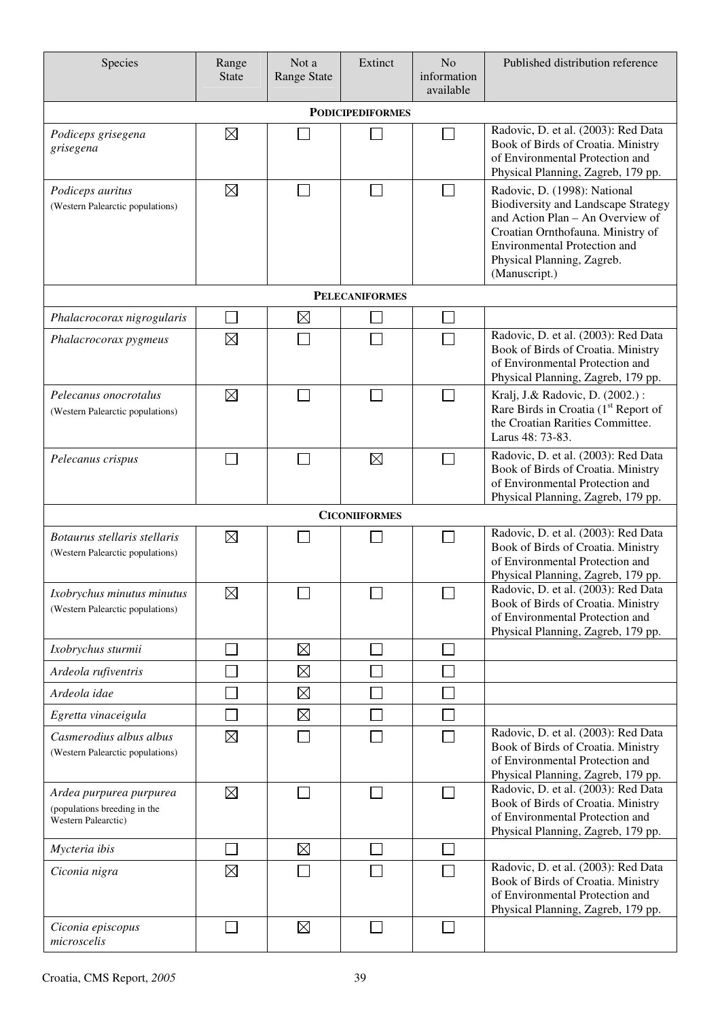| Species                                                                        | Range<br><b>State</b>    | Not a<br><b>Range State</b> | Extinct                 | N <sub>o</sub><br>information<br>available | Published distribution reference                                                                                                                                                                                                   |
|--------------------------------------------------------------------------------|--------------------------|-----------------------------|-------------------------|--------------------------------------------|------------------------------------------------------------------------------------------------------------------------------------------------------------------------------------------------------------------------------------|
|                                                                                |                          |                             | <b>PODICIPEDIFORMES</b> |                                            |                                                                                                                                                                                                                                    |
| Podiceps grisegena<br>grisegena                                                | $\boxtimes$              |                             |                         |                                            | Radovic, D. et al. (2003): Red Data<br>Book of Birds of Croatia. Ministry<br>of Environmental Protection and<br>Physical Planning, Zagreb, 179 pp.                                                                                 |
| Podiceps auritus<br>(Western Palearctic populations)                           | $\boxtimes$              |                             |                         |                                            | Radovic, D. (1998): National<br><b>Biodiversity and Landscape Strategy</b><br>and Action Plan - An Overview of<br>Croatian Ornthofauna. Ministry of<br>Environmental Protection and<br>Physical Planning, Zagreb.<br>(Manuscript.) |
|                                                                                |                          |                             | <b>PELECANIFORMES</b>   |                                            |                                                                                                                                                                                                                                    |
| Phalacrocorax nigrogularis                                                     |                          | $\boxtimes$                 |                         |                                            |                                                                                                                                                                                                                                    |
| Phalacrocorax pygmeus                                                          | $\boxtimes$              |                             |                         |                                            | Radovic, D. et al. (2003): Red Data<br>Book of Birds of Croatia. Ministry<br>of Environmental Protection and<br>Physical Planning, Zagreb, 179 pp.                                                                                 |
| Pelecanus onocrotalus<br>(Western Palearctic populations)                      | $\boxtimes$              |                             |                         |                                            | Kralj, J.& Radovic, D. (2002.):<br>Rare Birds in Croatia (1 <sup>st</sup> Report of<br>the Croatian Rarities Committee.<br>Larus 48: 73-83.                                                                                        |
| Pelecanus crispus                                                              |                          |                             | $\boxtimes$             |                                            | Radovic, D. et al. (2003): Red Data<br>Book of Birds of Croatia. Ministry<br>of Environmental Protection and<br>Physical Planning, Zagreb, 179 pp.                                                                                 |
|                                                                                |                          |                             | <b>CICONIIFORMES</b>    |                                            |                                                                                                                                                                                                                                    |
| Botaurus stellaris stellaris<br>(Western Palearctic populations)               | $\boxtimes$              |                             |                         |                                            | Radovic, D. et al. (2003): Red Data<br>Book of Birds of Croatia. Ministry<br>of Environmental Protection and<br>Physical Planning, Zagreb, 179 pp.                                                                                 |
| Ixobrychus minutus minutus<br>(Western Palearctic populations)                 | $\boxtimes$              | $\Box$                      | $\Box$                  | П                                          | Radovic, D. et al. (2003): Red Data<br>Book of Birds of Croatia. Ministry<br>of Environmental Protection and<br>Physical Planning, Zagreb, 179 pp.                                                                                 |
| Ixobrychus sturmii                                                             |                          | $\boxtimes$                 |                         |                                            |                                                                                                                                                                                                                                    |
| Ardeola rufiventris                                                            |                          | $\boxtimes$                 |                         |                                            |                                                                                                                                                                                                                                    |
| Ardeola idae                                                                   |                          | $\boxtimes$                 |                         |                                            |                                                                                                                                                                                                                                    |
| Egretta vinaceigula                                                            | $\overline{\phantom{a}}$ | $\boxtimes$                 |                         |                                            |                                                                                                                                                                                                                                    |
| Casmerodius albus albus<br>(Western Palearctic populations)                    | $\boxtimes$              |                             |                         |                                            | Radovic, D. et al. (2003): Red Data<br>Book of Birds of Croatia. Ministry<br>of Environmental Protection and<br>Physical Planning, Zagreb, 179 pp.                                                                                 |
| Ardea purpurea purpurea<br>(populations breeding in the<br>Western Palearctic) | $\boxtimes$              |                             |                         |                                            | Radovic, D. et al. (2003): Red Data<br>Book of Birds of Croatia. Ministry<br>of Environmental Protection and<br>Physical Planning, Zagreb, 179 pp.                                                                                 |
| Mycteria ibis                                                                  | $\sim$                   | $\boxtimes$                 |                         |                                            |                                                                                                                                                                                                                                    |
| Ciconia nigra                                                                  | $\boxtimes$              |                             |                         |                                            | Radovic, D. et al. (2003): Red Data<br>Book of Birds of Croatia. Ministry<br>of Environmental Protection and<br>Physical Planning, Zagreb, 179 pp.                                                                                 |
| Ciconia episcopus<br>microscelis                                               | $\mathcal{L}$            | $\boxtimes$                 |                         | $\mathcal{L}_{\mathcal{A}}$                |                                                                                                                                                                                                                                    |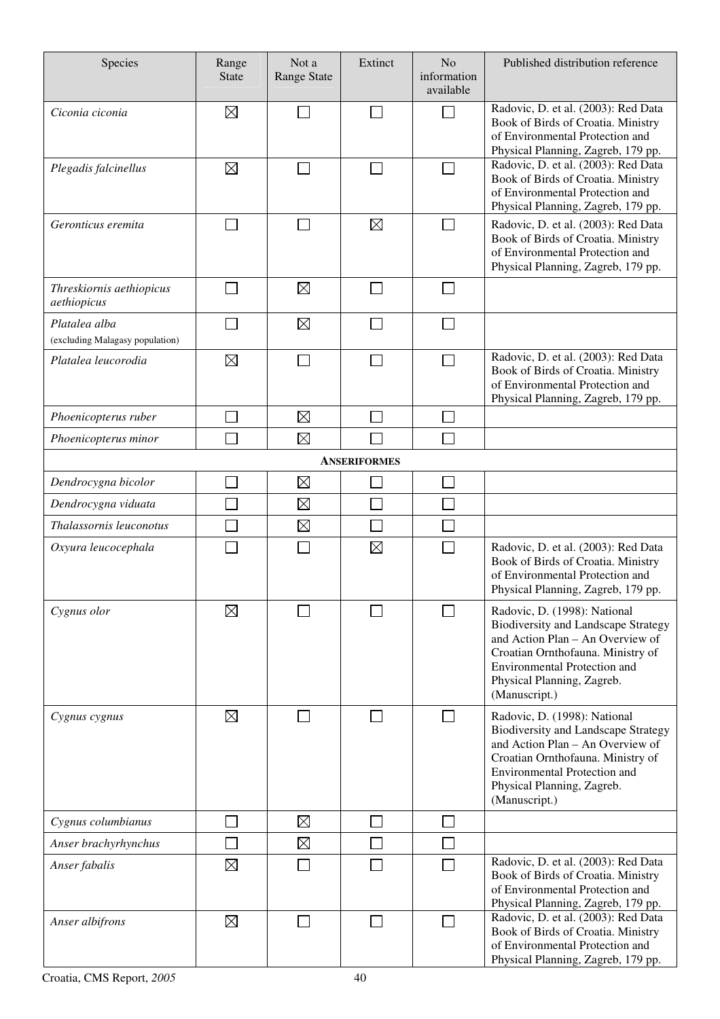| Species                                          | Range<br><b>State</b> | Not a<br><b>Range State</b> | Extinct             | N <sub>o</sub><br>information<br>available | Published distribution reference                                                                                                                                                                                                          |
|--------------------------------------------------|-----------------------|-----------------------------|---------------------|--------------------------------------------|-------------------------------------------------------------------------------------------------------------------------------------------------------------------------------------------------------------------------------------------|
| Ciconia ciconia                                  | $\boxtimes$           |                             | $\sim$              |                                            | Radovic, D. et al. (2003): Red Data<br>Book of Birds of Croatia. Ministry<br>of Environmental Protection and<br>Physical Planning, Zagreb, 179 pp.                                                                                        |
| Plegadis falcinellus                             | $\boxtimes$           |                             |                     |                                            | Radovic, D. et al. (2003): Red Data<br>Book of Birds of Croatia. Ministry<br>of Environmental Protection and<br>Physical Planning, Zagreb, 179 pp.                                                                                        |
| Geronticus eremita                               |                       |                             | $\boxtimes$         |                                            | Radovic, D. et al. (2003): Red Data<br>Book of Birds of Croatia. Ministry<br>of Environmental Protection and<br>Physical Planning, Zagreb, 179 pp.                                                                                        |
| Threskiornis aethiopicus<br>aethiopicus          |                       | $\boxtimes$                 |                     |                                            |                                                                                                                                                                                                                                           |
| Platalea alba<br>(excluding Malagasy population) |                       | $\boxtimes$                 |                     |                                            |                                                                                                                                                                                                                                           |
| Platalea leucorodia                              | $\boxtimes$           |                             |                     |                                            | Radovic, D. et al. (2003): Red Data<br>Book of Birds of Croatia. Ministry<br>of Environmental Protection and<br>Physical Planning, Zagreb, 179 pp.                                                                                        |
| Phoenicopterus ruber                             |                       | $\boxtimes$                 |                     |                                            |                                                                                                                                                                                                                                           |
| Phoenicopterus minor                             |                       | $\boxtimes$                 |                     |                                            |                                                                                                                                                                                                                                           |
|                                                  |                       |                             | <b>ANSERIFORMES</b> |                                            |                                                                                                                                                                                                                                           |
| Dendrocygna bicolor                              |                       | $\boxtimes$                 |                     |                                            |                                                                                                                                                                                                                                           |
| Dendrocygna viduata                              |                       | $\boxtimes$                 |                     |                                            |                                                                                                                                                                                                                                           |
| Thalassornis leuconotus                          |                       | $\boxtimes$                 |                     |                                            |                                                                                                                                                                                                                                           |
| Oxyura leucocephala                              |                       |                             | $\boxtimes$         |                                            | Radovic, D. et al. (2003): Red Data<br>Book of Birds of Croatia. Ministry<br>of Environmental Protection and<br>Physical Planning, Zagreb, 179 pp.                                                                                        |
| Cygnus olor                                      | $\boxtimes$           |                             |                     |                                            | Radovic, D. (1998): National<br><b>Biodiversity and Landscape Strategy</b><br>and Action Plan - An Overview of<br>Croatian Ornthofauna. Ministry of<br><b>Environmental Protection and</b><br>Physical Planning, Zagreb.<br>(Manuscript.) |
| Cygnus cygnus                                    | $\boxtimes$           |                             |                     |                                            | Radovic, D. (1998): National<br><b>Biodiversity and Landscape Strategy</b><br>and Action Plan - An Overview of<br>Croatian Ornthofauna. Ministry of<br><b>Environmental Protection and</b><br>Physical Planning, Zagreb.<br>(Manuscript.) |
| Cygnus columbianus                               |                       | $\boxtimes$                 |                     |                                            |                                                                                                                                                                                                                                           |
| Anser brachyrhynchus                             |                       | $\boxtimes$                 |                     |                                            |                                                                                                                                                                                                                                           |
| Anser fabalis                                    | $\boxtimes$           |                             |                     |                                            | Radovic, D. et al. (2003): Red Data<br>Book of Birds of Croatia. Ministry<br>of Environmental Protection and<br>Physical Planning, Zagreb, 179 pp.                                                                                        |
| Anser albifrons                                  | $\boxtimes$           |                             |                     |                                            | Radovic, D. et al. (2003): Red Data<br>Book of Birds of Croatia. Ministry<br>of Environmental Protection and<br>Physical Planning, Zagreb, 179 pp.                                                                                        |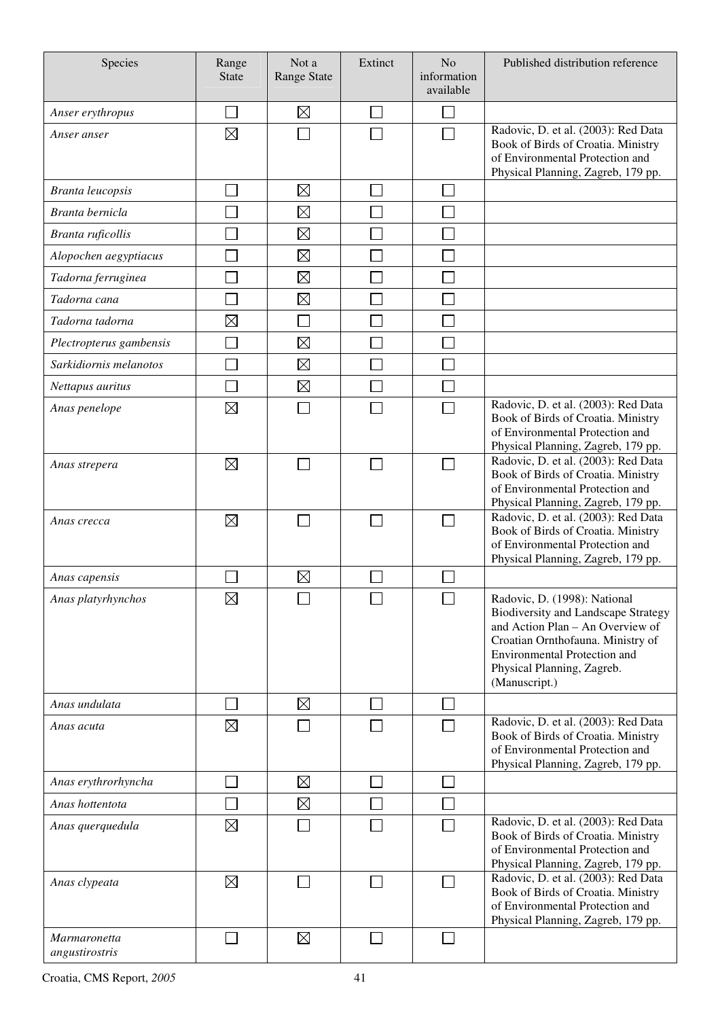| Species                        | Range<br><b>State</b> | Not a<br><b>Range State</b> | Extinct        | N <sub>o</sub><br>information<br>available | Published distribution reference                                                                                                                                                                                                          |
|--------------------------------|-----------------------|-----------------------------|----------------|--------------------------------------------|-------------------------------------------------------------------------------------------------------------------------------------------------------------------------------------------------------------------------------------------|
| Anser erythropus               |                       | $\boxtimes$                 |                |                                            |                                                                                                                                                                                                                                           |
| Anser anser                    | $\boxtimes$           |                             |                |                                            | Radovic, D. et al. (2003): Red Data<br>Book of Birds of Croatia. Ministry<br>of Environmental Protection and<br>Physical Planning, Zagreb, 179 pp.                                                                                        |
| Branta leucopsis               |                       | $\boxtimes$                 |                |                                            |                                                                                                                                                                                                                                           |
| Branta bernicla                |                       | $\boxtimes$                 |                |                                            |                                                                                                                                                                                                                                           |
| Branta ruficollis              |                       | $\boxtimes$                 |                |                                            |                                                                                                                                                                                                                                           |
| Alopochen aegyptiacus          |                       | $\boxtimes$                 |                |                                            |                                                                                                                                                                                                                                           |
| Tadorna ferruginea             |                       | $\boxtimes$                 |                |                                            |                                                                                                                                                                                                                                           |
| Tadorna cana                   |                       | $\boxtimes$                 |                |                                            |                                                                                                                                                                                                                                           |
| Tadorna tadorna                | $\boxtimes$           |                             |                |                                            |                                                                                                                                                                                                                                           |
| Plectropterus gambensis        |                       | $\boxtimes$                 |                |                                            |                                                                                                                                                                                                                                           |
| Sarkidiornis melanotos         |                       | $\boxtimes$                 |                |                                            |                                                                                                                                                                                                                                           |
| Nettapus auritus               |                       | $\boxtimes$                 |                |                                            |                                                                                                                                                                                                                                           |
| Anas penelope                  | $\boxtimes$           |                             |                |                                            | Radovic, D. et al. (2003): Red Data<br>Book of Birds of Croatia. Ministry<br>of Environmental Protection and<br>Physical Planning, Zagreb, 179 pp.                                                                                        |
| Anas strepera                  | $\boxtimes$           |                             |                |                                            | Radovic, D. et al. (2003): Red Data<br>Book of Birds of Croatia. Ministry<br>of Environmental Protection and<br>Physical Planning, Zagreb, 179 pp.                                                                                        |
| Anas crecca                    | $\boxtimes$           |                             |                |                                            | Radovic, D. et al. (2003): Red Data<br>Book of Birds of Croatia. Ministry<br>of Environmental Protection and<br>Physical Planning, Zagreb, 179 pp.                                                                                        |
| Anas capensis                  |                       | $\boxtimes$                 |                |                                            |                                                                                                                                                                                                                                           |
| Anas platyrhynchos             | $\boxtimes$           |                             |                |                                            | Radovic, D. (1998): National<br><b>Biodiversity and Landscape Strategy</b><br>and Action Plan - An Overview of<br>Croatian Ornthofauna. Ministry of<br><b>Environmental Protection and</b><br>Physical Planning, Zagreb.<br>(Manuscript.) |
| Anas undulata                  |                       | $\boxtimes$                 |                |                                            |                                                                                                                                                                                                                                           |
| Anas acuta                     | $\boxtimes$           |                             |                |                                            | Radovic, D. et al. (2003): Red Data<br>Book of Birds of Croatia. Ministry<br>of Environmental Protection and<br>Physical Planning, Zagreb, 179 pp.                                                                                        |
| Anas erythrorhyncha            |                       | $\boxtimes$                 |                | ×                                          |                                                                                                                                                                                                                                           |
| Anas hottentota                |                       | $\boxtimes$                 |                |                                            |                                                                                                                                                                                                                                           |
| Anas querquedula               | $\boxtimes$           |                             |                |                                            | Radovic, D. et al. (2003): Red Data<br>Book of Birds of Croatia. Ministry<br>of Environmental Protection and<br>Physical Planning, Zagreb, 179 pp.                                                                                        |
| Anas clypeata                  | ⊠                     |                             |                |                                            | Radovic, D. et al. (2003): Red Data<br>Book of Birds of Croatia. Ministry<br>of Environmental Protection and<br>Physical Planning, Zagreb, 179 pp.                                                                                        |
| Marmaronetta<br>angustirostris | $\sim$                | $\boxtimes$                 | $\blacksquare$ | $\sim$                                     |                                                                                                                                                                                                                                           |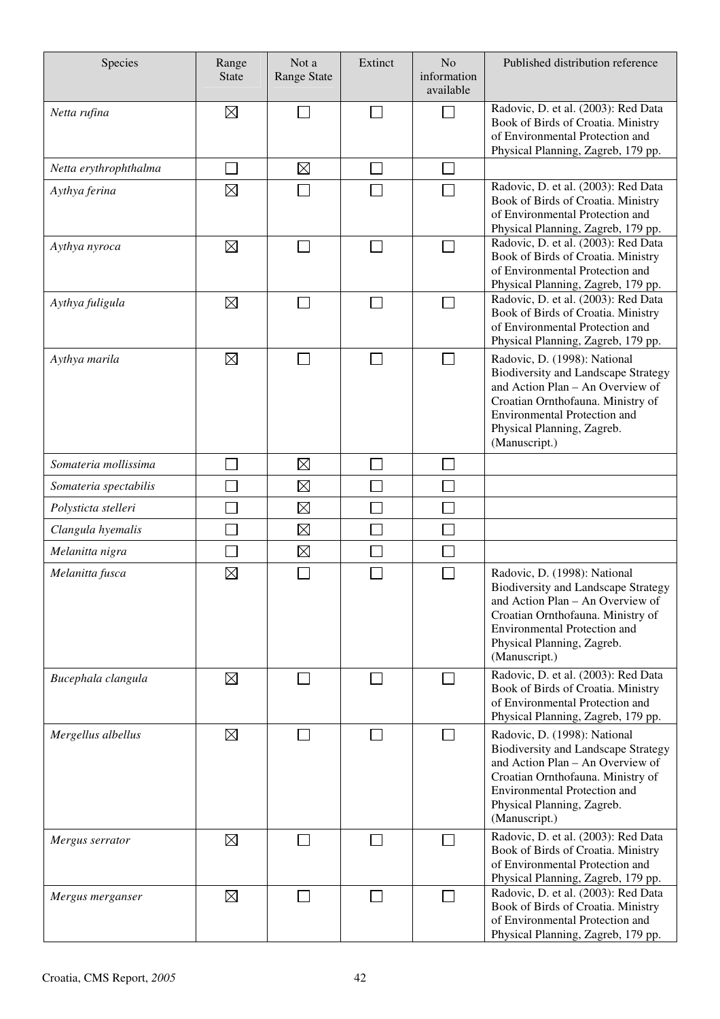| Species               | Range<br><b>State</b> | Not a<br><b>Range State</b> | Extinct | N <sub>o</sub><br>information<br>available | Published distribution reference                                                                                                                                                                                                          |
|-----------------------|-----------------------|-----------------------------|---------|--------------------------------------------|-------------------------------------------------------------------------------------------------------------------------------------------------------------------------------------------------------------------------------------------|
| Netta rufina          | $\boxtimes$           |                             |         | a i                                        | Radovic, D. et al. (2003): Red Data<br>Book of Birds of Croatia. Ministry<br>of Environmental Protection and<br>Physical Planning, Zagreb, 179 pp.                                                                                        |
| Netta erythrophthalma |                       | $\boxtimes$                 |         |                                            |                                                                                                                                                                                                                                           |
| Aythya ferina         | $\boxtimes$           |                             |         |                                            | Radovic, D. et al. (2003): Red Data<br>Book of Birds of Croatia. Ministry<br>of Environmental Protection and<br>Physical Planning, Zagreb, 179 pp.                                                                                        |
| Aythya nyroca         | $\boxtimes$           |                             |         |                                            | Radovic, D. et al. (2003): Red Data<br>Book of Birds of Croatia. Ministry<br>of Environmental Protection and<br>Physical Planning, Zagreb, 179 pp.                                                                                        |
| Aythya fuligula       | $\boxtimes$           |                             |         | a l                                        | Radovic, D. et al. (2003): Red Data<br>Book of Birds of Croatia. Ministry<br>of Environmental Protection and<br>Physical Planning, Zagreb, 179 pp.                                                                                        |
| Aythya marila         | $\boxtimes$           |                             |         | a i                                        | Radovic, D. (1998): National<br><b>Biodiversity and Landscape Strategy</b><br>and Action Plan - An Overview of<br>Croatian Ornthofauna. Ministry of<br><b>Environmental Protection and</b><br>Physical Planning, Zagreb.<br>(Manuscript.) |
| Somateria mollissima  |                       | $\boxtimes$                 |         |                                            |                                                                                                                                                                                                                                           |
| Somateria spectabilis |                       | $\boxtimes$                 |         |                                            |                                                                                                                                                                                                                                           |
| Polysticta stelleri   |                       | $\boxtimes$                 |         |                                            |                                                                                                                                                                                                                                           |
| Clangula hyemalis     |                       | $\boxtimes$                 |         |                                            |                                                                                                                                                                                                                                           |
| Melanitta nigra       |                       | $\boxtimes$                 |         |                                            |                                                                                                                                                                                                                                           |
| Melanitta fusca       | $\boxtimes$           |                             |         |                                            | Radovic, D. (1998): National<br><b>Biodiversity and Landscape Strategy</b><br>and Action Plan - An Overview of<br>Croatian Ornthofauna. Ministry of<br><b>Environmental Protection and</b><br>Physical Planning, Zagreb.<br>(Manuscript.) |
| Bucephala clangula    | $\boxtimes$           |                             |         |                                            | Radovic, D. et al. (2003): Red Data<br>Book of Birds of Croatia. Ministry<br>of Environmental Protection and<br>Physical Planning, Zagreb, 179 pp.                                                                                        |
| Mergellus albellus    | $\boxtimes$           |                             |         | $\sim$                                     | Radovic, D. (1998): National<br><b>Biodiversity and Landscape Strategy</b><br>and Action Plan - An Overview of<br>Croatian Ornthofauna. Ministry of<br>Environmental Protection and<br>Physical Planning, Zagreb.<br>(Manuscript.)        |
| Mergus serrator       | $\boxtimes$           |                             |         |                                            | Radovic, D. et al. (2003): Red Data<br>Book of Birds of Croatia. Ministry<br>of Environmental Protection and<br>Physical Planning, Zagreb, 179 pp.                                                                                        |
| Mergus merganser      | $\boxtimes$           |                             |         |                                            | Radovic, D. et al. (2003): Red Data<br>Book of Birds of Croatia. Ministry<br>of Environmental Protection and<br>Physical Planning, Zagreb, 179 pp.                                                                                        |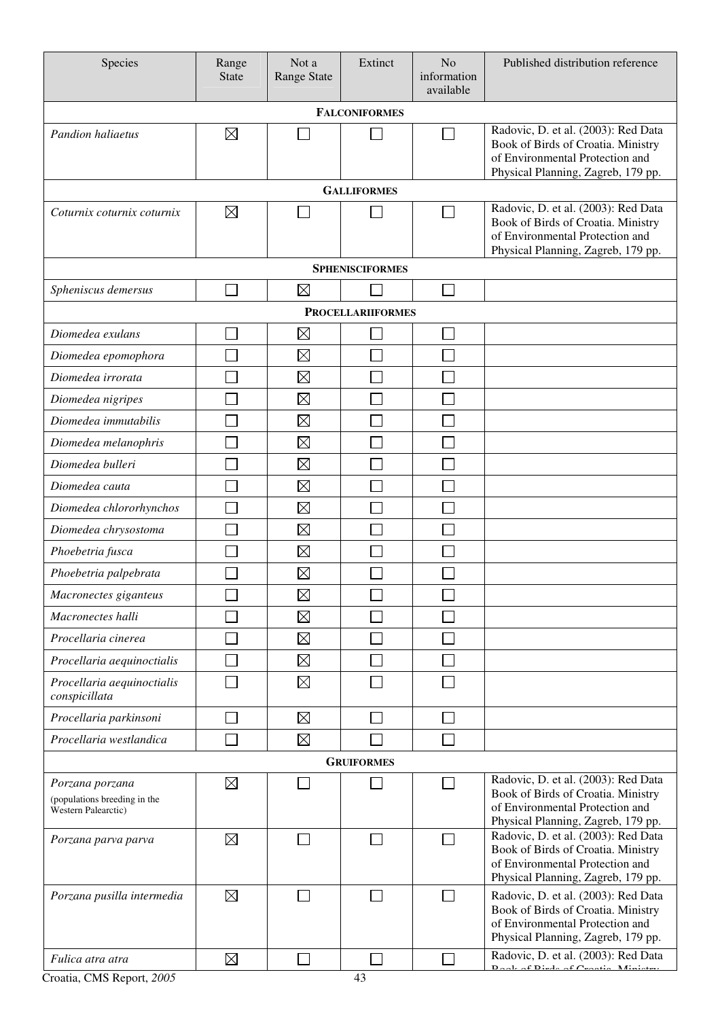| Species                                                                | Range<br><b>State</b> | Not a<br><b>Range State</b> | Extinct                  | N <sub>o</sub><br>information<br>available | Published distribution reference                                                                                                                   |  |  |  |
|------------------------------------------------------------------------|-----------------------|-----------------------------|--------------------------|--------------------------------------------|----------------------------------------------------------------------------------------------------------------------------------------------------|--|--|--|
| <b>FALCONIFORMES</b>                                                   |                       |                             |                          |                                            |                                                                                                                                                    |  |  |  |
| Pandion haliaetus                                                      | $\boxtimes$           |                             |                          |                                            | Radovic, D. et al. (2003): Red Data<br>Book of Birds of Croatia. Ministry<br>of Environmental Protection and<br>Physical Planning, Zagreb, 179 pp. |  |  |  |
|                                                                        |                       |                             | <b>GALLIFORMES</b>       |                                            |                                                                                                                                                    |  |  |  |
| Coturnix coturnix coturnix                                             | $\boxtimes$           |                             |                          |                                            | Radovic, D. et al. (2003): Red Data<br>Book of Birds of Croatia. Ministry<br>of Environmental Protection and<br>Physical Planning, Zagreb, 179 pp. |  |  |  |
|                                                                        |                       |                             | <b>SPHENISCIFORMES</b>   |                                            |                                                                                                                                                    |  |  |  |
| Spheniscus demersus                                                    |                       | $\boxtimes$                 |                          |                                            |                                                                                                                                                    |  |  |  |
|                                                                        |                       |                             | <b>PROCELLARIIFORMES</b> |                                            |                                                                                                                                                    |  |  |  |
| Diomedea exulans                                                       |                       | $\boxtimes$                 |                          |                                            |                                                                                                                                                    |  |  |  |
| Diomedea epomophora                                                    |                       | $\boxtimes$                 |                          |                                            |                                                                                                                                                    |  |  |  |
| Diomedea irrorata                                                      |                       | $\boxtimes$                 |                          |                                            |                                                                                                                                                    |  |  |  |
| Diomedea nigripes                                                      |                       | $\boxtimes$                 |                          |                                            |                                                                                                                                                    |  |  |  |
| Diomedea immutabilis                                                   |                       | $\boxtimes$                 |                          |                                            |                                                                                                                                                    |  |  |  |
| Diomedea melanophris                                                   |                       | $\boxtimes$                 |                          |                                            |                                                                                                                                                    |  |  |  |
| Diomedea bulleri                                                       |                       | $\boxtimes$                 |                          |                                            |                                                                                                                                                    |  |  |  |
| Diomedea cauta                                                         |                       | $\boxtimes$                 |                          |                                            |                                                                                                                                                    |  |  |  |
| Diomedea chlororhynchos                                                |                       | $\boxtimes$                 |                          |                                            |                                                                                                                                                    |  |  |  |
| Diomedea chrysostoma                                                   |                       | $\boxtimes$                 |                          |                                            |                                                                                                                                                    |  |  |  |
| Phoebetria fusca                                                       |                       | $\boxtimes$                 |                          |                                            |                                                                                                                                                    |  |  |  |
| Phoebetria palpebrata                                                  |                       | $\boxtimes$                 |                          |                                            |                                                                                                                                                    |  |  |  |
| Macronectes giganteus                                                  |                       | $\boxtimes$                 |                          |                                            |                                                                                                                                                    |  |  |  |
| Macronectes halli                                                      |                       | $\boxtimes$                 |                          |                                            |                                                                                                                                                    |  |  |  |
| Procellaria cinerea                                                    |                       | $\boxtimes$                 |                          |                                            |                                                                                                                                                    |  |  |  |
| Procellaria aequinoctialis                                             |                       | $\boxtimes$                 |                          |                                            |                                                                                                                                                    |  |  |  |
| Procellaria aequinoctialis<br>conspicillata                            |                       | $\boxtimes$                 |                          |                                            |                                                                                                                                                    |  |  |  |
| Procellaria parkinsoni                                                 |                       | $\boxtimes$                 |                          |                                            |                                                                                                                                                    |  |  |  |
| Procellaria westlandica                                                |                       | $\boxtimes$                 |                          |                                            |                                                                                                                                                    |  |  |  |
| <b>GRUIFORMES</b>                                                      |                       |                             |                          |                                            |                                                                                                                                                    |  |  |  |
| Porzana porzana<br>(populations breeding in the<br>Western Palearctic) | $\boxtimes$           |                             |                          |                                            | Radovic, D. et al. (2003): Red Data<br>Book of Birds of Croatia. Ministry<br>of Environmental Protection and<br>Physical Planning, Zagreb, 179 pp. |  |  |  |
| Porzana parva parva                                                    | $\boxtimes$           |                             |                          |                                            | Radovic, D. et al. (2003): Red Data<br>Book of Birds of Croatia. Ministry<br>of Environmental Protection and<br>Physical Planning, Zagreb, 179 pp. |  |  |  |
| Porzana pusilla intermedia                                             | $\boxtimes$           |                             |                          |                                            | Radovic, D. et al. (2003): Red Data<br>Book of Birds of Croatia. Ministry<br>of Environmental Protection and<br>Physical Planning, Zagreb, 179 pp. |  |  |  |
| Fulica atra atra                                                       | $\boxtimes$           |                             |                          |                                            | Radovic, D. et al. (2003): Red Data<br>Dools of Divide of Crootic Minister                                                                         |  |  |  |
|                                                                        |                       |                             |                          |                                            |                                                                                                                                                    |  |  |  |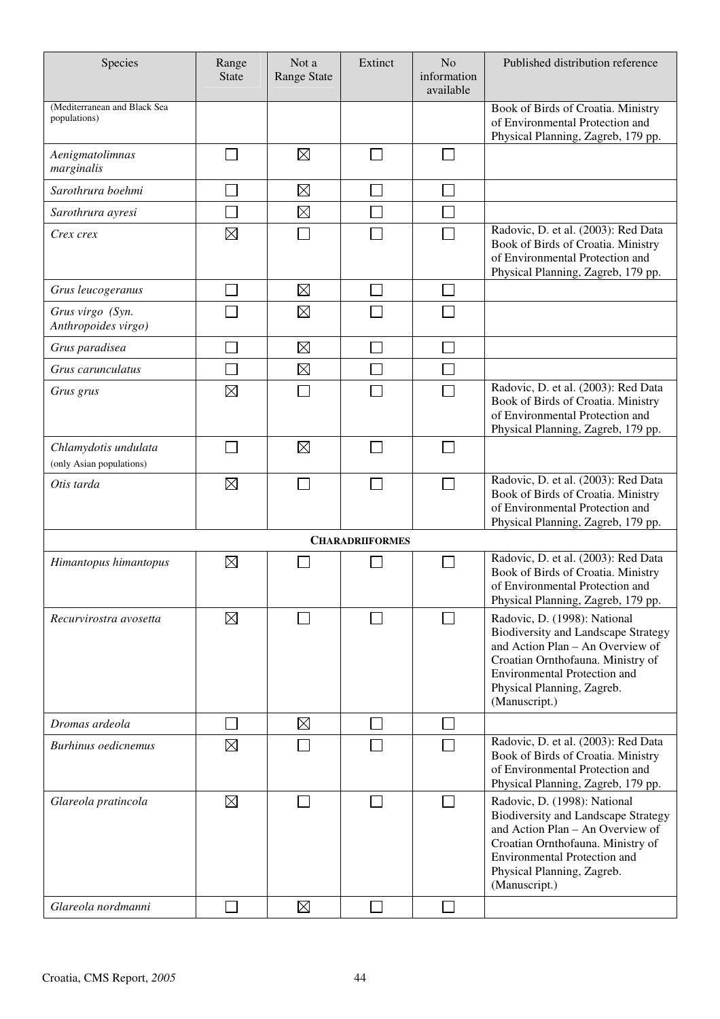| Species                                          | Range<br><b>State</b> | Not a<br><b>Range State</b> | Extinct                | N <sub>o</sub><br>information<br>available | Published distribution reference                                                                                                                                                                                                          |
|--------------------------------------------------|-----------------------|-----------------------------|------------------------|--------------------------------------------|-------------------------------------------------------------------------------------------------------------------------------------------------------------------------------------------------------------------------------------------|
| (Mediterranean and Black Sea<br>populations)     |                       |                             |                        |                                            | Book of Birds of Croatia. Ministry<br>of Environmental Protection and<br>Physical Planning, Zagreb, 179 pp.                                                                                                                               |
| Aenigmatolimnas<br>marginalis                    |                       | $\boxtimes$                 |                        |                                            |                                                                                                                                                                                                                                           |
| Sarothrura boehmi                                |                       | $\boxtimes$                 |                        |                                            |                                                                                                                                                                                                                                           |
| Sarothrura ayresi                                |                       | $\boxtimes$                 |                        |                                            |                                                                                                                                                                                                                                           |
| Crex crex                                        | $\boxtimes$           |                             |                        |                                            | Radovic, D. et al. (2003): Red Data<br>Book of Birds of Croatia. Ministry<br>of Environmental Protection and<br>Physical Planning, Zagreb, 179 pp.                                                                                        |
| Grus leucogeranus                                |                       | $\boxtimes$                 |                        |                                            |                                                                                                                                                                                                                                           |
| Grus virgo (Syn.<br>Anthropoides virgo)          |                       | $\boxtimes$                 |                        |                                            |                                                                                                                                                                                                                                           |
| Grus paradisea                                   |                       | $\boxtimes$                 |                        |                                            |                                                                                                                                                                                                                                           |
| Grus carunculatus                                |                       | $\boxtimes$                 |                        |                                            |                                                                                                                                                                                                                                           |
| Grus grus                                        | $\boxtimes$           |                             |                        |                                            | Radovic, D. et al. (2003): Red Data<br>Book of Birds of Croatia. Ministry<br>of Environmental Protection and<br>Physical Planning, Zagreb, 179 pp.                                                                                        |
| Chlamydotis undulata<br>(only Asian populations) |                       | $\boxtimes$                 |                        |                                            |                                                                                                                                                                                                                                           |
| Otis tarda                                       | ⊠                     |                             |                        |                                            | Radovic, D. et al. (2003): Red Data<br>Book of Birds of Croatia. Ministry<br>of Environmental Protection and<br>Physical Planning, Zagreb, 179 pp.                                                                                        |
|                                                  |                       |                             | <b>CHARADRIIFORMES</b> |                                            |                                                                                                                                                                                                                                           |
| Himantopus himantopus                            | $\boxtimes$           |                             |                        |                                            | Radovic, D. et al. (2003): Red Data<br>Book of Birds of Croatia. Ministry<br>of Environmental Protection and<br>Physical Planning, Zagreb, 179 pp.                                                                                        |
| Recurvirostra avosetta                           | ⊠                     |                             |                        |                                            | Radovic, D. (1998): National<br><b>Biodiversity and Landscape Strategy</b><br>and Action Plan - An Overview of<br>Croatian Ornthofauna. Ministry of<br>Environmental Protection and<br>Physical Planning, Zagreb.<br>(Manuscript.)        |
| Dromas ardeola                                   |                       | $\boxtimes$                 |                        |                                            |                                                                                                                                                                                                                                           |
| <b>Burhinus oedicnemus</b>                       | ⊠                     |                             |                        |                                            | Radovic, D. et al. (2003): Red Data<br>Book of Birds of Croatia. Ministry<br>of Environmental Protection and<br>Physical Planning, Zagreb, 179 pp.                                                                                        |
| Glareola pratincola                              | $\boxtimes$           |                             |                        | $\mathcal{L}_{\mathcal{A}}$                | Radovic, D. (1998): National<br><b>Biodiversity and Landscape Strategy</b><br>and Action Plan - An Overview of<br>Croatian Ornthofauna. Ministry of<br><b>Environmental Protection and</b><br>Physical Planning, Zagreb.<br>(Manuscript.) |
| Glareola nordmanni                               |                       | $\boxtimes$                 |                        |                                            |                                                                                                                                                                                                                                           |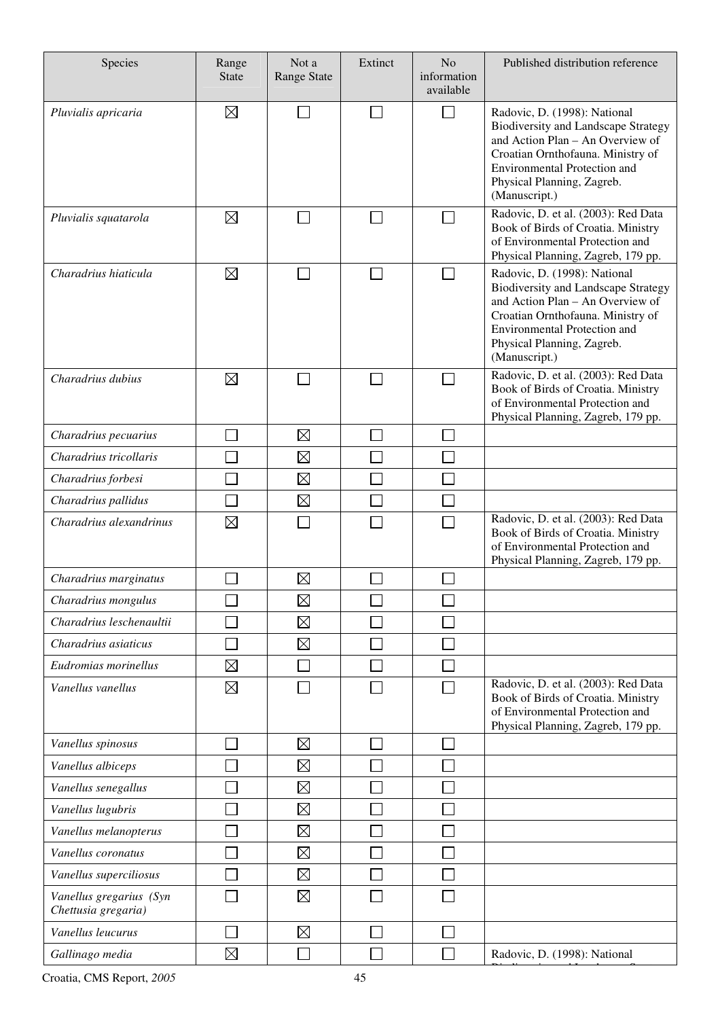| Species                                        | Range<br><b>State</b> | Not a<br><b>Range State</b> | Extinct | N <sub>o</sub><br>information<br>available | Published distribution reference                                                                                                                                                                                                          |
|------------------------------------------------|-----------------------|-----------------------------|---------|--------------------------------------------|-------------------------------------------------------------------------------------------------------------------------------------------------------------------------------------------------------------------------------------------|
| Pluvialis apricaria                            | ⊠                     |                             |         | $\Box$                                     | Radovic, D. (1998): National<br>Biodiversity and Landscape Strategy<br>and Action Plan - An Overview of<br>Croatian Ornthofauna. Ministry of<br><b>Environmental Protection and</b><br>Physical Planning, Zagreb.<br>(Manuscript.)        |
| Pluvialis squatarola                           | ⊠                     |                             |         | $\Box$                                     | Radovic, D. et al. (2003): Red Data<br>Book of Birds of Croatia. Ministry<br>of Environmental Protection and<br>Physical Planning, Zagreb, 179 pp.                                                                                        |
| Charadrius hiaticula                           | ⊠                     |                             |         | $\mathbf{L}$                               | Radovic, D. (1998): National<br><b>Biodiversity and Landscape Strategy</b><br>and Action Plan - An Overview of<br>Croatian Ornthofauna. Ministry of<br><b>Environmental Protection and</b><br>Physical Planning, Zagreb.<br>(Manuscript.) |
| Charadrius dubius                              | ⊠                     |                             |         |                                            | Radovic, D. et al. (2003): Red Data<br>Book of Birds of Croatia. Ministry<br>of Environmental Protection and<br>Physical Planning, Zagreb, 179 pp.                                                                                        |
| Charadrius pecuarius                           |                       | $\boxtimes$                 |         | L.                                         |                                                                                                                                                                                                                                           |
| Charadrius tricollaris                         |                       | $\boxtimes$                 |         |                                            |                                                                                                                                                                                                                                           |
| Charadrius forbesi                             |                       | $\boxtimes$                 |         |                                            |                                                                                                                                                                                                                                           |
| Charadrius pallidus                            |                       | $\boxtimes$                 |         |                                            |                                                                                                                                                                                                                                           |
| Charadrius alexandrinus                        | $\boxtimes$           |                             |         |                                            | Radovic, D. et al. (2003): Red Data<br>Book of Birds of Croatia. Ministry<br>of Environmental Protection and<br>Physical Planning, Zagreb, 179 pp.                                                                                        |
| Charadrius marginatus                          |                       | $\boxtimes$                 |         |                                            |                                                                                                                                                                                                                                           |
| Charadrius mongulus                            |                       | $\boxtimes$                 |         |                                            |                                                                                                                                                                                                                                           |
| Charadrius leschenaultii                       |                       | $\boxtimes$                 |         |                                            |                                                                                                                                                                                                                                           |
| Charadrius asiaticus                           |                       | $\boxtimes$                 |         |                                            |                                                                                                                                                                                                                                           |
| Eudromias morinellus                           | $\boxtimes$           |                             |         |                                            |                                                                                                                                                                                                                                           |
| Vanellus vanellus                              | ⊠                     |                             |         |                                            | Radovic, D. et al. (2003): Red Data<br>Book of Birds of Croatia. Ministry<br>of Environmental Protection and<br>Physical Planning, Zagreb, 179 pp.                                                                                        |
| Vanellus spinosus                              |                       | $\boxtimes$                 |         |                                            |                                                                                                                                                                                                                                           |
| Vanellus albiceps                              |                       | $\boxtimes$                 |         |                                            |                                                                                                                                                                                                                                           |
| Vanellus senegallus                            |                       | $\boxtimes$                 |         |                                            |                                                                                                                                                                                                                                           |
| Vanellus lugubris                              |                       | $\boxtimes$                 |         |                                            |                                                                                                                                                                                                                                           |
| Vanellus melanopterus                          |                       | $\boxtimes$                 |         |                                            |                                                                                                                                                                                                                                           |
| Vanellus coronatus                             |                       | $\boxtimes$                 |         |                                            |                                                                                                                                                                                                                                           |
| Vanellus superciliosus                         |                       | $\boxtimes$                 |         |                                            |                                                                                                                                                                                                                                           |
| Vanellus gregarius (Syn<br>Chettusia gregaria) |                       | $\boxtimes$                 |         |                                            |                                                                                                                                                                                                                                           |
| Vanellus leucurus                              |                       | $\boxtimes$                 |         |                                            |                                                                                                                                                                                                                                           |
| Gallinago media                                | $\boxtimes$           |                             |         |                                            | Radovic, D. (1998): National                                                                                                                                                                                                              |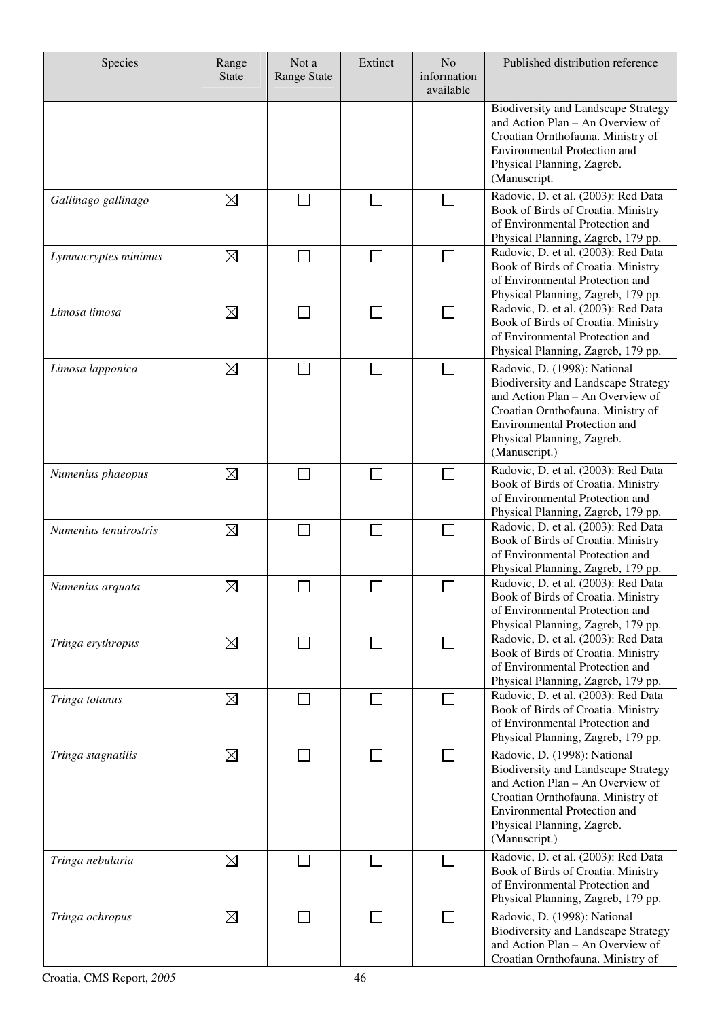| Species               | Range<br><b>State</b> | Not a<br><b>Range State</b> | Extinct | N <sub>o</sub><br>information<br>available | Published distribution reference                                                                                                                                                                                                          |
|-----------------------|-----------------------|-----------------------------|---------|--------------------------------------------|-------------------------------------------------------------------------------------------------------------------------------------------------------------------------------------------------------------------------------------------|
|                       |                       |                             |         |                                            | <b>Biodiversity and Landscape Strategy</b><br>and Action Plan - An Overview of<br>Croatian Ornthofauna. Ministry of<br><b>Environmental Protection and</b><br>Physical Planning, Zagreb.<br>(Manuscript.                                  |
| Gallinago gallinago   | $\boxtimes$           | $\mathcal{L}_{\mathcal{A}}$ | $\sim$  | $\sim$                                     | Radovic, D. et al. (2003): Red Data<br>Book of Birds of Croatia. Ministry<br>of Environmental Protection and<br>Physical Planning, Zagreb, 179 pp.                                                                                        |
| Lymnocryptes minimus  | $\boxtimes$           | $\sim$                      | $\Box$  |                                            | Radovic, D. et al. (2003): Red Data<br>Book of Birds of Croatia. Ministry<br>of Environmental Protection and<br>Physical Planning, Zagreb, 179 pp.                                                                                        |
| Limosa limosa         | $\boxtimes$           |                             |         |                                            | Radovic, D. et al. (2003): Red Data<br>Book of Birds of Croatia. Ministry<br>of Environmental Protection and<br>Physical Planning, Zagreb, 179 pp.                                                                                        |
| Limosa lapponica      | $\boxtimes$           | $\mathcal{L}_{\mathcal{A}}$ | $\Box$  | $\mathcal{L}_{\mathcal{A}}$                | Radovic, D. (1998): National<br><b>Biodiversity and Landscape Strategy</b><br>and Action Plan - An Overview of<br>Croatian Ornthofauna. Ministry of<br><b>Environmental Protection and</b><br>Physical Planning, Zagreb.<br>(Manuscript.) |
| Numenius phaeopus     | $\boxtimes$           |                             | $\sim$  |                                            | Radovic, D. et al. (2003): Red Data<br>Book of Birds of Croatia. Ministry<br>of Environmental Protection and<br>Physical Planning, Zagreb, 179 pp.                                                                                        |
| Numenius tenuirostris | $\boxtimes$           |                             |         |                                            | Radovic, D. et al. (2003): Red Data<br>Book of Birds of Croatia. Ministry<br>of Environmental Protection and<br>Physical Planning, Zagreb, 179 pp.                                                                                        |
| Numenius arquata      | $\boxtimes$           |                             |         |                                            | Radovic, D. et al. (2003): Red Data<br>Book of Birds of Croatia. Ministry<br>of Environmental Protection and<br>Physical Planning, Zagreb, 179 pp.                                                                                        |
| Tringa erythropus     | ⊠                     |                             |         |                                            | Radovic, D. et al. (2003): Red Data<br>Book of Birds of Croatia. Ministry<br>of Environmental Protection and<br>Physical Planning, Zagreb, 179 pp.                                                                                        |
| Tringa totanus        | $\boxtimes$           |                             | M.      |                                            | Radovic, D. et al. (2003): Red Data<br>Book of Birds of Croatia. Ministry<br>of Environmental Protection and<br>Physical Planning, Zagreb, 179 pp.                                                                                        |
| Tringa stagnatilis    | $\boxtimes$           |                             |         |                                            | Radovic, D. (1998): National<br><b>Biodiversity and Landscape Strategy</b><br>and Action Plan - An Overview of<br>Croatian Ornthofauna. Ministry of<br><b>Environmental Protection and</b><br>Physical Planning, Zagreb.<br>(Manuscript.) |
| Tringa nebularia      | $\boxtimes$           |                             | $\sim$  | $\sim$                                     | Radovic, D. et al. (2003): Red Data<br>Book of Birds of Croatia. Ministry<br>of Environmental Protection and<br>Physical Planning, Zagreb, 179 pp.                                                                                        |
| Tringa ochropus       | $\boxtimes$           |                             |         |                                            | Radovic, D. (1998): National<br><b>Biodiversity and Landscape Strategy</b><br>and Action Plan - An Overview of<br>Croatian Ornthofauna. Ministry of                                                                                       |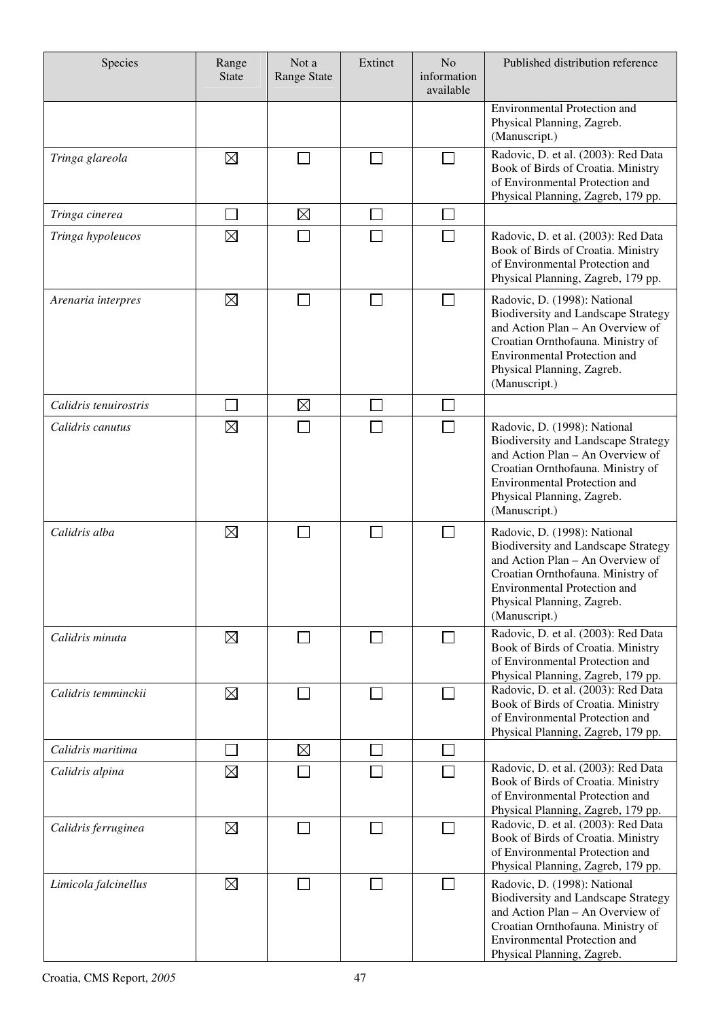| Species               | Range<br><b>State</b>       | Not a<br><b>Range State</b> | Extinct                     | N <sub>o</sub><br>information<br>available | Published distribution reference                                                                                                                                                                                                          |
|-----------------------|-----------------------------|-----------------------------|-----------------------------|--------------------------------------------|-------------------------------------------------------------------------------------------------------------------------------------------------------------------------------------------------------------------------------------------|
|                       |                             |                             |                             |                                            | <b>Environmental Protection and</b><br>Physical Planning, Zagreb.<br>(Manuscript.)                                                                                                                                                        |
| Tringa glareola       | $\boxtimes$                 | ٦                           | $\Box$                      | $\sim$                                     | Radovic, D. et al. (2003): Red Data<br>Book of Birds of Croatia. Ministry<br>of Environmental Protection and<br>Physical Planning, Zagreb, 179 pp.                                                                                        |
| Tringa cinerea        | $\mathcal{L}_{\mathcal{A}}$ | $\boxtimes$                 | II.                         | ri                                         |                                                                                                                                                                                                                                           |
| Tringa hypoleucos     | $\boxtimes$                 |                             |                             |                                            | Radovic, D. et al. (2003): Red Data<br>Book of Birds of Croatia. Ministry<br>of Environmental Protection and<br>Physical Planning, Zagreb, 179 pp.                                                                                        |
| Arenaria interpres    | $\boxtimes$                 |                             | $\mathcal{L}_{\mathcal{A}}$ | $\vert \ \ \vert$                          | Radovic, D. (1998): National<br><b>Biodiversity and Landscape Strategy</b><br>and Action Plan - An Overview of<br>Croatian Ornthofauna. Ministry of<br><b>Environmental Protection and</b><br>Physical Planning, Zagreb.<br>(Manuscript.) |
| Calidris tenuirostris |                             | $\boxtimes$                 | $\overline{\phantom{a}}$    |                                            |                                                                                                                                                                                                                                           |
| Calidris canutus      | $\boxtimes$                 |                             |                             |                                            | Radovic, D. (1998): National<br><b>Biodiversity and Landscape Strategy</b><br>and Action Plan - An Overview of<br>Croatian Ornthofauna. Ministry of<br><b>Environmental Protection and</b><br>Physical Planning, Zagreb.<br>(Manuscript.) |
| Calidris alba         | ⊠                           |                             |                             |                                            | Radovic, D. (1998): National<br><b>Biodiversity and Landscape Strategy</b><br>and Action Plan - An Overview of<br>Croatian Ornthofauna. Ministry of<br><b>Environmental Protection and</b><br>Physical Planning, Zagreb.<br>(Manuscript.) |
| Calidris minuta       | ⊠                           |                             | $\Box$                      |                                            | Radovic, D. et al. (2003): Red Data<br>Book of Birds of Croatia. Ministry<br>of Environmental Protection and<br>Physical Planning, Zagreb, 179 pp.                                                                                        |
| Calidris temminckii   | $\boxtimes$                 |                             | $\Box$                      |                                            | Radovic, D. et al. (2003): Red Data<br>Book of Birds of Croatia. Ministry<br>of Environmental Protection and<br>Physical Planning, Zagreb, 179 pp.                                                                                        |
| Calidris maritima     |                             | $\boxtimes$                 |                             |                                            |                                                                                                                                                                                                                                           |
| Calidris alpina       | $\boxtimes$                 |                             |                             |                                            | Radovic, D. et al. (2003): Red Data<br>Book of Birds of Croatia. Ministry<br>of Environmental Protection and<br>Physical Planning, Zagreb, 179 pp.                                                                                        |
| Calidris ferruginea   | $\boxtimes$                 |                             | $\Box$                      |                                            | Radovic, D. et al. (2003): Red Data<br>Book of Birds of Croatia. Ministry<br>of Environmental Protection and<br>Physical Planning, Zagreb, 179 pp.                                                                                        |
| Limicola falcinellus  | ⊠                           |                             | $\Box$                      |                                            | Radovic, D. (1998): National<br><b>Biodiversity and Landscape Strategy</b><br>and Action Plan - An Overview of<br>Croatian Ornthofauna. Ministry of<br><b>Environmental Protection and</b><br>Physical Planning, Zagreb.                  |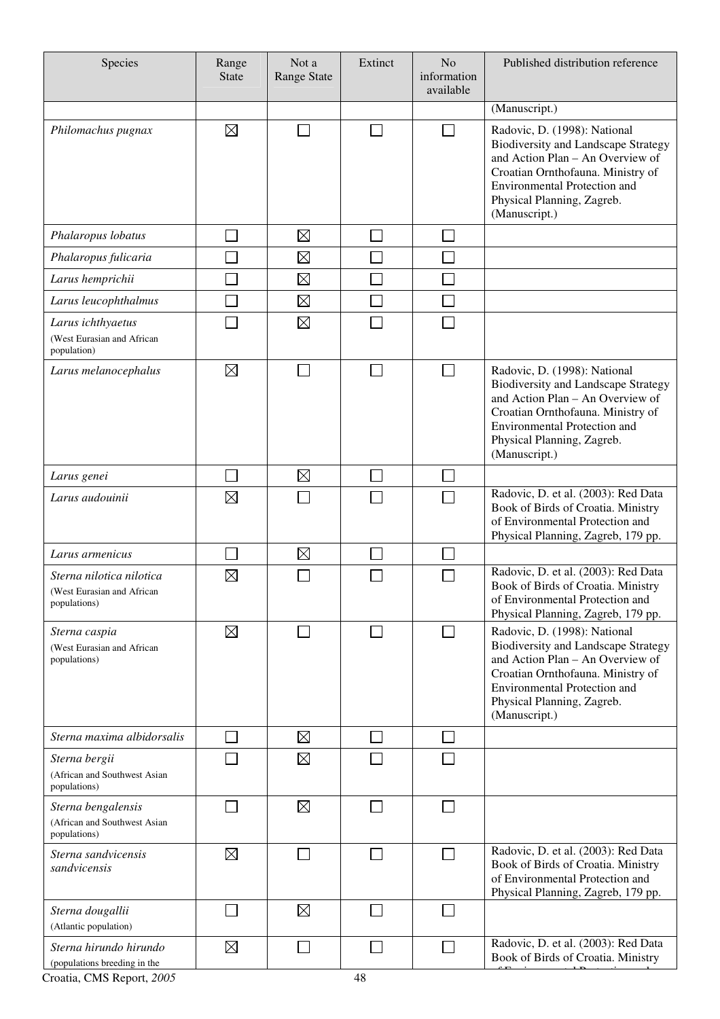| Species                                                                                                     | Range<br><b>State</b> | Not a<br><b>Range State</b> | Extinct                     | N <sub>o</sub><br>information<br>available | Published distribution reference                                                                                                                                                                                                          |
|-------------------------------------------------------------------------------------------------------------|-----------------------|-----------------------------|-----------------------------|--------------------------------------------|-------------------------------------------------------------------------------------------------------------------------------------------------------------------------------------------------------------------------------------------|
|                                                                                                             |                       |                             |                             |                                            | (Manuscript.)                                                                                                                                                                                                                             |
| Philomachus pugnax                                                                                          | ⊠                     |                             |                             | $\Box$                                     | Radovic, D. (1998): National<br><b>Biodiversity and Landscape Strategy</b><br>and Action Plan - An Overview of<br>Croatian Ornthofauna. Ministry of<br>Environmental Protection and<br>Physical Planning, Zagreb.<br>(Manuscript.)        |
| Phalaropus lobatus                                                                                          |                       | $\boxtimes$                 | $\mathcal{L}_{\mathcal{A}}$ | ri                                         |                                                                                                                                                                                                                                           |
| Phalaropus fulicaria                                                                                        |                       | $\boxtimes$                 |                             |                                            |                                                                                                                                                                                                                                           |
| Larus hemprichii                                                                                            |                       | $\boxtimes$                 |                             | ri                                         |                                                                                                                                                                                                                                           |
| Larus leucophthalmus                                                                                        |                       | $\boxtimes$                 | T.                          | Π                                          |                                                                                                                                                                                                                                           |
| Larus ichthyaetus<br>(West Eurasian and African<br>population)                                              |                       | $\boxtimes$                 |                             | T.                                         |                                                                                                                                                                                                                                           |
| Larus melanocephalus                                                                                        | ⊠                     |                             |                             | П                                          | Radovic, D. (1998): National<br><b>Biodiversity and Landscape Strategy</b><br>and Action Plan - An Overview of<br>Croatian Ornthofauna. Ministry of<br><b>Environmental Protection and</b><br>Physical Planning, Zagreb.<br>(Manuscript.) |
| Larus genei                                                                                                 |                       | $\boxtimes$                 |                             | ×                                          |                                                                                                                                                                                                                                           |
| Larus audouinii                                                                                             | $\boxtimes$           |                             |                             |                                            | Radovic, D. et al. (2003): Red Data<br>Book of Birds of Croatia. Ministry<br>of Environmental Protection and<br>Physical Planning, Zagreb, 179 pp.                                                                                        |
| Larus armenicus                                                                                             |                       | $\boxtimes$                 |                             |                                            |                                                                                                                                                                                                                                           |
| Sterna nilotica nilotica<br>(West Eurasian and African<br>populations)                                      | $\boxtimes$           |                             |                             |                                            | Radovic, D. et al. (2003): Red Data<br>Book of Birds of Croatia. Ministry<br>of Environmental Protection and<br>Physical Planning, Zagreb, 179 pp.                                                                                        |
| Sterna caspia<br>(West Eurasian and African<br>populations)                                                 | $\boxtimes$           |                             |                             |                                            | Radovic, D. (1998): National<br><b>Biodiversity and Landscape Strategy</b><br>and Action Plan - An Overview of<br>Croatian Ornthofauna. Ministry of<br>Environmental Protection and<br>Physical Planning, Zagreb.<br>(Manuscript.)        |
| Sterna maxima albidorsalis                                                                                  |                       | $\boxtimes$                 |                             |                                            |                                                                                                                                                                                                                                           |
| Sterna bergii<br>(African and Southwest Asian<br>populations)                                               |                       | $\boxtimes$                 |                             |                                            |                                                                                                                                                                                                                                           |
| Sterna bengalensis<br>(African and Southwest Asian<br>populations)                                          |                       | $\boxtimes$                 |                             |                                            |                                                                                                                                                                                                                                           |
| Sterna sandvicensis<br>sandvicensis                                                                         | ⊠                     |                             |                             | $\sim$                                     | Radovic, D. et al. (2003): Red Data<br>Book of Birds of Croatia. Ministry<br>of Environmental Protection and<br>Physical Planning, Zagreb, 179 pp.                                                                                        |
| Sterna dougallii<br>(Atlantic population)                                                                   |                       | $\boxtimes$                 |                             |                                            |                                                                                                                                                                                                                                           |
| Sterna hirundo hirundo<br>(populations breeding in the<br>$C_{\text{most}}$ $CMC$ $D_{\text{const}}$ $2005$ | $\boxtimes$           |                             | $\overline{A}$              | $\mathbf{L}$                               | Radovic, D. et al. (2003): Red Data<br>Book of Birds of Croatia. Ministry                                                                                                                                                                 |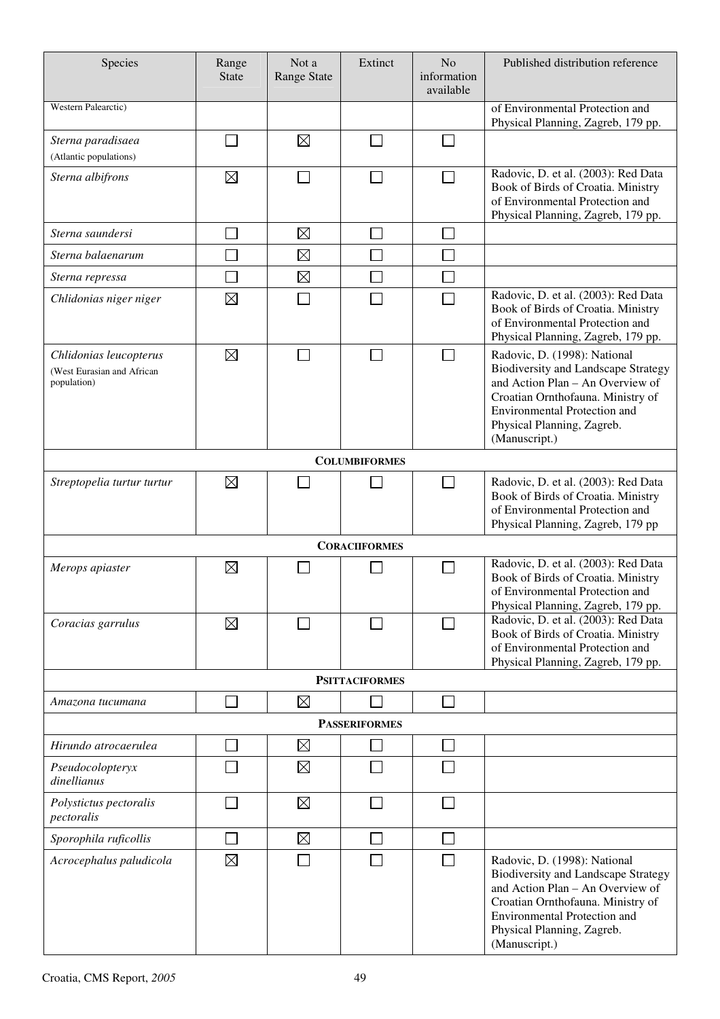| Species                                                             | Range<br><b>State</b>       | Not a<br><b>Range State</b> | Extinct               | N <sub>o</sub><br>information<br>available | Published distribution reference                                                                                                                                                                                                          |
|---------------------------------------------------------------------|-----------------------------|-----------------------------|-----------------------|--------------------------------------------|-------------------------------------------------------------------------------------------------------------------------------------------------------------------------------------------------------------------------------------------|
| Western Palearctic)                                                 |                             |                             |                       |                                            | of Environmental Protection and<br>Physical Planning, Zagreb, 179 pp.                                                                                                                                                                     |
| Sterna paradisaea<br>(Atlantic populations)                         |                             | $\boxtimes$                 |                       |                                            |                                                                                                                                                                                                                                           |
| Sterna albifrons                                                    | $\boxtimes$                 |                             |                       |                                            | Radovic, D. et al. (2003): Red Data<br>Book of Birds of Croatia. Ministry<br>of Environmental Protection and<br>Physical Planning, Zagreb, 179 pp.                                                                                        |
| Sterna saundersi                                                    |                             | $\boxtimes$                 |                       |                                            |                                                                                                                                                                                                                                           |
| Sterna balaenarum                                                   |                             | $\boxtimes$                 |                       |                                            |                                                                                                                                                                                                                                           |
| Sterna repressa                                                     |                             | $\boxtimes$                 |                       |                                            |                                                                                                                                                                                                                                           |
| Chlidonias niger niger                                              | $\boxtimes$                 |                             |                       |                                            | Radovic, D. et al. (2003): Red Data<br>Book of Birds of Croatia. Ministry<br>of Environmental Protection and<br>Physical Planning, Zagreb, 179 pp.                                                                                        |
| Chlidonias leucopterus<br>(West Eurasian and African<br>population) | $\boxtimes$                 |                             |                       |                                            | Radovic, D. (1998): National<br><b>Biodiversity and Landscape Strategy</b><br>and Action Plan - An Overview of<br>Croatian Ornthofauna. Ministry of<br><b>Environmental Protection and</b><br>Physical Planning, Zagreb.<br>(Manuscript.) |
|                                                                     |                             |                             | <b>COLUMBIFORMES</b>  |                                            |                                                                                                                                                                                                                                           |
| Streptopelia turtur turtur                                          | $\boxtimes$                 |                             |                       |                                            | Radovic, D. et al. (2003): Red Data<br>Book of Birds of Croatia. Ministry<br>of Environmental Protection and<br>Physical Planning, Zagreb, 179 pp                                                                                         |
|                                                                     |                             |                             | <b>CORACIIFORMES</b>  |                                            |                                                                                                                                                                                                                                           |
| Merops apiaster                                                     | $\boxtimes$                 |                             |                       |                                            | Radovic, D. et al. (2003): Red Data<br>Book of Birds of Croatia. Ministry<br>of Environmental Protection and<br>Physical Planning, Zagreb, 179 pp.                                                                                        |
| Coracias garrulus                                                   | $\boxtimes$                 |                             |                       |                                            | Radovic, D. et al. (2003): Red Data<br>Book of Birds of Croatia. Ministry<br>of Environmental Protection and<br>Physical Planning, Zagreb, 179 pp.                                                                                        |
|                                                                     |                             |                             | <b>PSITTACIFORMES</b> |                                            |                                                                                                                                                                                                                                           |
| Amazona tucumana                                                    |                             | $\boxtimes$                 |                       | $\sim$                                     |                                                                                                                                                                                                                                           |
|                                                                     |                             |                             | <b>PASSERIFORMES</b>  |                                            |                                                                                                                                                                                                                                           |
| Hirundo atrocaerulea                                                |                             | $\boxtimes$                 |                       |                                            |                                                                                                                                                                                                                                           |
| Pseudocolopteryx<br>dinellianus                                     |                             | $\boxtimes$                 |                       |                                            |                                                                                                                                                                                                                                           |
| Polystictus pectoralis<br>pectoralis                                |                             | $\boxtimes$                 |                       |                                            |                                                                                                                                                                                                                                           |
| Sporophila ruficollis                                               | $\mathcal{L}_{\mathcal{A}}$ | $\boxtimes$                 |                       |                                            |                                                                                                                                                                                                                                           |
| Acrocephalus paludicola                                             | $\boxtimes$                 |                             |                       |                                            | Radovic, D. (1998): National<br><b>Biodiversity and Landscape Strategy</b><br>and Action Plan - An Overview of<br>Croatian Ornthofauna. Ministry of<br><b>Environmental Protection and</b><br>Physical Planning, Zagreb.<br>(Manuscript.) |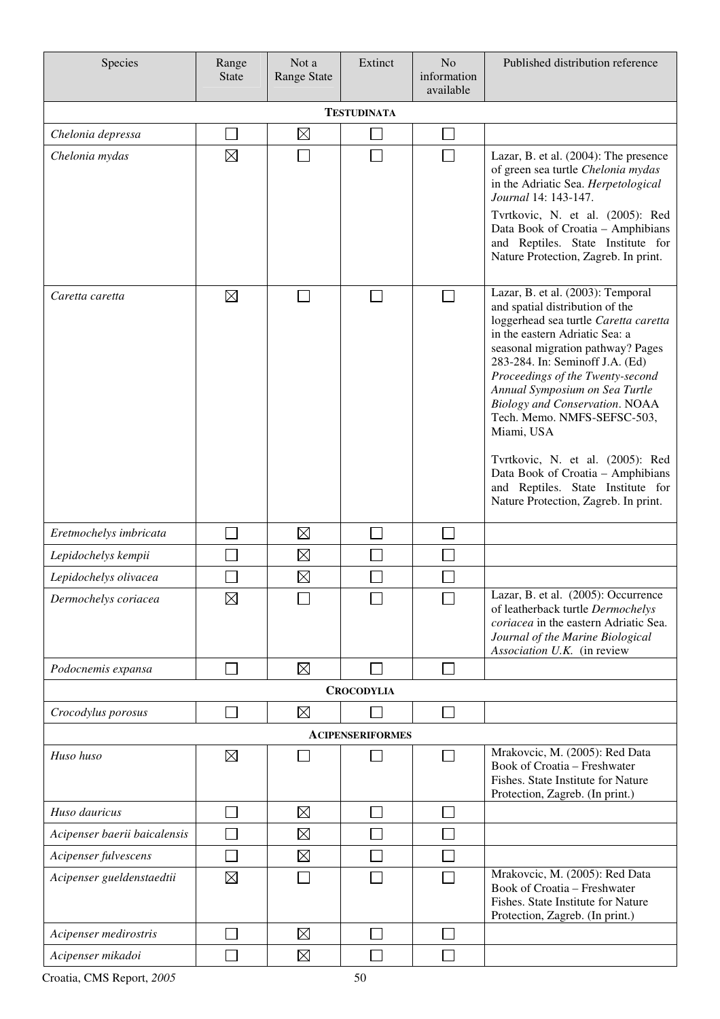| Species                      | Range<br><b>State</b> | Not a<br><b>Range State</b> | Extinct                 | N <sub>o</sub><br>information<br>available | Published distribution reference                                                                                                                                                                                                                                                                                                                                                                                                                                                                                                          |  |  |  |  |
|------------------------------|-----------------------|-----------------------------|-------------------------|--------------------------------------------|-------------------------------------------------------------------------------------------------------------------------------------------------------------------------------------------------------------------------------------------------------------------------------------------------------------------------------------------------------------------------------------------------------------------------------------------------------------------------------------------------------------------------------------------|--|--|--|--|
| <b>TESTUDINATA</b>           |                       |                             |                         |                                            |                                                                                                                                                                                                                                                                                                                                                                                                                                                                                                                                           |  |  |  |  |
| Chelonia depressa            | $\sim$                | $\boxtimes$                 |                         | $\Box$                                     |                                                                                                                                                                                                                                                                                                                                                                                                                                                                                                                                           |  |  |  |  |
| Chelonia mydas               | ⊠                     |                             |                         | $\mathcal{L}_{\mathcal{A}}$                | Lazar, B. et al. (2004): The presence<br>of green sea turtle Chelonia mydas<br>in the Adriatic Sea. Herpetological<br>Journal 14: 143-147.<br>Tvrtkovic, N. et al. (2005): Red<br>Data Book of Croatia - Amphibians<br>and Reptiles. State Institute for<br>Nature Protection, Zagreb. In print.                                                                                                                                                                                                                                          |  |  |  |  |
| Caretta caretta              | $\boxtimes$           |                             |                         |                                            | Lazar, B. et al. (2003): Temporal<br>and spatial distribution of the<br>loggerhead sea turtle Caretta caretta<br>in the eastern Adriatic Sea: a<br>seasonal migration pathway? Pages<br>283-284. In: Seminoff J.A. (Ed)<br>Proceedings of the Twenty-second<br>Annual Symposium on Sea Turtle<br><b>Biology and Conservation. NOAA</b><br>Tech. Memo. NMFS-SEFSC-503,<br>Miami, USA<br>Tvrtkovic, N. et al. (2005): Red<br>Data Book of Croatia - Amphibians<br>and Reptiles. State Institute for<br>Nature Protection, Zagreb. In print. |  |  |  |  |
| Eretmochelys imbricata       |                       | $\boxtimes$                 |                         |                                            |                                                                                                                                                                                                                                                                                                                                                                                                                                                                                                                                           |  |  |  |  |
| Lepidochelys kempii          |                       | $\boxtimes$                 |                         |                                            |                                                                                                                                                                                                                                                                                                                                                                                                                                                                                                                                           |  |  |  |  |
| Lepidochelys olivacea        |                       | $\boxtimes$                 |                         |                                            |                                                                                                                                                                                                                                                                                                                                                                                                                                                                                                                                           |  |  |  |  |
| Dermochelys coriacea         | $\boxtimes$           |                             |                         |                                            | Lazar, B. et al. (2005): Occurrence<br>of leatherback turtle Dermochelys<br>coriacea in the eastern Adriatic Sea.<br>Journal of the Marine Biological<br>Association U.K. (in review                                                                                                                                                                                                                                                                                                                                                      |  |  |  |  |
| Podocnemis expansa           |                       | $\boxtimes$                 |                         |                                            |                                                                                                                                                                                                                                                                                                                                                                                                                                                                                                                                           |  |  |  |  |
|                              |                       |                             | <b>CROCODYLIA</b>       |                                            |                                                                                                                                                                                                                                                                                                                                                                                                                                                                                                                                           |  |  |  |  |
| Crocodylus porosus           |                       | $\boxtimes$                 |                         |                                            |                                                                                                                                                                                                                                                                                                                                                                                                                                                                                                                                           |  |  |  |  |
|                              |                       |                             | <b>ACIPENSERIFORMES</b> |                                            |                                                                                                                                                                                                                                                                                                                                                                                                                                                                                                                                           |  |  |  |  |
| Huso huso                    | $\boxtimes$           |                             |                         |                                            | Mrakovcic, M. (2005): Red Data<br>Book of Croatia - Freshwater<br>Fishes. State Institute for Nature<br>Protection, Zagreb. (In print.)                                                                                                                                                                                                                                                                                                                                                                                                   |  |  |  |  |
| Huso dauricus                |                       | $\boxtimes$                 |                         |                                            |                                                                                                                                                                                                                                                                                                                                                                                                                                                                                                                                           |  |  |  |  |
| Acipenser baerii baicalensis |                       | $\boxtimes$                 |                         |                                            |                                                                                                                                                                                                                                                                                                                                                                                                                                                                                                                                           |  |  |  |  |
| Acipenser fulvescens         |                       | $\boxtimes$                 |                         |                                            |                                                                                                                                                                                                                                                                                                                                                                                                                                                                                                                                           |  |  |  |  |
| Acipenser gueldenstaedtii    | $\boxtimes$           |                             |                         |                                            | Mrakovcic, M. (2005): Red Data<br>Book of Croatia - Freshwater<br>Fishes. State Institute for Nature<br>Protection, Zagreb. (In print.)                                                                                                                                                                                                                                                                                                                                                                                                   |  |  |  |  |
| Acipenser medirostris        |                       | $\boxtimes$                 |                         |                                            |                                                                                                                                                                                                                                                                                                                                                                                                                                                                                                                                           |  |  |  |  |
| Acipenser mikadoi            |                       | $\boxtimes$                 |                         |                                            |                                                                                                                                                                                                                                                                                                                                                                                                                                                                                                                                           |  |  |  |  |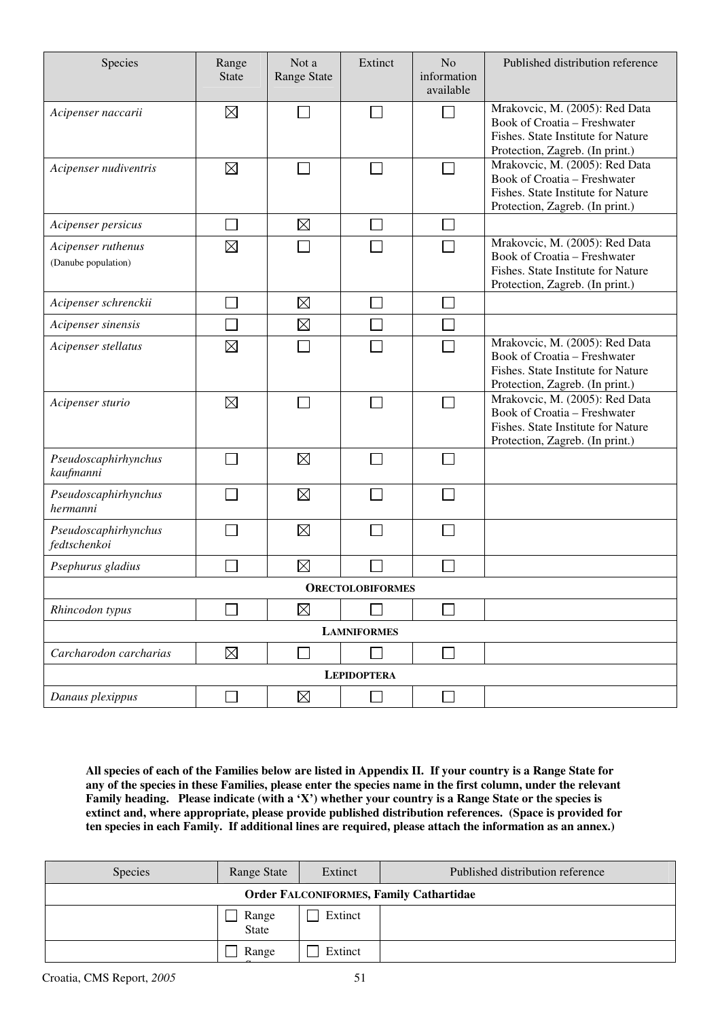| Species                                   | Range<br><b>State</b> | Not a<br><b>Range State</b> | Extinct            | N <sub>o</sub><br>information<br>available | Published distribution reference                                                                                                        |  |  |
|-------------------------------------------|-----------------------|-----------------------------|--------------------|--------------------------------------------|-----------------------------------------------------------------------------------------------------------------------------------------|--|--|
| Acipenser naccarii                        | $\boxtimes$           |                             | <b>College</b>     |                                            | Mrakovcic, M. (2005): Red Data<br>Book of Croatia – Freshwater<br>Fishes. State Institute for Nature<br>Protection, Zagreb. (In print.) |  |  |
| Acipenser nudiventris                     | $\boxtimes$           |                             | $\mathbf{L}$       |                                            | Mrakovcic, M. (2005): Red Data<br>Book of Croatia - Freshwater<br>Fishes. State Institute for Nature<br>Protection, Zagreb. (In print.) |  |  |
| Acipenser persicus                        |                       | $\boxtimes$                 | $\Box$             |                                            |                                                                                                                                         |  |  |
| Acipenser ruthenus<br>(Danube population) | ⊠                     |                             |                    |                                            | Mrakovcic, M. (2005): Red Data<br>Book of Croatia - Freshwater<br>Fishes. State Institute for Nature<br>Protection, Zagreb. (In print.) |  |  |
| Acipenser schrenckii                      | $\sim$                | $\boxtimes$                 | $\mathcal{L}$      |                                            |                                                                                                                                         |  |  |
| Acipenser sinensis                        |                       | $\boxtimes$                 |                    |                                            |                                                                                                                                         |  |  |
| Acipenser stellatus                       | $\boxtimes$           |                             |                    |                                            | Mrakovcic, M. (2005): Red Data<br>Book of Croatia - Freshwater<br>Fishes. State Institute for Nature<br>Protection, Zagreb. (In print.) |  |  |
| Acipenser sturio                          | $\boxtimes$           |                             | $\Box$             |                                            | Mrakovcic, M. (2005): Red Data<br>Book of Croatia - Freshwater<br>Fishes. State Institute for Nature<br>Protection, Zagreb. (In print.) |  |  |
| Pseudoscaphirhynchus<br>kaufmanni         |                       | $\boxtimes$                 |                    |                                            |                                                                                                                                         |  |  |
| Pseudoscaphirhynchus<br>hermanni          |                       | $\boxtimes$                 |                    |                                            |                                                                                                                                         |  |  |
| Pseudoscaphirhynchus<br>fedtschenkoi      |                       | $\boxtimes$                 |                    |                                            |                                                                                                                                         |  |  |
| Psephurus gladius                         |                       | $\boxtimes$                 |                    |                                            |                                                                                                                                         |  |  |
| <b>ORECTOLOBIFORMES</b>                   |                       |                             |                    |                                            |                                                                                                                                         |  |  |
| Rhincodon typus                           |                       | $\boxtimes$                 |                    |                                            |                                                                                                                                         |  |  |
|                                           |                       |                             | <b>LAMNIFORMES</b> |                                            |                                                                                                                                         |  |  |
| Carcharodon carcharias                    | $\boxtimes$           |                             |                    |                                            |                                                                                                                                         |  |  |
|                                           |                       |                             | <b>LEPIDOPTERA</b> |                                            |                                                                                                                                         |  |  |
| Danaus plexippus                          | ٦                     | $\boxtimes$                 |                    |                                            |                                                                                                                                         |  |  |

**All species of each of the Families below are listed in Appendix II. If your country is a Range State for any of the species in these Families, please enter the species name in the first column, under the relevant Family heading. Please indicate (with a 'X') whether your country is a Range State or the species is extinct and, where appropriate, please provide published distribution references. (Space is provided for ten species in each Family. If additional lines are required, please attach the information as an annex.)** 

| Species                                        | Range State    | Extinct | Published distribution reference |  |  |  |  |
|------------------------------------------------|----------------|---------|----------------------------------|--|--|--|--|
| <b>Order FALCONIFORMES, Family Cathartidae</b> |                |         |                                  |  |  |  |  |
|                                                | Range<br>State | Extinct |                                  |  |  |  |  |
|                                                | Range          | Extinct |                                  |  |  |  |  |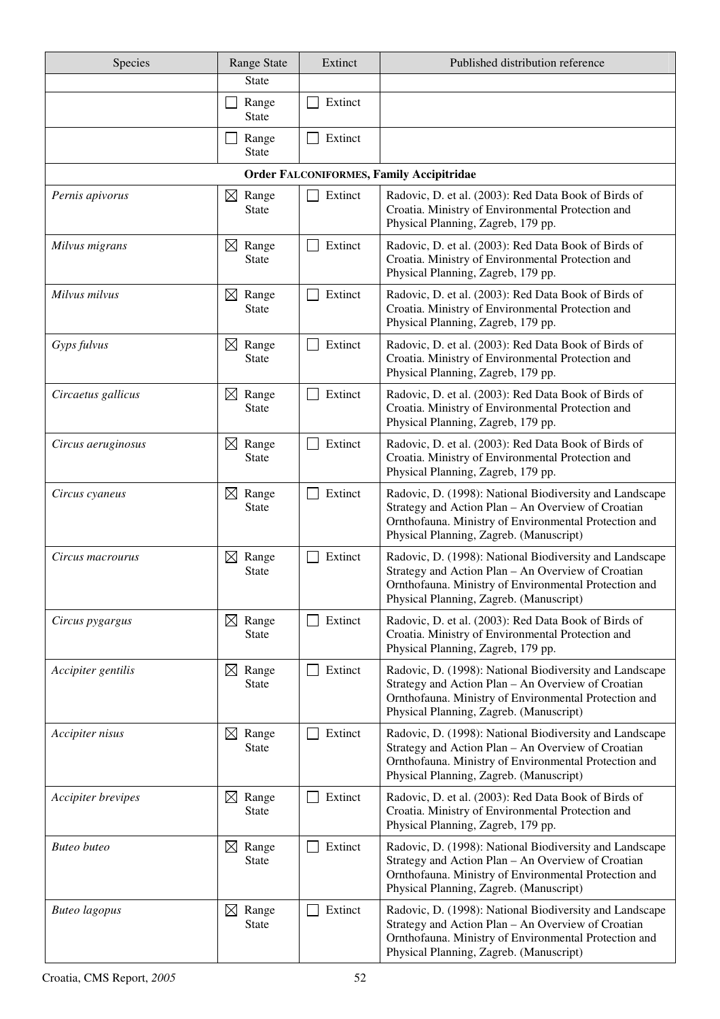| Species                   | <b>Range State</b>                   | Extinct | Published distribution reference                                                                                                                                                                                  |
|---------------------------|--------------------------------------|---------|-------------------------------------------------------------------------------------------------------------------------------------------------------------------------------------------------------------------|
|                           | <b>State</b>                         |         |                                                                                                                                                                                                                   |
|                           | Range<br><b>State</b>                | Extinct |                                                                                                                                                                                                                   |
|                           | Range<br><b>State</b>                | Extinct |                                                                                                                                                                                                                   |
|                           |                                      |         | <b>Order FALCONIFORMES, Family Accipitridae</b>                                                                                                                                                                   |
| Pernis apivorus           | $\boxtimes$ Range<br><b>State</b>    | Extinct | Radovic, D. et al. (2003): Red Data Book of Birds of<br>Croatia. Ministry of Environmental Protection and<br>Physical Planning, Zagreb, 179 pp.                                                                   |
| Milvus migrans            | $\boxtimes$ Range<br><b>State</b>    | Extinct | Radovic, D. et al. (2003): Red Data Book of Birds of<br>Croatia. Ministry of Environmental Protection and<br>Physical Planning, Zagreb, 179 pp.                                                                   |
| Milvus milvus             | $\boxtimes$ Range<br><b>State</b>    | Extinct | Radovic, D. et al. (2003): Red Data Book of Birds of<br>Croatia. Ministry of Environmental Protection and<br>Physical Planning, Zagreb, 179 pp.                                                                   |
| Gyps fulvus               | Range<br>$\boxtimes$<br><b>State</b> | Extinct | Radovic, D. et al. (2003): Red Data Book of Birds of<br>Croatia. Ministry of Environmental Protection and<br>Physical Planning, Zagreb, 179 pp.                                                                   |
| Circaetus gallicus        | $\boxtimes$ Range<br><b>State</b>    | Extinct | Radovic, D. et al. (2003): Red Data Book of Birds of<br>Croatia. Ministry of Environmental Protection and<br>Physical Planning, Zagreb, 179 pp.                                                                   |
| Circus aeruginosus        | Range<br>$\boxtimes$<br><b>State</b> | Extinct | Radovic, D. et al. (2003): Red Data Book of Birds of<br>Croatia. Ministry of Environmental Protection and<br>Physical Planning, Zagreb, 179 pp.                                                                   |
| Circus cyaneus            | $\boxtimes$<br>Range<br><b>State</b> | Extinct | Radovic, D. (1998): National Biodiversity and Landscape<br>Strategy and Action Plan - An Overview of Croatian<br>Ornthofauna. Ministry of Environmental Protection and<br>Physical Planning, Zagreb. (Manuscript) |
| Circus macrourus          | $\boxtimes$ Range<br>State           | Extinct | Radovic, D. (1998): National Biodiversity and Landscape<br>Strategy and Action Plan - An Overview of Croatian<br>Ornthofauna. Ministry of Environmental Protection and<br>Physical Planning, Zagreb. (Manuscript) |
| Circus pygargus           | Range<br>$\boxtimes$<br><b>State</b> | Extinct | Radovic, D. et al. (2003): Red Data Book of Birds of<br>Croatia. Ministry of Environmental Protection and<br>Physical Planning, Zagreb, 179 pp.                                                                   |
| Accipiter gentilis        | $\boxtimes$ Range<br><b>State</b>    | Extinct | Radovic, D. (1998): National Biodiversity and Landscape<br>Strategy and Action Plan - An Overview of Croatian<br>Ornthofauna. Ministry of Environmental Protection and<br>Physical Planning, Zagreb. (Manuscript) |
| Accipiter nisus           | $\boxtimes$ Range<br><b>State</b>    | Extinct | Radovic, D. (1998): National Biodiversity and Landscape<br>Strategy and Action Plan - An Overview of Croatian<br>Ornthofauna. Ministry of Environmental Protection and<br>Physical Planning, Zagreb. (Manuscript) |
| <i>Accipiter brevipes</i> | $\boxtimes$ Range<br><b>State</b>    | Extinct | Radovic, D. et al. (2003): Red Data Book of Birds of<br>Croatia. Ministry of Environmental Protection and<br>Physical Planning, Zagreb, 179 pp.                                                                   |
| <b>Buteo</b> buteo        | $\boxtimes$ Range<br><b>State</b>    | Extinct | Radovic, D. (1998): National Biodiversity and Landscape<br>Strategy and Action Plan - An Overview of Croatian<br>Ornthofauna. Ministry of Environmental Protection and<br>Physical Planning, Zagreb. (Manuscript) |
| <b>Buteo</b> lagopus      | $\boxtimes$ Range<br><b>State</b>    | Extinct | Radovic, D. (1998): National Biodiversity and Landscape<br>Strategy and Action Plan - An Overview of Croatian<br>Ornthofauna. Ministry of Environmental Protection and<br>Physical Planning, Zagreb. (Manuscript) |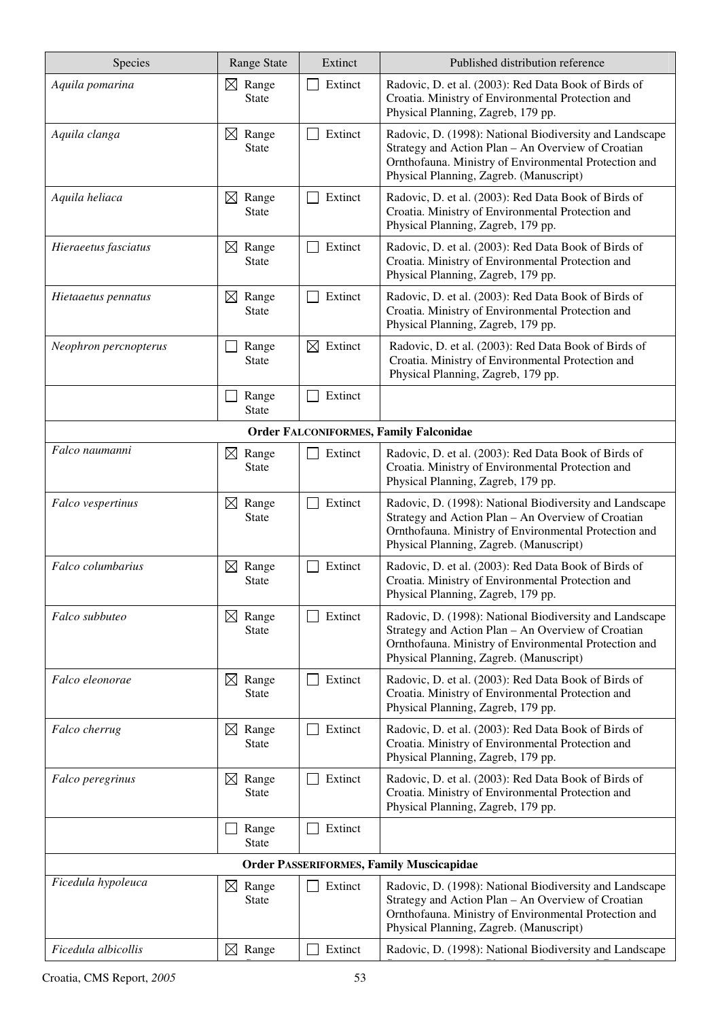| Species                                       | <b>Range State</b>                   | Extinct             | Published distribution reference                                                                                                                                                                                  |  |  |  |
|-----------------------------------------------|--------------------------------------|---------------------|-------------------------------------------------------------------------------------------------------------------------------------------------------------------------------------------------------------------|--|--|--|
| Aquila pomarina                               | $\boxtimes$ Range<br><b>State</b>    | Extinct             | Radovic, D. et al. (2003): Red Data Book of Birds of<br>Croatia. Ministry of Environmental Protection and<br>Physical Planning, Zagreb, 179 pp.                                                                   |  |  |  |
| Aquila clanga                                 | Range<br>$\boxtimes$<br><b>State</b> | Extinct             | Radovic, D. (1998): National Biodiversity and Landscape<br>Strategy and Action Plan - An Overview of Croatian<br>Ornthofauna. Ministry of Environmental Protection and<br>Physical Planning, Zagreb. (Manuscript) |  |  |  |
| Aquila heliaca                                | Range<br>$\boxtimes$<br><b>State</b> | Extinct             | Radovic, D. et al. (2003): Red Data Book of Birds of<br>Croatia. Ministry of Environmental Protection and<br>Physical Planning, Zagreb, 179 pp.                                                                   |  |  |  |
| Hieraeetus fasciatus                          | $\boxtimes$<br>Range<br><b>State</b> | Extinct             | Radovic, D. et al. (2003): Red Data Book of Birds of<br>Croatia. Ministry of Environmental Protection and<br>Physical Planning, Zagreb, 179 pp.                                                                   |  |  |  |
| Hietaaetus pennatus                           | $\boxtimes$ Range<br><b>State</b>    | Extinct             | Radovic, D. et al. (2003): Red Data Book of Birds of<br>Croatia. Ministry of Environmental Protection and<br>Physical Planning, Zagreb, 179 pp.                                                                   |  |  |  |
| Neophron percnopterus                         | Range<br><b>State</b>                | $\boxtimes$ Extinct | Radovic, D. et al. (2003): Red Data Book of Birds of<br>Croatia. Ministry of Environmental Protection and<br>Physical Planning, Zagreb, 179 pp.                                                                   |  |  |  |
|                                               | Range<br><b>State</b>                | Extinct             |                                                                                                                                                                                                                   |  |  |  |
| <b>Order FALCONIFORMES, Family Falconidae</b> |                                      |                     |                                                                                                                                                                                                                   |  |  |  |
| Falco naumanni                                | Range<br>$\boxtimes$<br><b>State</b> | Extinct             | Radovic, D. et al. (2003): Red Data Book of Birds of<br>Croatia. Ministry of Environmental Protection and<br>Physical Planning, Zagreb, 179 pp.                                                                   |  |  |  |
| Falco vespertinus                             | $\boxtimes$<br>Range<br><b>State</b> | Extinct             | Radovic, D. (1998): National Biodiversity and Landscape<br>Strategy and Action Plan - An Overview of Croatian<br>Ornthofauna. Ministry of Environmental Protection and<br>Physical Planning, Zagreb. (Manuscript) |  |  |  |
| Falco columbarius                             | $\boxtimes$<br>Range<br><b>State</b> | Extinct             | Radovic, D. et al. (2003): Red Data Book of Birds of<br>Croatia. Ministry of Environmental Protection and<br>Physical Planning, Zagreb, 179 pp.                                                                   |  |  |  |
| Falco subbuteo                                | $\boxtimes$ Range<br><b>State</b>    | Extinct             | Radovic, D. (1998): National Biodiversity and Landscape<br>Strategy and Action Plan - An Overview of Croatian<br>Ornthofauna. Ministry of Environmental Protection and<br>Physical Planning, Zagreb. (Manuscript) |  |  |  |
| Falco eleonorae                               | $\boxtimes$ Range<br><b>State</b>    | Extinct             | Radovic, D. et al. (2003): Red Data Book of Birds of<br>Croatia. Ministry of Environmental Protection and<br>Physical Planning, Zagreb, 179 pp.                                                                   |  |  |  |
| Falco cherrug                                 | Range<br>$\bowtie$<br><b>State</b>   | Extinct             | Radovic, D. et al. (2003): Red Data Book of Birds of<br>Croatia. Ministry of Environmental Protection and<br>Physical Planning, Zagreb, 179 pp.                                                                   |  |  |  |
| Falco peregrinus                              | $\boxtimes$<br>Range<br><b>State</b> | Extinct             | Radovic, D. et al. (2003): Red Data Book of Birds of<br>Croatia. Ministry of Environmental Protection and<br>Physical Planning, Zagreb, 179 pp.                                                                   |  |  |  |
|                                               | Range<br><b>State</b>                | Extinct             |                                                                                                                                                                                                                   |  |  |  |
|                                               |                                      |                     | <b>Order PASSERIFORMES, Family Muscicapidae</b>                                                                                                                                                                   |  |  |  |
| Ficedula hypoleuca                            | $\boxtimes$ Range<br><b>State</b>    | Extinct             | Radovic, D. (1998): National Biodiversity and Landscape<br>Strategy and Action Plan - An Overview of Croatian<br>Ornthofauna. Ministry of Environmental Protection and<br>Physical Planning, Zagreb. (Manuscript) |  |  |  |
| Ficedula albicollis                           | $\boxtimes$ Range                    | Extinct             | Radovic, D. (1998): National Biodiversity and Landscape                                                                                                                                                           |  |  |  |

Strategy and Action Plan – An Overview of Croatian

 $\overline{\phantom{a}}$